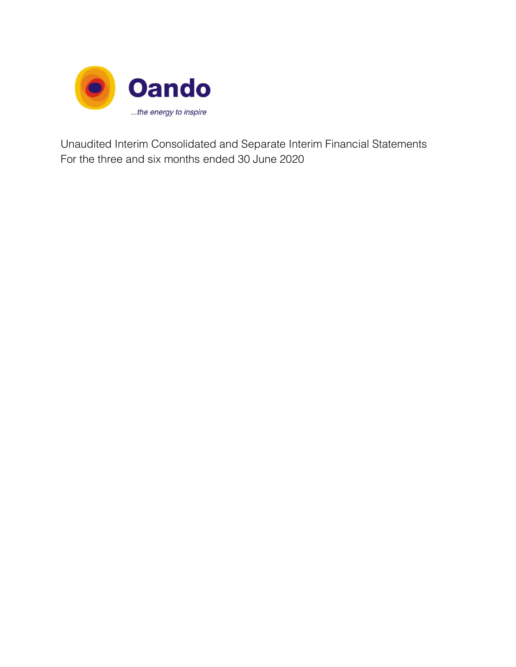

Unaudited Interim Consolidated and Separate Interim Financial Statements For the three and six months ended 30 June 2020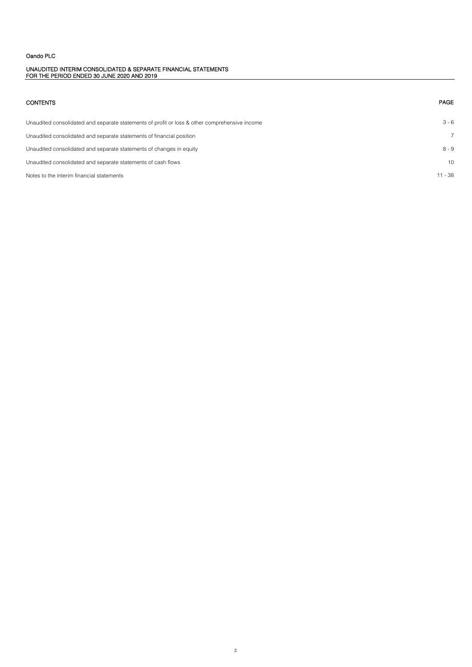# Oando PLC

### UNAUDITED INTERIM CONSOLIDATED & SEPARATE FINANCIAL STATEMENTS FOR THE PERIOD ENDED 30 JUNE 2020 AND 2019

| <b>CONTENTS</b>                                                                               | <b>PAGE</b>    |
|-----------------------------------------------------------------------------------------------|----------------|
| Unaudited consolidated and separate statements of profit or loss & other comprehensive income | $3 - 6$        |
| Unaudited consolidated and separate statements of financial position                          | $\overline{7}$ |
| Unaudited consolidated and separate statements of changes in equity                           | $8 - 9$        |
| Unaudited consolidated and separate statements of cash flows                                  | 10             |
| Notes to the interim financial statements                                                     | $11 - 38$      |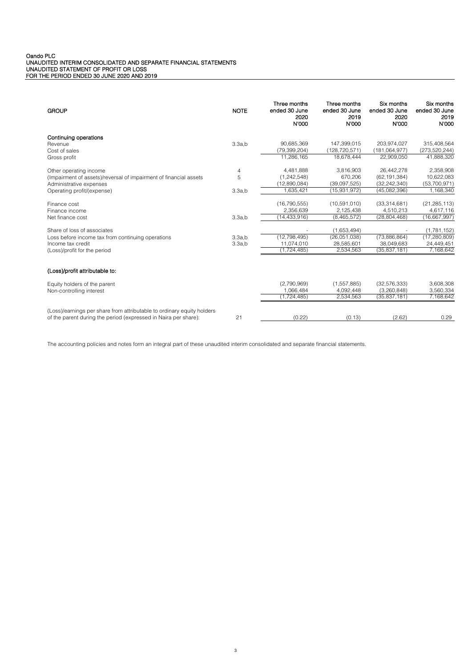### Oando PLC UNAUDITED INTERIM CONSOLIDATED AND SEPARATE FINANCIAL STATEMENTS UNAUDITED STATEMENT OF PROFIT OR LOSS FOR THE PERIOD ENDED 30 JUNE 2020 AND 2019

| <b>GROUP</b>                                                           | <b>NOTE</b>  | Three months<br>ended 30 June<br>2020<br>N'000 | Three months<br>ended 30 June<br>2019<br>N'000 | Six months<br>ended 30 June<br>2020<br>N'000 | Six months<br>ended 30 June<br>2019<br>N'000 |
|------------------------------------------------------------------------|--------------|------------------------------------------------|------------------------------------------------|----------------------------------------------|----------------------------------------------|
| Continuing operations                                                  |              |                                                |                                                |                                              |                                              |
| Revenue                                                                | 3.3a,b       | 90,685,369                                     | 147.399.015                                    | 203.974.027                                  | 315,408,564                                  |
| Cost of sales                                                          |              | (79, 399, 204)                                 | (128,720,571)                                  | (181,064,977)                                | (273, 520, 244)                              |
| Gross profit                                                           |              | 11.286.165                                     | 18.678.444                                     | 22.909.050                                   | 41.888.320                                   |
| Other operating income                                                 | 4            | 4,481,888                                      | 3,816,903                                      | 26,442,278                                   | 2,358,908                                    |
| (Impairment of assets)/reversal of impairment of financial assets      | 5            | (1,242,548)                                    | 670.206                                        | (62, 191, 384)                               | 10,622,083                                   |
| Administrative expenses                                                |              | (12,890,084)                                   | (39,097,525)                                   | (32, 242, 340)                               | (53,700,971)                                 |
| Operating profit/(expense)                                             | $3.3a$ ,b    | 1,635,421                                      | (15,931,972)                                   | (45,082,396)                                 | 1,168,340                                    |
| Finance cost                                                           |              | (16, 790, 555)                                 | (10, 591, 010)                                 | (33, 314, 681)                               | (21, 285, 113)                               |
| Finance income                                                         |              | 2,356,639                                      | 2,125,438                                      | 4.510.213                                    | 4,617,116                                    |
| Net finance cost                                                       | $3.3a$ ,b    | (14, 433, 916)                                 | (8,465,572)                                    | (28, 804, 468)                               | (16,667,997)                                 |
| Share of loss of associates                                            |              |                                                | (1,653,494)                                    |                                              | (1,781,152)                                  |
| Loss before income tax from continuing operations                      | $3.3a$ , $b$ | (12, 798, 495)                                 | (26,051,038)                                   | (73,886,864)                                 | (17, 280, 809)                               |
| Income tax credit                                                      | 3.3a,b       | 11.074.010                                     | 28,585,601                                     | 38.049.683                                   | 24,449,451                                   |
| (Loss)/profit for the period                                           |              | (1, 724, 485)                                  | 2,534,563                                      | (35, 837, 181)                               | 7,168,642                                    |
| (Loss)/profit attributable to:                                         |              |                                                |                                                |                                              |                                              |
| Equity holders of the parent                                           |              | (2,790,969)                                    | (1,557,885)                                    | (32, 576, 333)                               | 3,608,308                                    |
| Non-controlling interest                                               |              | 1.066.484                                      | 4.092.448                                      | (3,260,848)                                  | 3,560,334                                    |
|                                                                        |              | (1, 724, 485)                                  | 2,534,563                                      | (35,837,181)                                 | 7,168,642                                    |
| (Loss)/earnings per share from attributable to ordinary equity holders |              |                                                |                                                |                                              |                                              |
| of the parent during the period (expressed in Naira per share):        | 21           | (0.22)                                         | (0.13)                                         | (2.62)                                       | 0.29                                         |

The accounting policies and notes form an integral part of these unaudited interim consolidated and separate financial statements.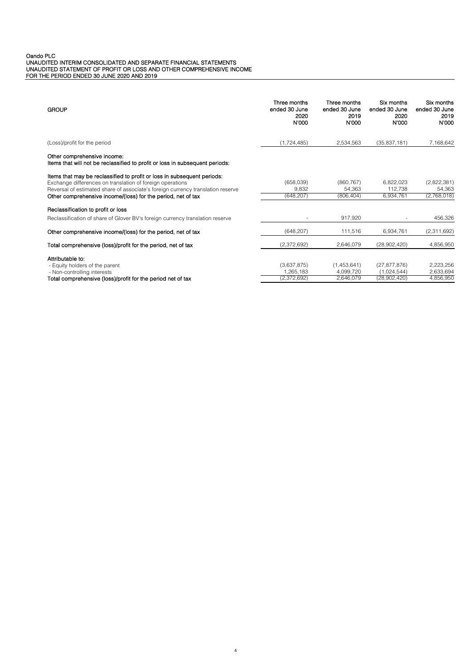### Oando PLC UNAUDITED INTERIM CONSOLIDATED AND SEPARATE FINANCIAL STATEMENTS UNAUDITED STATEMENT OF PROFIT OR LOSS AND OTHER COMPREHENSIVE INCOME FOR THE PERIOD ENDED 30 JUNE 2020 AND 2019

| <b>GROUP</b>                                                                                                                                                                                                                                                                            | Three months<br>ended 30 June<br>2020<br>N'000 | Three months<br>ended 30 June<br>2019<br>N'000 | Six months<br>ended 30 June<br>2020<br>N'000  | Six months<br>ended 30 June<br>2019<br>N'000 |
|-----------------------------------------------------------------------------------------------------------------------------------------------------------------------------------------------------------------------------------------------------------------------------------------|------------------------------------------------|------------------------------------------------|-----------------------------------------------|----------------------------------------------|
| (Loss)/profit for the period                                                                                                                                                                                                                                                            | (1,724,485)                                    | 2,534,563                                      | (35,837,181)                                  | 7,168,642                                    |
| Other comprehensive income:<br>Items that will not be reclassified to profit or loss in subsequent periods:                                                                                                                                                                             |                                                |                                                |                                               |                                              |
| Items that may be reclassified to profit or loss in subsequent periods:<br>Exchange differences on translation of foreign operations<br>Reversal of estimated share of associate's foreign currency translation reserve<br>Other comprehensive income/(loss) for the period, net of tax | (658,039)<br>9,832<br>(648, 207)               | (860.767)<br>54,363<br>(806.404)               | 6.822.023<br>112,738<br>6.934.761             | (2,822,381)<br>54,363<br>(2,768,018)         |
| Reclassification to profit or loss<br>Reclassification of share of Glover BV's foreign currency translation reserve                                                                                                                                                                     | ٠                                              | 917.920                                        |                                               | 456,326                                      |
| Other comprehensive income/(loss) for the period, net of tax                                                                                                                                                                                                                            | (648, 207)                                     | 111,516                                        | 6,934,761                                     | (2,311,692)                                  |
| Total comprehensive (loss)/profit for the period, net of tax                                                                                                                                                                                                                            | (2,372,692)                                    | 2,646,079                                      | (28,902,420)                                  | 4,856,950                                    |
| Attributable to:<br>- Equity holders of the parent<br>- Non-controlling interests<br>Total comprehensive (loss)/profit for the period net of tax                                                                                                                                        | (3,637,875)<br>1,265,183<br>(2,372,692)        | (1,453,641)<br>4.099.720<br>2.646.079          | (27, 877, 876)<br>(1,024,544)<br>(28,902,420) | 2,223,256<br>2,633,694<br>4,856,950          |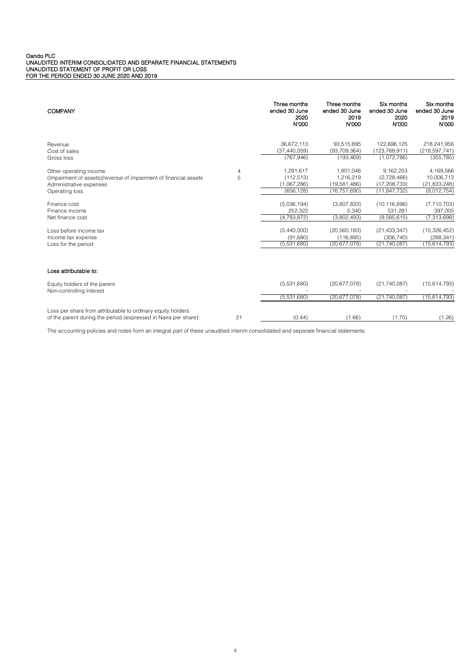### Oando PLC UNAUDITED INTERIM CONSOLIDATED AND SEPARATE FINANCIAL STATEMENTS UNAUDITED STATEMENT OF PROFIT OR LOSS FOR THE PERIOD ENDED 30 JUNE 2020 AND 2019

| <b>COMPANY</b>                                                                                                                           |        | Three months<br>ended 30 June<br>2020<br>N'000       | Three months<br>ended 30 June<br>2019<br>N'000           | Six months<br>ended 30 June<br>2020<br>N 000                 | Six months<br>ended 30 June<br>2019<br>N'000             |
|------------------------------------------------------------------------------------------------------------------------------------------|--------|------------------------------------------------------|----------------------------------------------------------|--------------------------------------------------------------|----------------------------------------------------------|
| Revenue                                                                                                                                  |        | 36.672.113                                           | 93.515.895                                               | 122.696.125                                                  | 218,241,956                                              |
| Cost of sales                                                                                                                            |        | (37, 440, 059)                                       | (93,709,364)                                             | (123, 768, 911)                                              | (218, 597, 741)                                          |
| Gross loss                                                                                                                               |        | (767, 946)                                           | (193, 469)                                               | (1,072,786)                                                  | (355, 785)                                               |
| Other operating income<br>(Impairment of assets)/reversal of impairment of financial assets<br>Administrative expenses<br>Operating loss | 4<br>5 | 1,291,617<br>(112, 513)<br>(1,067,286)<br>(656, 128) | 1,801,046<br>1,216,219<br>(19,581,486)<br>(16, 757, 690) | 9,162,253<br>(2,728,466)<br>(17, 208, 733)<br>(11, 847, 732) | 4,169,566<br>10,006,713<br>(21, 833, 248)<br>(8,012,754) |
| Finance cost                                                                                                                             |        | (5,036,194)                                          | (3,807,833)                                              | (10, 116, 896)                                               | (7,710,703)                                              |
| Finance income                                                                                                                           |        | 252,322                                              | 5,340                                                    | 531,281                                                      | 397,005                                                  |
| Net finance cost                                                                                                                         |        | (4,783,872)                                          | (3,802,493)                                              | (9,585,615)                                                  | (7, 313, 698)                                            |
| Loss before income tax                                                                                                                   |        | (5,440,000)                                          | (20, 560, 183)                                           | (21, 433, 347)                                               | (15,326,452)                                             |
| Income tax expense                                                                                                                       |        | (91,680)                                             | (116, 895)                                               | (306, 740)                                                   | (288, 341)                                               |
| Loss for the period                                                                                                                      |        | (5,531,680)                                          | (20, 677, 078)                                           | (21,740,087)                                                 | (15,614,793)                                             |
| Loss attributable to:                                                                                                                    |        |                                                      |                                                          |                                                              |                                                          |
| Equity holders of the parent                                                                                                             |        | (5,531,680)                                          | (20, 677, 078)                                           | (21,740,087)                                                 | (15,614,793)                                             |
| Non-controlling interest                                                                                                                 |        | (5,531,680)                                          | (20, 677, 078)                                           | (21,740,087)                                                 | (15,614,793)                                             |
| Loss per share from attributable to ordinary equity holders<br>of the parent during the period (expressed in Naira per share):           | 21     | (0.44)                                               | (1.66)                                                   | (1.75)                                                       | (1.26)                                                   |

The accounting policies and notes form an integral part of these unaudited interim consolidated and separate financial statements.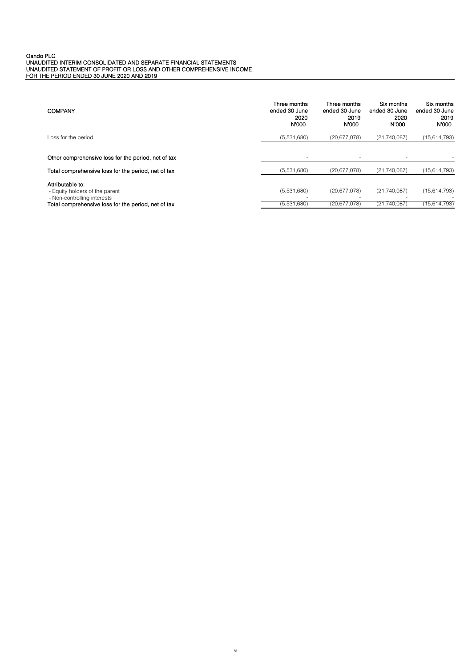### Oando PLC UNAUDITED INTERIM CONSOLIDATED AND SEPARATE FINANCIAL STATEMENTS UNAUDITED STATEMENT OF PROFIT OR LOSS AND OTHER COMPREHENSIVE INCOME FOR THE PERIOD ENDED 30 JUNE 2020 AND 2019

| <b>COMPANY</b>                                                                                                                           | Three months<br>ended 30 June<br>2020<br>N'000 | Three months<br>ended 30 June<br>2019<br>N'000 | Six months<br>ended 30 June<br>2020<br>N'000 | Six months<br>ended 30 June<br>2019<br>N'000 |
|------------------------------------------------------------------------------------------------------------------------------------------|------------------------------------------------|------------------------------------------------|----------------------------------------------|----------------------------------------------|
| Loss for the period                                                                                                                      | (5,531,680)                                    | (20.677.078)                                   | (21,740,087)                                 | (15,614,793)                                 |
| Other comprehensive loss for the period, net of tax                                                                                      |                                                |                                                |                                              |                                              |
| Total comprehensive loss for the period, net of tax                                                                                      | (5,531,680)                                    | (20, 677, 078)                                 | (21,740,087)                                 | (15,614,793)                                 |
| Attributable to:<br>- Equity holders of the parent<br>- Non-controlling interests<br>Total comprehensive loss for the period, net of tax | (5,531,680)<br>(5,531,680)                     | (20.677.078)<br>(20.677.078)                   | (21,740,087)<br>(21,740,087)                 | (15,614,793)<br>(15,614,793)                 |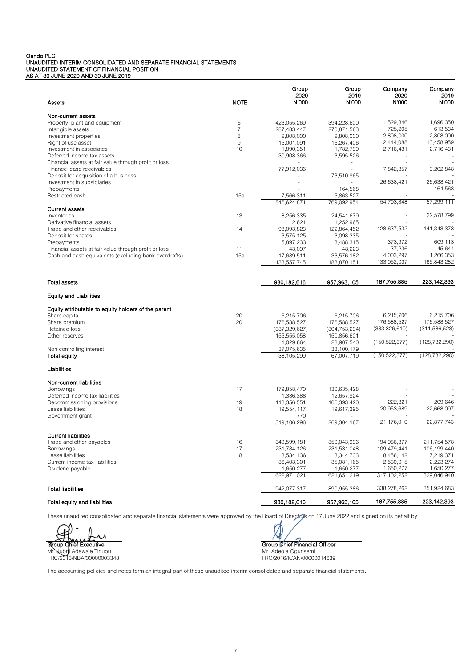### Oando PLC UNAUDITED INTERIM CONSOLIDATED AND SEPARATE FINANCIAL STATEMENTS UNAUDITED STATEMENT OF FINANCIAL POSITION AS AT 30 JUNE 2020 AND 30 JUNE 2019

| Assets                                                              | <b>NOTE</b>    | Group<br>2020<br>N'000 | Group<br>2019<br>N'000 | Company<br>2020<br>N'000 | Company<br>2019<br>N'000 |
|---------------------------------------------------------------------|----------------|------------------------|------------------------|--------------------------|--------------------------|
| Non-current assets                                                  |                |                        |                        |                          |                          |
| Property, plant and equipment                                       | 6              | 423,055,269            | 394,228,600            | 1,529,346                | 1,696,350                |
| Intangible assets                                                   | $\overline{7}$ | 287,483,447            | 270,871,563            | 725,205                  | 613.534                  |
| Investment properties                                               | 8              | 2.808.000              | 2,808,000              | 2,808,000                | 2.808.000                |
| Right of use asset                                                  | 9              | 15,001,091             | 16,267,406             | 12,444,088               | 13,458,959               |
| Investment in associates                                            | 10             | 1,890,351              | 1,782,799              | 2,716,431                | 2,716,431                |
| Deferred income tax assets                                          |                | 30,908,366             | 3,595,526              |                          |                          |
| Financial assets at fair value through profit or loss               | 11             |                        |                        |                          |                          |
| Finance lease receivables                                           |                | 77,912,036             |                        | 7,842,357                | 9,202,848                |
|                                                                     |                |                        | 73,510,965             |                          |                          |
| Deposit for acquisition of a business<br>Investment in subsidiaries |                |                        |                        | 26,638,421               | 26,638,421               |
|                                                                     |                |                        |                        |                          | 164,568                  |
| Prepayments                                                         |                |                        | 164,568                |                          |                          |
| Restricted cash                                                     | 15a            | 7,566,311              | 5,863,527              |                          |                          |
|                                                                     |                | 846,624,871            | 769,092,954            | 54,703,848               | 57,299,111               |
| <b>Current assets</b>                                               |                |                        |                        |                          |                          |
| Inventories                                                         | 13             | 8,256,335              | 24,541,679             |                          | 22,578,799               |
| Derivative financial assets                                         |                | 2,621                  | 1,252,965              |                          |                          |
| Trade and other receivables                                         | 14             | 98,093,823             | 122,864,452            | 128,637,532              | 141,343,373              |
| Deposit for shares                                                  |                | 3,575,125              | 3,098,335              |                          |                          |
| Prepayments                                                         |                | 5,897,233              | 3,488,315              | 373.972                  | 609,113                  |
| Financial assets at fair value through profit or loss               | 11             | 43,097                 | 48,223                 | 37,236                   | 45,644                   |
| Cash and cash equivalents (excluding bank overdrafts)               | 15a            | 17,689,511             | 33,576,182             | 4,003,297                | 1,266,353                |
|                                                                     |                | 133,557,745            | 188,870,151            | 133,052,037              | 165,843,282              |
| <b>Total assets</b>                                                 |                | 980, 182, 616          | 957,963,105            | 187,755,885              | 223, 142, 393            |
| <b>Equity and Liabilities</b>                                       |                |                        |                        |                          |                          |
| Equity attributable to equity holders of the parent                 |                |                        |                        |                          |                          |
| Share capital                                                       | 20             | 6,215,706              | 6,215,706              | 6,215,706                | 6,215,706                |
| Share premium                                                       | 20             | 176,588,527            | 176,588,527            | 176,588,527              | 176,588,527              |
| Retained loss                                                       |                | (337, 329, 627)        | (304, 753, 294)        | (333, 326, 610)          | (311, 586, 523)          |
| Other reserves                                                      |                | 155,555,058            | 150,856,601            |                          |                          |
|                                                                     |                | 1,029,664              | 28,907,540             | (150, 522, 377)          | (128, 782, 290)          |
| Non controlling interest                                            |                | 37,075,635             | 38,100,179             |                          |                          |
| <b>Total equity</b>                                                 |                | 38,105,299             | 67,007,719             | (150, 522, 377)          | (128, 782, 290)          |
| Liabilities                                                         |                |                        |                        |                          |                          |
| Non-current liabilities                                             |                |                        |                        |                          |                          |
| Borrowings                                                          | 17             | 179,858,470            | 130,635,428            |                          |                          |
| Deferred income tax liabilities                                     |                | 1,336,388              | 12,657,924             |                          |                          |
| Decommissioning provisions                                          | 19             | 118,356,551            | 106,393,420            | 222,321                  | 209,646                  |
| Lease liabilities                                                   | 18             | 19,554,117             | 19,617,395             | 20,953,689               | 22,668,097               |
| Government grant                                                    |                | 770                    |                        |                          |                          |
|                                                                     |                | 319,106,296            | 269.304.167            | 21,176,010               | 22,877,743               |
| <b>Current liabilities</b>                                          |                |                        |                        |                          |                          |
| Trade and other payables                                            | 16             | 349,599,181            | 350,043,996            | 194,986,377              | 211,754,578              |
| <b>Borrowings</b>                                                   | 17             | 231,784,126            | 231,531,048            | 109,479,441              | 106, 199, 440            |
| Lease liabilities                                                   | 18             | 3,534,136              | 3,344,733              | 8,456,142                | 7,219,371                |
| Current income tax liabilities                                      |                | 36,403,301             | 35,081,165             | 2,530,015                | 2,223,274                |
| Dividend payable                                                    |                | 1,650,277              | 1,650,277              | 1,650,277                | 1,650,277                |
|                                                                     |                | 622,971,021            | 621,651,219            | 317, 102, 252            | 329,046,940              |
| <b>Total liabilities</b>                                            |                | 942,077,317            | 890,955,386            | 338,278,262              | 351,924,683              |
| Total equity and liabilities                                        |                | 980.182.616            | 957,963,105            | 187,755,885              | 223, 142, 393            |

These unaudited consolidated and separate financial statements were approved by the Board of Directors on 17 June 2022 and signed on its behalf by:

ᄊ r

Group Chief Executive<br>Mr. Nubril Adewale Tinubu<br>FRC/2013/NBA/00000003348



FRC/2016/ICAN/00000014639

The accounting policies and notes form an integral part of these unaudited interim consolidated and separate financial statements.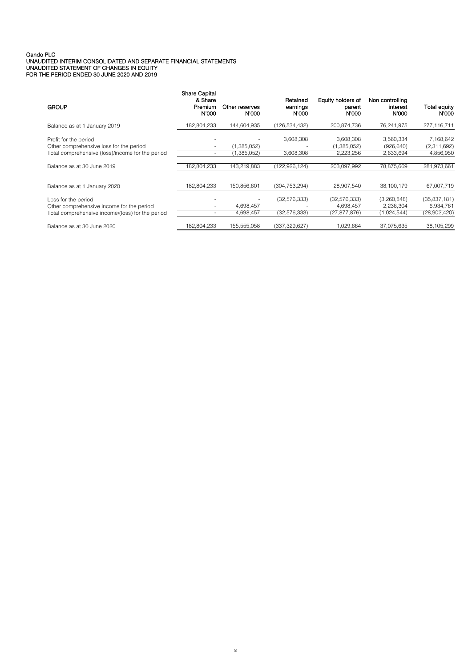### Oando PLC UNAUDITED INTERIM CONSOLIDATED AND SEPARATE FINANCIAL STATEMENTS UNAUDITED STATEMENT OF CHANGES IN EQUITY FOR THE PERIOD ENDED 30 JUNE 2020 AND 2019

| <b>GROUP</b>                                                                                                         | <b>Share Capital</b><br>& Share<br>Premium<br>N'000 | Other reserves<br>N'000    | Retained<br>earnings<br>N'000    | Equity holders of<br>parent<br>N'000          | Non controlling<br>interest<br>N'000    | Total equity<br>N'000                     |
|----------------------------------------------------------------------------------------------------------------------|-----------------------------------------------------|----------------------------|----------------------------------|-----------------------------------------------|-----------------------------------------|-------------------------------------------|
| Balance as at 1 January 2019                                                                                         | 182.804.233                                         | 144.604.935                | (126, 534, 432)                  | 200,874,736                                   | 76,241,975                              | 277,116,711                               |
| Profit for the period                                                                                                |                                                     |                            | 3,608,308                        | 3,608,308                                     | 3,560,334                               | 7,168,642                                 |
| Other comprehensive loss for the period<br>Total comprehensive (loss)/income for the period                          | ٠                                                   | (1,385,052)<br>(1,385,052) | 3,608,308                        | (1,385,052)<br>2,223,256                      | (926, 640)<br>2,633,694                 | (2,311,692)<br>4,856,950                  |
| Balance as at 30 June 2019                                                                                           | 182,804,233                                         | 143,219,883                | (122,926,124)                    | 203,097,992                                   | 78,875,669                              | 281,973,661                               |
| Balance as at 1 January 2020                                                                                         | 182.804.233                                         | 150.856.601                | (304, 753, 294)                  | 28,907,540                                    | 38,100,179                              | 67,007,719                                |
| Loss for the period<br>Other comprehensive income for the period<br>Total comprehensive income/(loss) for the period | ٠<br>٠                                              | 4.698.457<br>4,698,457     | (32, 576, 333)<br>(32, 576, 333) | (32, 576, 333)<br>4,698,457<br>(27, 877, 876) | (3,260,848)<br>2,236,304<br>(1,024,544) | (35,837,181)<br>6,934,761<br>(28,902,420) |
| Balance as at 30 June 2020                                                                                           | 182,804,233                                         | 155,555,058                | (337, 329, 627)                  | 1,029,664                                     | 37,075,635                              | 38,105,299                                |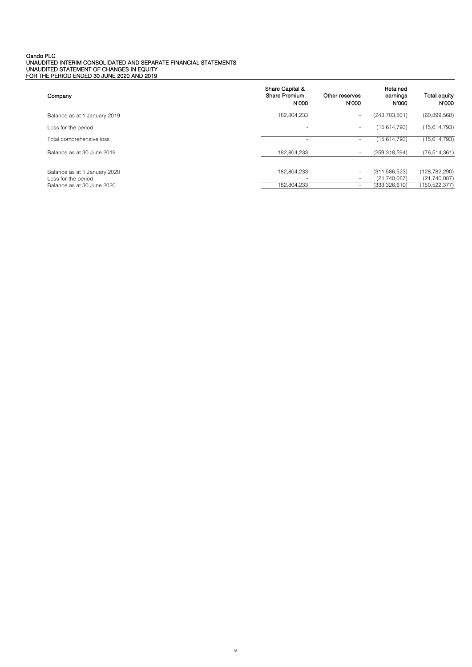### Oando PLC UNAUDITED INTERIM CONSOLIDATED AND SEPARATE FINANCIAL STATEMENTS UNAUDITED STATEMENT OF CHANGES IN EQUITY FOR THE PERIOD ENDED 30 JUNE 2020 AND 2019

| Company                                                                           | Share Capital &<br><b>Share Premium</b><br>N'000 | Other reserves<br>N'000                                                          | Retained<br>earnings<br>N'000                    | Total equity<br>N'000                          |
|-----------------------------------------------------------------------------------|--------------------------------------------------|----------------------------------------------------------------------------------|--------------------------------------------------|------------------------------------------------|
| Balance as at 1 January 2019                                                      | 182.804.233                                      | $\overline{\phantom{a}}$                                                         | (243, 703, 801)                                  | (60, 899, 568)                                 |
| Loss for the period                                                               |                                                  | $\sim$                                                                           | (15,614,793)                                     | (15,614,793)                                   |
| Total comprehensive loss                                                          |                                                  | $\overline{\phantom{a}}$                                                         | (15,614,793)                                     | (15,614,793)                                   |
| Balance as at 30 June 2019                                                        | 182.804.233                                      | $\overline{\phantom{a}}$                                                         | (259.318.594)                                    | (76, 514, 361)                                 |
| Balance as at 1 January 2020<br>Loss for the period<br>Balance as at 30 June 2020 | 182.804.233<br>182.804.233                       | $\overline{\phantom{a}}$<br>$\overline{\phantom{a}}$<br>$\overline{\phantom{a}}$ | (311, 586, 523)<br>(21,740,087)<br>(333.326.610) | (128,782,290)<br>(21,740,087)<br>(150,522,377) |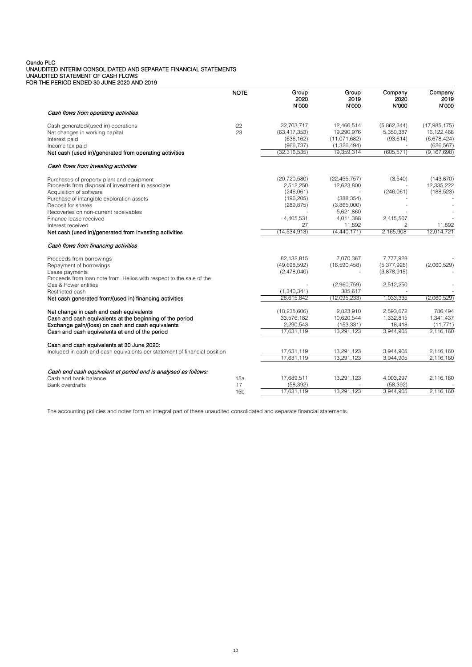### Oando PLC UNAUDITED INTERIM CONSOLIDATED AND SEPARATE FINANCIAL STATEMENTS UNAUDITED STATEMENT OF CASH FLOWS FOR THE PERIOD ENDED 30 JUNE 2020 AND 2019

|                                                                           | <b>NOTE</b>     | Group<br>2020<br>N'000 | Group<br>2019<br>N'000 | Company<br>2020<br>N'000 | Company<br>2019<br>N'000 |
|---------------------------------------------------------------------------|-----------------|------------------------|------------------------|--------------------------|--------------------------|
| Cash flows from operating activities                                      |                 |                        |                        |                          |                          |
| Cash generated/(used in) operations                                       | 22              | 32,703,717             | 12,466,514             | (5,862,344)              | (17, 985, 175)           |
| Net changes in working capital                                            | 23              | (63, 417, 353)         | 19,290,976             | 5,350,387                | 16,122,468               |
| Interest paid                                                             |                 | (636, 162)             | (11,071,682)           | (93, 614)                | (6,678,424)              |
| Income tax paid                                                           |                 | (966, 737)             | (1,326,494)            |                          | (626, 567)               |
| Net cash (used in)/generated from operating activities                    |                 | (32, 316, 535)         | 19,359,314             | (605, 571)               | (9, 167, 698)            |
| Cash flows from investing activities                                      |                 |                        |                        |                          |                          |
| Purchases of property plant and equipment                                 |                 | (20, 720, 580)         | (22, 455, 757)         | (3,540)                  | (143, 870)               |
| Proceeds from disposal of investment in associate                         |                 | 2,512,250              | 12,623,800             |                          | 12,335,222               |
| Acquisition of software                                                   |                 | (246, 061)             |                        | (246,061)                | (188, 523)               |
| Purchase of intangible exploration assets                                 |                 | (196, 205)             | (388, 354)             |                          |                          |
| Deposit for shares                                                        |                 | (289, 875)             | (3,865,000)            |                          |                          |
| Recoveries on non-current receivables                                     |                 |                        | 5,621,860              |                          |                          |
| Finance lease received                                                    |                 | 4,405,531              | 4,011,388              | 2,415,507                |                          |
| Interest received                                                         |                 | 27                     | 11,892                 | $\mathfrak{p}$           | 11,892                   |
| Net cash (used in)/generated from investing activities                    |                 | (14, 534, 913)         | (4, 440, 171)          | 2.165.908                | 12.014.721               |
| Cash flows from financing activities                                      |                 |                        |                        |                          |                          |
| Proceeds from borrowings                                                  |                 | 82,132,815             | 7,070,367              | 7,777,928                |                          |
| Repayment of borrowings                                                   |                 | (49,698,592)           | (16, 590, 458)         | (5,377,928)              | (2,060,529)              |
| Lease payments                                                            |                 | (2,478,040)            |                        | (3,878,915)              |                          |
| Proceeds from loan note from Helios with respect to the sale of the       |                 |                        |                        |                          |                          |
| Gas & Power entities                                                      |                 |                        | (2,960,759)            | 2,512,250                |                          |
| Restricted cash                                                           |                 | (1,340,341)            | 385,617                |                          |                          |
| Net cash generated from/(used in) financing activities                    |                 | 28,615,842             | (12,095,233)           | 1,033,335                | (2.060.529)              |
| Net change in cash and cash equivalents                                   |                 | (18, 235, 606)         | 2,823,910              | 2,593,672                | 786,494                  |
| Cash and cash equivalents at the beginning of the period                  |                 | 33,576,182             | 10,620,544             | 1,332,815                | 1,341,437                |
| Exchange gain/(loss) on cash and cash equivalents                         |                 | 2,290,543              | (153, 331)             | 18.418                   | (11, 771)                |
| Cash and cash equivalents at end of the period                            |                 | 17,631,119             | 13,291,123             | 3,944,905                | 2,116,160                |
| Cash and cash equivalents at 30 June 2020:                                |                 |                        |                        |                          |                          |
| Included in cash and cash equivalents per statement of financial position |                 | 17,631,119             | 13,291,123             | 3,944,905                | 2,116,160                |
|                                                                           |                 | 17.631.119             | 13,291,123             | 3,944,905                | 2,116,160                |
| Cash and cash equivalent at period end is analysed as follows:            |                 |                        |                        |                          |                          |
| Cash and bank balance                                                     | 15a             | 17,689,511             | 13,291,123             | 4,003,297                | 2,116,160                |
| <b>Bank overdrafts</b>                                                    | 17              | (58, 392)              |                        | (58, 392)                |                          |
|                                                                           | 15 <sub>b</sub> | 17,631,119             | 13,291,123             | 3.944.905                | 2,116,160                |

The accounting policies and notes form an integral part of these unaudited consolidated and separate financial statements.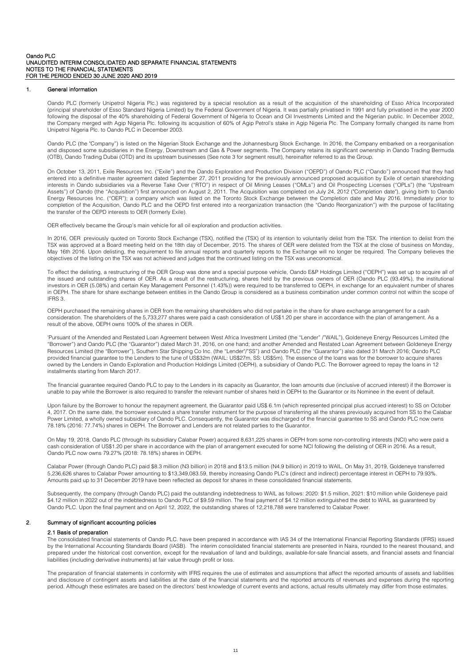### 1. General information

Oando PLC (formerly Unipetrol Nigeria Plc.) was registered by a special resolution as a result of the acquisition of the shareholding of Esso Africa Incorporated (principal shareholder of Esso Standard Nigeria Limited) by the Federal Government of Nigeria. It was partially privatised in 1991 and fully privatised in the year 2000 following the disposal of the 40% shareholding of Federal Government of Nigeria to Ocean and Oil Investments Limited and the Nigerian public. In December 2002, the Company merged with Agip Nigeria Plc. following its acquisition of 60% of Agip Petrol's stake in Agip Nigeria Plc. The Company formally changed its name from Unipetrol Nigeria Plc. to Oando PLC in December 2003.

Oando PLC (the "Company") is listed on the Nigerian Stock Exchange and the Johannesburg Stock Exchange. In 2016, the Company embarked on a reorganisation and disposed some subsidiaries in the Energy, Downstream and Gas & Power segments. The Company retains its significant ownership in Oando Trading Bermuda (OTB), Oando Trading Dubai (OTD) and its upstream businesses (See note 3 for segment result), hereinafter referred to as the Group.

On October 13, 2011, Exile Resources Inc. ("Exile") and the Oando Exploration and Production Division ("OEPD") of Oando PLC ("Oando") announced that they had entered into a definitive master agreement dated September 27, 2011 providing for the previously announced proposed acquisition by Exile of certain shareholding interests in Oando subsidiaries via a Reverse Take Over ("RTO") in respect of Oil Mining Leases ("OMLs") and Oil Prospecting Licenses ("OPLs") (the "Upstream Assets") of Oando (the "Acquisition") first announced on August 2, 2011. The Acquisition was completed on July 24, 2012 ("Completion date"), giving birth to Oando Energy Resources Inc. ("OER"); a company which was listed on the Toronto Stock Exchange between the Completion date and May 2016. Immediately prior to completion of the Acquisition, Oando PLC and the OEPD first entered into a reorganization transaction (the "Oando Reorganization") with the purpose of facilitating the transfer of the OEPD interests to OER (formerly Exile).

OER effectively became the Group's main vehicle for all oil exploration and production activities.

In 2016, OER previously quoted on Toronto Stock Exchange (TSX), notified the (TSX) of its intention to voluntarily delist from the TSX. The intention to delist from the TSX was approved at a Board meeting held on the 18th day of December, 2015. The shares of OER were delisted from the TSX at the close of business on Monday, May 16th 2016. Upon delisting, the requirement to file annual reports and quarterly reports to the Exchange will no longer be required. The Company believes the objectives of the listing on the TSX was not achieved and judges that the continued listing on the TSX was uneconomical.

To effect the delisting, a restructuring of the OER Group was done and a special purpose vehicle, Oando E&P Holdings Limited ("OEPH") was set up to acquire all of the issued and outstanding shares of OER. As a result of the restructuring, shares held by the previous owners of OER (Oando PLC (93.49%), the institutional investors in OER (5.08%) and certain Key Management Personnel (1.43%)) were required to be transferred to OEPH, in exchange for an equivalent number of shares in OEPH. The share for share exchange between entities in the Oando Group is considered as a business combination under common control not within the scope of IFRS 3.

OEPH purchased the remaining shares in OER from the remaining shareholders who did not partake in the share for share exchange arrangement for a cash consideration. The shareholders of the 5,733,277 shares were paid a cash consideration of US\$1.20 per share in accordance with the plan of arrangement. As a result of the above, OEPH owns 100% of the shares in OER.

'Pursuant of the Amended and Restated Loan Agreement between West Africa Investment Limited (the "Lender" /"WAIL"), Goldeneye Energy Resources Limited (the "Borrower") and Oando PLC (the "Guarantor") dated March 31, 2016, on one hand; and another Amended and Restated Loan Agreement between Goldeneye Energy Resources Limited (the "Borrower"), Southern Star Shipping Co Inc. (the "Lender"/"SS") and Oando PLC (the "Guarantor") also dated 31 March 2016; Oando PLC provided financial guarantee to the Lenders to the tune of US\$32m (WAIL: US\$27m, SS: US\$5m). The essence of the loans was for the borrower to acquire shares owned by the Lenders in Oando Exploration and Production Holdings Limited (OEPH), a subsidiary of Oando PLC. The Borrower agreed to repay the loans in 12 installments starting from March 2017.

The financial guarantee required Oando PLC to pay to the Lenders in its capacity as Guarantor, the loan amounts due (inclusive of accrued interest) if the Borrower is unable to pay while the Borrower is also required to transfer the relevant number of shares held in OEPH to the Guarantor or its Nominee in the event of default.

Upon failure by the Borrower to honour the repayment agreement, the Guarantor paid US\$ 6.1m (which represented principal plus accrued interest) to SS on October 4, 2017. On the same date, the borrower executed a share transfer instrument for the purpose of transferring all the shares previously acquired from SS to the Calabar Power Limited, a wholly owned subsidiary of Oando PLC. Consequently, the Guarantor was discharged of the financial guarantee to SS and Oando PLC now owns 78.18% (2016: 77.74%) shares in OEPH. The Borrower and Lenders are not related parties to the Guarantor.

On May 19, 2018, Oando PLC (through its subsidiary Calabar Power) acquired 8,631,225 shares in OEPH from some non-controlling interests (NCI) who were paid a cash consideration of US\$1.20 per share in accordance with the plan of arrangement executed for some NCI following the delisting of OER in 2016. As a result, Oando PLC now owns 79.27% (2018: 78.18%) shares in OEPH.

Calabar Power (through Oando PLC) paid \$8.3 million (N3 billion) in 2018 and \$13.5 million (N4.9 billion) in 2019 to WAIL. On May 31, 2019, Goldeneye transferred 5,236,626 shares to Calabar Power amounting to \$13,349,083.59, thereby increasing Oando PLC's (direct and indirect) percentage interest in OEPH to 79.93%. Amounts paid up to 31 December 2019 have been reflected as deposit for shares in these consolidated financial statements.

Subsequently, the company (through Oando PLC) paid the outstanding indebtedness to WAIL as follows: 2020: \$1.5 million, 2021: \$10 million while Goldeneye paid \$4.12 million in 2022 out of the indebtedness to Oando PLC of \$9.59 million. The final payment of \$4.12 million extinguished the debt to WAIL as guaranteed by Oando PLC. Upon the final payment and on April 12, 2022, the outstanding shares of 12,218,788 were transferred to Calabar Power.

### 2. Summary of significant accounting policies

# 2.1 Basis of preparation

The consolidated financial statements of Oando PLC. have been prepared in accordance with IAS 34 of the International Financial Reporting Standards (IFRS) issued by the International Accounting Standards Board (IASB). The interim consolidated financial statements are presented in Naira, rounded to the nearest thousand, and prepared under the historical cost convention, except for the revaluation of land and buildings, available-for-sale financial assets, and financial assets and financial liabilities (including derivative instruments) at fair value through profit or loss.

The preparation of financial statements in conformity with IFRS requires the use of estimates and assumptions that affect the reported amounts of assets and liabilities and disclosure of contingent assets and liabilities at the date of the financial statements and the reported amounts of revenues and expenses during the reporting period. Although these estimates are based on the directors' best knowledge of current events and actions, actual results ultimately may differ from those estimates.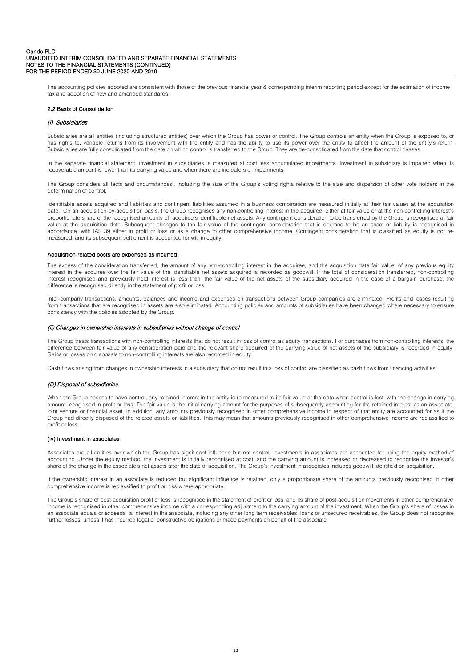The accounting policies adopted are consistent with those of the previous financial year & corresponding interim reporting period except for the estimation of income tax and adoption of new and amended standards.

### 2.2 Basis of Consolidation

### (i) Subsidiaries

Subsidiaries are all entities (including structured entities) over which the Group has power or control. The Group controls an entity when the Group is exposed to, or has rights to, variable returns from its involvement with the entity and has the ability to use its power over the entity to affect the amount of the entity's return. Subsidiaries are fully consolidated from the date on which control is transferred to the Group. They are de-consolidated from the date that control ceases.

In the separate financial statement, investment in subsidiaries is measured at cost less accumulated impairments. Investment in subsidiary is impaired when its recoverable amount is lower than its carrying value and when there are indicators of impairments.

The Group considers all facts and circumstances', including the size of the Group's voting rights relative to the size and dispersion of other vote holders in the determination of control.

Identifiable assets acquired and liabilities and contingent liabilities assumed in a business combination are measured initially at their fair values at the acquisition date. On an acquisition-by-acquisition basis, the Group recognises any non-controlling interest in the acquiree, either at fair value or at the non-controlling interest's proportionate share of the recognised amounts of acquiree's identifiable net assets. Any contingent consideration to be transferred by the Group is recognised at fair value at the acquisition date. Subsequent changes to the fair value of the contingent consideration that is deemed to be an asset or liability is recognised in accordance with IAS 39 either in profit or loss or as a change to other comprehensive income. Contingent consideration that is classified as equity is not remeasured, and its subsequent settlement is accounted for within equity.

### Acquisition-related costs are expensed as incurred.

The excess of the consideration transferred, the amount of any non-controlling interest in the acquiree, and the acquisition date fair value of any previous equity interest in the acquiree over the fair value of the identifiable net assets acquired is recorded as goodwill. If the total of consideration transferred, non-controlling interest recognised and previously held interest is less than the fair value of the net assets of the subsidiary acquired in the case of a bargain purchase, the difference is recognised directly in the statement of profit or loss.

Inter-company transactions, amounts, balances and income and expenses on transactions between Group companies are eliminated. Profits and losses resulting from transactions that are recognised in assets are also eliminated. Accounting policies and amounts of subsidiaries have been changed where necessary to ensure consistency with the policies adopted by the Group.

# (ii) Changes in ownership interests in subsidiaries without change of control

The Group treats transactions with non-controlling interests that do not result in loss of control as equity transactions. For purchases from non-controlling interests, the difference between fair value of any consideration paid and the relevant share acquired of the carrying value of net assets of the subsidiary is recorded in equity. Gains or losses on disposals to non-controlling interests are also recorded in equity.

Cash flows arising from changes in ownership interests in a subsidiary that do not result in a loss of control are classified as cash flows from financing activities.

### (iii) Disposal of subsidiaries

When the Group ceases to have control, any retained interest in the entity is re-measured to its fair value at the date when control is lost, with the change in carrying amount recognised in profit or loss. The fair value is the initial carrying amount for the purposes of subsequently accounting for the retained interest as an associate. joint venture or financial asset. In addition, any amounts previously recognised in other comprehensive income in respect of that entity are accounted for as if the Group had directly disposed of the related assets or liabilities. This may mean that amounts previously recognised in other comprehensive income are reclassified to profit or loss.

### (iv) Investment in associates

Associates are all entities over which the Group has significant influence but not control. Investments in associates are accounted for using the equity method of accounting. Under the equity method, the investment is initially recognised at cost, and the carrying amount is increased or decreased to recognise the investor's share of the change in the associate's net assets after the date of acquisition. The Group's investment in associates includes goodwill identified on acquisition.

If the ownership interest in an associate is reduced but significant influence is retained, only a proportionate share of the amounts previously recognised in other comprehensive income is reclassified to profit or loss where appropriate.

The Group's share of post-acquisition profit or loss is recognised in the statement of profit or loss, and its share of post-acquisition movements in other comprehensive income is recognised in other comprehensive income with a corresponding adjustment to the carrying amount of the investment. When the Group's share of losses in an associate equals or exceeds its interest in the associate, including any other long term receivables, loans or unsecured receivables, the Group does not recognise further losses, unless it has incurred legal or constructive obligations or made payments on behalf of the associate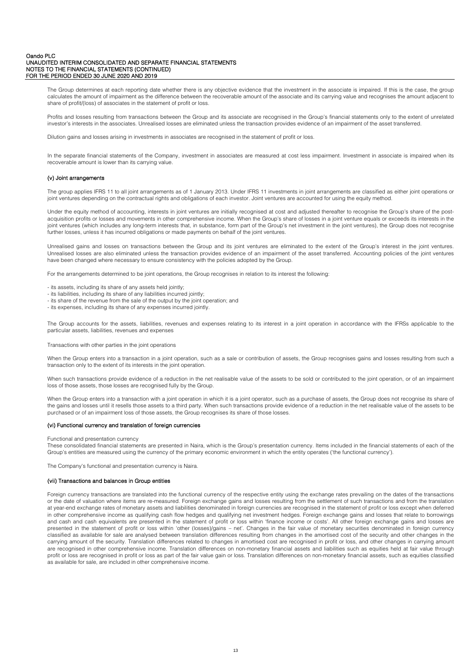The Group determines at each reporting date whether there is any objective evidence that the investment in the associate is impaired. If this is the case, the group calculates the amount of impairment as the difference between the recoverable amount of the associate and its carrying value and recognises the amount adjacent to share of profit/(loss) of associates in the statement of profit or loss.

Profits and losses resulting from transactions between the Group and its associate are recognised in the Group's financial statements only to the extent of unrelated investor's interests in the associates. Unrealised losses are eliminated unless the transaction provides evidence of an impairment of the asset transferred.

Dilution gains and losses arising in investments in associates are recognised in the statement of profit or loss.

In the separate financial statements of the Company, investment in associates are measured at cost less impairment. Investment in associate is impaired when its recoverable amount is lower than its carrying value.

### (v) Joint arrangements

The group applies IFRS 11 to all joint arrangements as of 1 January 2013. Under IFRS 11 investments in joint arrangements are classified as either joint operations or joint ventures depending on the contractual rights and obligations of each investor. Joint ventures are accounted for using the equity method.

Under the equity method of accounting, interests in joint ventures are initially recognised at cost and adjusted thereafter to recognise the Group's share of the postacquisition profits or losses and movements in other comprehensive income. When the Group's share of losses in a joint venture equals or exceeds its interests in the joint ventures (which includes any long-term interests that, in substance, form part of the Group's net investment in the joint ventures), the Group does not recognise further losses, unless it has incurred obligations or made payments on behalf of the joint ventures.

Unrealised gains and losses on transactions between the Group and its joint ventures are eliminated to the extent of the Group's interest in the joint ventures. Unrealised losses are also eliminated unless the transaction provides evidence of an impairment of the asset transferred. Accounting policies of the joint ventures have been changed where necessary to ensure consistency with the policies adopted by the Group.

For the arrangements determined to be joint operations, the Group recognises in relation to its interest the following:

- its assets, including its share of any assets held jointly;
- its liabilities, including its share of any liabilities incurred jointly;
- its share of the revenue from the sale of the output by the joint operation; and
- its expenses, including its share of any expenses incurred jointly.

The Group accounts for the assets, liabilities, revenues and expenses relating to its interest in a joint operation in accordance with the IFRSs applicable to the particular assets, liabilities, revenues and expenses

Transactions with other parties in the joint operations

When the Group enters into a transaction in a joint operation, such as a sale or contribution of assets, the Group recognises gains and losses resulting from such a transaction only to the extent of its interests in the joint operation.

When such transactions provide evidence of a reduction in the net realisable value of the assets to be sold or contributed to the joint operation, or of an impairment loss of those assets, those losses are recognised fully by the Group.

When the Group enters into a transaction with a joint operation in which it is a joint operator, such as a purchase of assets, the Group does not recognise its share of the gains and losses until it resells those assets to a third party. When such transactions provide evidence of a reduction in the net realisable value of the assets to be purchased or of an impairment loss of those assets, the Group recognises its share of those losses.

### (vi) Functional currency and translation of foreign currencies

Functional and presentation currency

These consolidated financial statements are presented in Naira, which is the Group's presentation currency. Items included in the financial statements of each of the Group's entities are measured using the currency of the primary economic environment in which the entity operates ('the functional currency').

The Company's functional and presentation currency is Naira.

### (vii) Transactions and balances in Group entities

Foreign currency transactions are translated into the functional currency of the respective entity using the exchange rates prevailing on the dates of the transactions or the date of valuation where items are re-measured. Foreign exchange gains and losses resulting from the settlement of such transactions and from the translation at year-end exchange rates of monetary assets and liabilities denominated in foreign currencies are recognised in the statement of profit or loss except when deferred in other comprehensive income as qualifying cash flow hedges and qualifying net investment hedges. Foreign exchange gains and losses that relate to borrowings and cash and cash equivalents are presented in the statement of profit or loss within 'finance income or costs'. All other foreign exchange gains and losses are presented in the statement of profit or loss within 'other (losses)/gains - net'. Changes in the fair value of monetary securities denominated in foreign currency classified as available for sale are analysed between translation differences resulting from changes in the amortised cost of the security and other changes in the carrying amount of the security. Translation differences related to changes in amortised cost are recognised in profit or loss, and other changes in carrying amount are recognised in other comprehensive income. Translation differences on non-monetary financial assets and liabilities such as equities held at fair value through profit or loss are recognised in profit or loss as part of the fair value gain or loss. Translation differences on non-monetary financial assets, such as equities classified as available for sale, are included in other comprehensive income.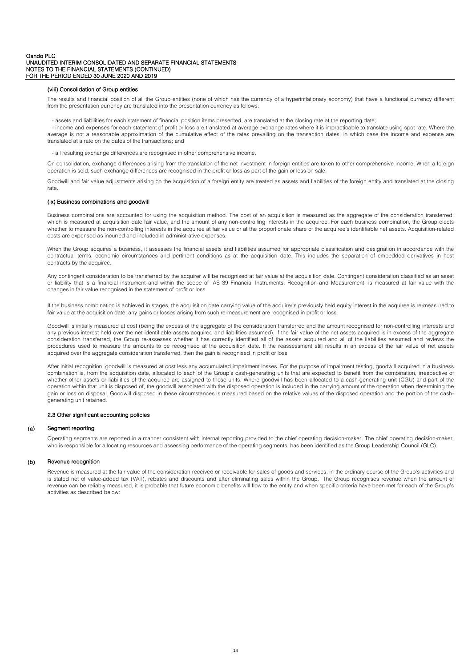### (viii) Consolidation of Group entities

The results and financial position of all the Group entities (none of which has the currency of a hyperinflationary economy) that have a functional currency different from the presentation currency are translated into the presentation currency as follows:

- assets and liabilities for each statement of financial position items presented, are translated at the closing rate at the reporting date;

- income and expenses for each statement of profit or loss are translated at average exchange rates where it is impracticable to translate using spot rate. Where the average is not a reasonable approximation of the cumulative effect of the rates prevailing on the transaction dates, in which case the income and expense are translated at a rate on the dates of the transactions; and

- all resulting exchange differences are recognised in other comprehensive income

On consolidation, exchange differences arising from the translation of the net investment in foreign entities are taken to other comprehensive income. When a foreign operation is sold, such exchange differences are recognised in the profit or loss as part of the gain or loss on sale.

Goodwill and fair value adjustments arising on the acquisition of a foreign entity are treated as assets and liabilities of the foreign entity and translated at the closing rate.

### (ix) Business combinations and goodwill

Business combinations are accounted for using the acquisition method. The cost of an acquisition is measured as the aggregate of the consideration transferred, which is measured at acquisition date fair value, and the amount of any non-controlling interests in the acquiree. For each business combination, the Group elects whether to measure the non-controlling interests in the acquiree at fair value or at the proportionate share of the acquiree's identifiable net assets. Acquisition-related costs are expensed as incurred and included in administrative expenses.

When the Group acquires a business, it assesses the financial assets and liabilities assumed for appropriate classification and designation in accordance with the contractual terms, economic circumstances and pertinent conditions as at the acquisition date. This includes the separation of embedded derivatives in host contracts by the acquiree.

Any contingent consideration to be transferred by the acquirer will be recognised at fair value at the acquisition date. Contingent consideration classified as an asset or liability that is a financial instrument and within the scope of IAS 39 Financial Instruments: Recognition and Measurement, is measured at fair value with the changes in fair value recognised in the statement of profit or loss.

If the business combination is achieved in stages, the acquisition date carrying value of the acquirer's previously held equity interest in the acquiree is re-measured to fair value at the acquisition date; any gains or losses arising from such re-measurement are recognised in profit or loss.

Goodwill is initially measured at cost (being the excess of the aggregate of the consideration transferred and the amount recognised for non-controlling interests and any previous interest held over the net identifiable assets acquired and liabilities assumed). If the fair value of the net assets acquired is in excess of the aggregate consideration transferred, the Group re-assesses whether it has correctly identified all of the assets acquired and all of the liabilities assumed and reviews the procedures used to measure the amounts to be recognised at the acquisition date. If the reassessment still results in an excess of the fair value of net assets acquired over the aggregate consideration transferred, then the gain is recognised in profit or loss.

After initial recognition, goodwill is measured at cost less any accumulated impairment losses. For the purpose of impairment testing, goodwill acquired in a business combination is, from the acquisition date, allocated to each of the Group's cash-generating units that are expected to benefit from the combination, irrespective of whether other assets or liabilities of the acquiree are assigned to those units. Where goodwill has been allocated to a cash-generating unit (CGU) and part of the operation within that unit is disposed of, the goodwill associated with the disposed operation is included in the carrying amount of the operation when determining the gain or loss on disposal. Goodwill disposed in these circumstances is measured based on the relative values of the disposed operation and the portion of the cashgenerating unit retained.

### 2.3 Other significant accounting policies

# (a) Segment reporting

Operating segments are reported in a manner consistent with internal reporting provided to the chief operating decision-maker. The chief operating decision-maker, who is responsible for allocating resources and assessing performance of the operating segments, has been identified as the Group Leadership Council (GLC).

### (b) Revenue recognition

Revenue is measured at the fair value of the consideration received or receivable for sales of goods and services, in the ordinary course of the Group's activities and is stated net of value-added tax (VAT), rebates and discounts and after eliminating sales within the Group. The Group recognises revenue when the amount of revenue can be reliably measured, it is probable that future economic benefits will flow to the entity and when specific criteria have been met for each of the Group's activities as described below: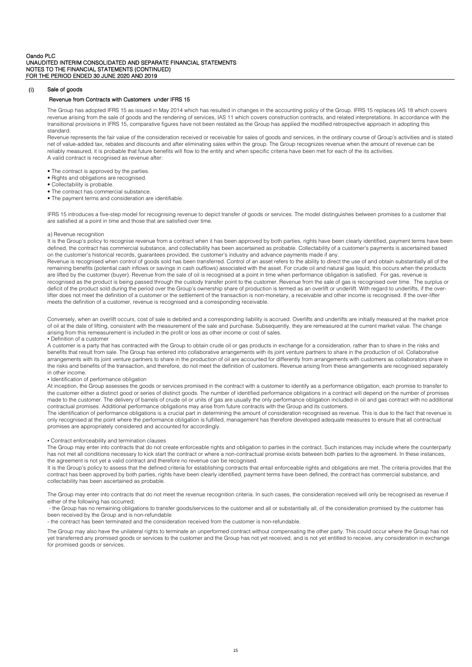### (i) Sale of goods

### Revenue from Contracts with Customers under IFRS 15

The Group has adopted IFRS 15 as issued in May 2014 which has resulted in changes in the accounting policy of the Group. IFRS 15 replaces IAS 18 which covers revenue arising from the sale of goods and the rendering of services, IAS 11 which covers construction contracts, and related interpretations. In accordance with the transitional provisions in IFRS 15, comparative figures have not been restated as the Group has applied the modified retrospective approach in adopting this standard.

Revenue represents the fair value of the consideration received or receivable for sales of goods and services, in the ordinary course of Group's activities and is stated net of value-added tax, rebates and discounts and after eliminating sales within the group. The Group recognizes revenue when the amount of revenue can be reliably measured, it is probable that future benefits will flow to the entity and when specific criteria have been met for each of the its activities. A valid contract is recognised as revenue after:

- The contract is approved by the parties.
- Rights and obligations are recognised.
- Collectability is probable.
- The contract has commercial substance.
- The payment terms and consideration are identifiable.

IFRS 15 introduces a five-step model for recognising revenue to depict transfer of goods or services. The model distinguishes between promises to a customer that are satisfied at a point in time and those that are satisfied over time.

### a) Revenue recognition

It is the Group's policy to recognise revenue from a contract when it has been approved by both parties, rights have been clearly identified, payment terms have been defined, the contract has commercial substance, and collectability has been ascertained as probable. Collectability of a customer's payments is ascertained based on the customer's historical records, guarantees provided, the customer's industry and advance payments made if any.

Revenue is recognised when control of goods sold has been transferred. Control of an asset refers to the ability to direct the use of and obtain substantially all of the remaining benefits (potential cash inflows or savings in cash outflows) associated with the asset. For crude oil and natural gas liquid, this occurs when the products are lifted by the customer (buyer). Revenue from the sale of oil is recognised at a point in time when performance obligation is satisfied. For gas, revenue is recognised as the product is being passed through the custody transfer point to the customer. Revenue from the sale of gas is recognised over time. The surplus or deficit of the product sold during the period over the Group's ownership share of production is termed as an overlift or underlift. With regard to underlifts, if the overlifter does not meet the definition of a customer or the settlement of the transaction is non-monetary, a receivable and other income is recognised. If the over-lifter meets the definition of a customer, revenue is recognised and a corresponding receivable.

Conversely, when an overlift occurs, cost of sale is debited and a corresponding liability is accrued. Overlifts and underlifts are initially measured at the market price of oil at the date of lifting, consistent with the measurement of the sale and purchase. Subsequently, they are remeasured at the current market value. The change arising from this remeasurement is included in the profit or loss as other income or cost of sales. ▪ Definition of a customer

A customer is a party that has contracted with the Group to obtain crude oil or gas products in exchange for a consideration, rather than to share in the risks and benefits that result from sale. The Group has entered into collaborative arrangements with its joint venture partners to share in the production of oil. Collaborative arrangements with its joint venture partners to share in the production of oil are accounted for differently from arrangements with customers as collaborators share in the risks and benefits of the transaction, and therefore, do not meet the definition of customers. Revenue arising from these arrangements are recognised separately in other income.

### ▪ Identification of performance obligation

At inception, the Group assesses the goods or services promised in the contract with a customer to identify as a performance obligation, each promise to transfer to the customer either a distinct good or series of distinct goods. The number of identified performance obligations in a contract will depend on the number of promises made to the customer. The delivery of barrels of crude oil or units of gas are usually the only performance obligation included in oil and gas contract with no additional contractual promises. Additional performance obligations may arise from future contracts with the Group and its customers.

The identification of performance obligations is a crucial part in determining the amount of consideration recognised as revenue. This is due to the fact that revenue is only recognised at the point where the performance obligation is fulfilled, management has therefore developed adequate measures to ensure that all contractual promises are appropriately considered and accounted for accordingly.

### ▪ Contract enforceability and termination clauses

The Group may enter into contracts that do not create enforceable rights and obligation to parties in the contract. Such instances may include where the counterparty has not met all conditions necessary to kick start the contract or where a non-contractual promise exists between both parties to the agreement. In these instances, the agreement is not yet a valid contract and therefore no revenue can be recognised.

It is the Group's policy to assess that the defined criteria for establishing contracts that entail enforceable rights and obligations are met. The criteria provides that the contract has been approved by both parties, rights have been clearly identified, payment terms have been defined, the contract has commercial substance, and collectability has been ascertained as probable.

The Group may enter into contracts that do not meet the revenue recognition criteria. In such cases, the consideration received will only be recognised as revenue if either of the following has occurred;

 - the Group has no remaining obligations to transfer goods/services to the customer and all or substantially all, of the consideration promised by the customer has been received by the Group and is non-refundable

- the contract has been terminated and the consideration received from the customer is non-refundable.

The Group may also have the unilateral rights to terminate an unperformed contract without compensating the other party. This could occur where the Group has not yet transferred any promised goods or services to the customer and the Group has not yet received, and is not yet entitled to receive, any consideration in exchange for promised goods or services.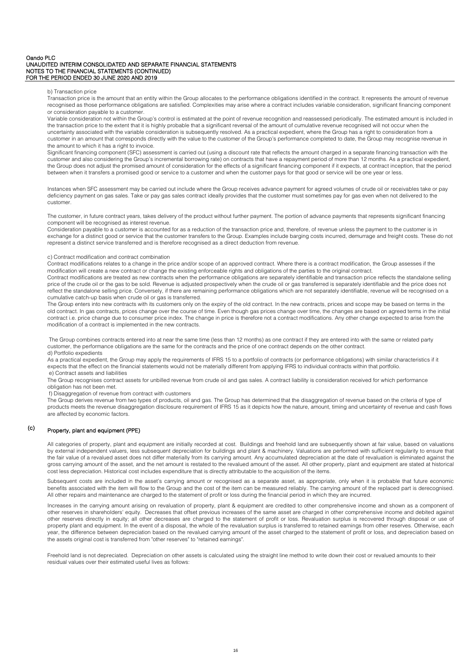### b) Transaction price

Transaction price is the amount that an entity within the Group allocates to the performance obligations identified in the contract. It represents the amount of revenue recognised as those performance obligations are satisfied. Complexities may arise where a contract includes variable consideration, significant financing component or consideration payable to a customer.

Variable consideration not within the Group's control is estimated at the point of revenue recognition and reassessed periodically. The estimated amount is included in the transaction price to the extent that it is highly probable that a significant reversal of the amount of cumulative revenue recognised will not occur when the uncertainty associated with the variable consideration is subsequently resolved. As a practical expedient, where the Group has a right to consideration from a customer in an amount that corresponds directly with the value to the customer of the Group's performance completed to date, the Group may recognise revenue in the amount to which it has a right to invoice.

Significant financing component (SFC) assessment is carried out (using a discount rate that reflects the amount charged in a separate financing transaction with the customer and also considering the Group's incremental borrowing rate) on contracts that have a repayment period of more than 12 months. As a practical expedient, the Group does not adjust the promised amount of consideration for the effects of a significant financing component if it expects, at contract inception, that the period between when it transfers a promised good or service to a customer and when the customer pays for that good or service will be one year or less.

Instances when SFC assessment may be carried out include where the Group receives advance payment for agreed volumes of crude oil or receivables take or pay deficiency payment on gas sales. Take or pay gas sales contract ideally provides that the customer must sometimes pay for gas even when not delivered to the customer.

The customer, in future contract years, takes delivery of the product without further payment. The portion of advance payments that represents significant financing component will be recognised as interest revenue.

Consideration payable to a customer is accounted for as a reduction of the transaction price and, therefore, of revenue unless the payment to the customer is in exchange for a distinct good or service that the customer transfers to the Group. Examples include barging costs incurred, demurrage and freight costs. These do not represent a distinct service transferred and is therefore recognised as a direct deduction from revenue.

### c) Contract modification and contract combination

Contract modifications relates to a change in the price and/or scope of an approved contract. Where there is a contract modification, the Group assesses if the modification will create a new contract or change the existing enforceable rights and obligations of the parties to the original contract.

Contract modifications are treated as new contracts when the performance obligations are separately identifiable and transaction price reflects the standalone selling price of the crude oil or the gas to be sold. Revenue is adjusted prospectively when the crude oil or gas transferred is separately identifiable and the price does not reflect the standalone selling price. Conversely, if there are remaining performance obligations which are not separately identifiable, revenue will be recognised on a cumulative catch-up basis when crude oil or gas is transferred.

The Group enters into new contracts with its customers only on the expiry of the old contract. In the new contracts, prices and scope may be based on terms in the old contract. In gas contracts, prices change over the course of time. Even though gas prices change over time, the changes are based on agreed terms in the initial contract i.e. price change due to consumer price index. The change in price is therefore not a contract modifications. Any other change expected to arise from the modification of a contract is implemented in the new contracts.

 The Group combines contracts entered into at near the same time (less than 12 months) as one contract if they are entered into with the same or related party customer, the performance obligations are the same for the contracts and the price of one contract depends on the other contract. d) Portfolio expedients

As a practical expedient, the Group may apply the requirements of IFRS 15 to a portfolio of contracts (or performance obligations) with similar characteristics if it expects that the effect on the financial statements would not be materially different from applying IFRS to individual contracts within that portfolio.

e) Contract assets and liabilities

The Group recognises contract assets for unbilled revenue from crude oil and gas sales. A contract liability is consideration received for which performance obligation has not been met.

f) Disaggregation of revenue from contract with customers

The Group derives revenue from two types of products, oil and gas. The Group has determined that the disaggregation of revenue based on the criteria of type of products meets the revenue disaggregation disclosure requirement of IFRS 15 as it depicts how the nature, amount, timing and uncertainty of revenue and cash flows are affected by economic factors.

# (c) Property, plant and equipment (PPE)

All categories of property, plant and equipment are initially recorded at cost. Buildings and freehold land are subsequently shown at fair value, based on valuations by external independent valuers, less subsequent depreciation for buildings and plant & machinery. Valuations are performed with sufficient regularity to ensure that the fair value of a revalued asset does not differ materially from its carrying amount. Any accumulated depreciation at the date of revaluation is eliminated against the gross carrying amount of the asset, and the net amount is restated to the revalued amount of the asset. All other property, plant and equipment are stated at historical cost less depreciation. Historical cost includes expenditure that is directly attributable to the acquisition of the items.

Subsequent costs are included in the asset's carrying amount or recognised as a separate asset, as appropriate, only when it is probable that future economic benefits associated with the item will flow to the Group and the cost of the item can be measured reliably. The carrying amount of the replaced part is derecognised. All other repairs and maintenance are charged to the statement of profit or loss during the financial period in which they are incurred.

Increases in the carrying amount arising on revaluation of property, plant & equipment are credited to other comprehensive income and shown as a component of other reserves in shareholders' equity. Decreases that offset previous increases of the same asset are charged in other comprehensive income and debited against other reserves directly in equity; all other decreases are charged to the statement of profit or loss. Revaluation surplus is recovered through disposal or use of property plant and equipment. In the event of a disposal, the whole of the revaluation surplus is transferred to retained earnings from other reserves. Otherwise, each year, the difference between depreciation based on the revalued carrying amount of the asset charged to the statement of profit or loss, and depreciation based on the assets original cost is transferred from "other reserves" to "retained earnings".

Freehold land is not depreciated. Depreciation on other assets is calculated using the straight line method to write down their cost or revalued amounts to their residual values over their estimated useful lives as follows: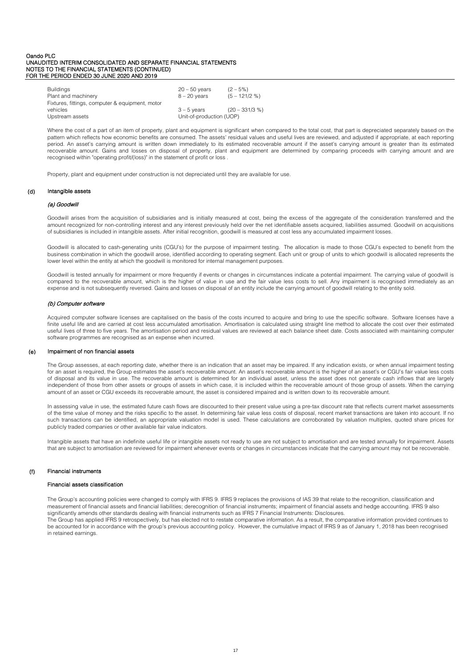| <b>Buildings</b><br>Plant and machinery         | $20 - 50$ years<br>$8 - 20$ years | $(2 - 5\%)$<br>$(5 - 121/2 %$ |  |
|-------------------------------------------------|-----------------------------------|-------------------------------|--|
| Fixtures, fittings, computer & equipment, motor |                                   |                               |  |
| vehicles                                        | $3 - 5$ vears                     | $(20 - 331/3$ %)              |  |
| Upstream assets                                 | Unit-of-production (UOP)          |                               |  |

Where the cost of a part of an item of property, plant and equipment is significant when compared to the total cost, that part is depreciated separately based on the pattern which reflects how economic benefits are consumed. The assets' residual values and useful lives are reviewed, and adjusted if appropriate, at each reporting period. An asset's carrying amount is written down immediately to its estimated recoverable amount if the asset's carrying amount is greater than its estimated recoverable amount. Gains and losses on disposal of property, plant and equipment are determined by comparing proceeds with carrying amount and are recognised within "operating profit/(loss)" in the statement of profit or loss .

Property, plant and equipment under construction is not depreciated until they are available for use.

### (d) Intangible assets

# (a) Goodwill

Goodwill arises from the acquisition of subsidiaries and is initially measured at cost, being the excess of the aggregate of the consideration transferred and the amount recognized for non-controlling interest and any interest previously held over the net identifiable assets acquired, liabilities assumed. Goodwill on acquisitions of subsidiaries is included in intangible assets. After initial recognition, goodwill is measured at cost less any accumulated impairment losses.

Goodwill is allocated to cash-generating units (CGU's) for the purpose of impairment testing. The allocation is made to those CGU's expected to benefit from the business combination in which the goodwill arose, identified according to operating segment. Each unit or group of units to which goodwill is allocated represents the lower level within the entity at which the goodwill is monitored for internal management purposes.

Goodwill is tested annually for impairment or more frequently if events or changes in circumstances indicate a potential impairment. The carrying value of goodwill is compared to the recoverable amount, which is the higher of value in use and the fair value less costs to sell. Any impairment is recognised immediately as an expense and is not subsequently reversed. Gains and losses on disposal of an entity include the carrying amount of goodwill relating to the entity sold.

### (b) Computer software

Acquired computer software licenses are capitalised on the basis of the costs incurred to acquire and bring to use the specific software. Software licenses have a finite useful life and are carried at cost less accumulated amortisation. Amortisation is calculated using straight line method to allocate the cost over their estimated useful lives of three to five years. The amortisation period and residual values are reviewed at each balance sheet date. Costs associated with maintaining computer software programmes are recognised as an expense when incurred.

# (e) Impairment of non financial assets

The Group assesses, at each reporting date, whether there is an indication that an asset may be impaired. If any indication exists, or when annual impairment testing for an asset is required, the Group estimates the asset's recoverable amount. An asset's recoverable amount is the higher of an asset's or CGU's fair value less costs of disposal and its value in use. The recoverable amount is determined for an individual asset, unless the asset does not generate cash inflows that are largely independent of those from other assets or groups of assets in which case, it is included within the recoverable amount of those group of assets. When the carrying amount of an asset or CGU exceeds its recoverable amount, the asset is considered impaired and is written down to its recoverable amount.

In assessing value in use, the estimated future cash flows are discounted to their present value using a pre-tax discount rate that reflects current market assessments of the time value of money and the risks specific to the asset. In determining fair value less costs of disposal, recent market transactions are taken into account. If no such transactions can be identified, an appropriate valuation model is used. These calculations are corroborated by valuation multiples, quoted share prices for publicly traded companies or other available fair value indicators.

Intangible assets that have an indefinite useful life or intangible assets not ready to use are not subject to amortisation and are tested annually for impairment. Assets that are subject to amortisation are reviewed for impairment whenever events or changes in circumstances indicate that the carrying amount may not be recoverable.

# (f) Financial instruments

### Financial assets classification

The Group's accounting policies were changed to comply with IFRS 9. IFRS 9 replaces the provisions of IAS 39 that relate to the recognition, classification and measurement of financial assets and financial liabilities; derecognition of financial instruments; impairment of financial assets and hedge accounting. IFRS 9 also significantly amends other standards dealing with financial instruments such as IFRS 7 Financial Instruments: Disclosures. The Group has applied IFRS 9 retrospectively, but has elected not to restate comparative information. As a result, the comparative information provided continues to be accounted for in accordance with the group's previous accounting policy. However, the cumulative impact of IFRS 9 as of January 1, 2018 has been recognised in retained earnings.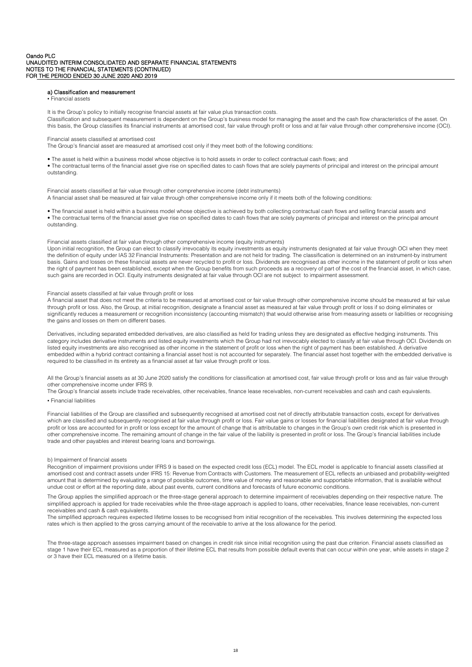# a) Classification and measurement

▪ Financial assets

It is the Group's policy to initially recognise financial assets at fair value plus transaction costs. Classification and subsequent measurement is dependent on the Group's business model for managing the asset and the cash flow characteristics of the asset. On this basis, the Group classifies its financial instruments at amortised cost, fair value through profit or loss and at fair value through other comprehensive income (OCI).

### Financial assets classified at amortised cost

The Group's financial asset are measured at amortised cost only if they meet both of the following conditions:

• The asset is held within a business model whose objective is to hold assets in order to collect contractual cash flows; and • The contractual terms of the financial asset give rise on specified dates to cash flows that are solely payments of principal and interest on the principal amount outstanding.

Financial assets classified at fair value through other comprehensive income (debt instruments) A financial asset shall be measured at fair value through other comprehensive income only if it meets both of the following conditions:

• The financial asset is held within a business model whose objective is achieved by both collecting contractual cash flows and selling financial assets and • The contractual terms of the financial asset give rise on specified dates to cash flows that are solely payments of principal and interest on the principal amount outstanding.

### Financial assets classified at fair value through other comprehensive income (equity instruments)

Upon initial recognition, the Group can elect to classify irrevocably its equity investments as equity instruments designated at fair value through OCI when they meet the definition of equity under IAS 32 Financial Instruments: Presentation and are not held for trading. The classification is determined on an instrument-by instrument basis. Gains and losses on these financial assets are never recycled to profit or loss. Dividends are recognised as other income in the statement of profit or loss when the right of payment has been established, except when the Group benefits from such proceeds as a recovery of part of the cost of the financial asset, in which case, such gains are recorded in OCI. Equity instruments designated at fair value through OCI are not subject to impairment assessment.

### Financial assets classified at fair value through profit or loss

A financial asset that does not meet the criteria to be measured at amortised cost or fair value through other comprehensive income should be measured at fair value through profit or loss. Also, the Group, at initial recognition, designate a financial asset as measured at fair value through profit or loss if so doing eliminates or significantly reduces a measurement or recognition inconsistency (accounting mismatch) that would otherwise arise from measuring assets or liabilities or recognising the gains and losses on them on different bases.

Derivatives, including separated embedded derivatives, are also classified as held for trading unless they are designated as effective hedging instruments. This category includes derivative instruments and listed equity investments which the Group had not irrevocably elected to classify at fair value through OCI. Dividends on listed equity investments are also recognised as other income in the statement of profit or loss when the right of payment has been established. A derivative embedded within a hybrid contract containing a financial asset host is not accounted for separately. The financial asset host together with the embedded derivative is required to be classified in its entirety as a financial asset at fair value through profit or loss.

All the Group's financial assets as at 30 June 2020 satisfy the conditions for classification at amortised cost, fair value through profit or loss and as fair value through other comprehensive income under IFRS 9.

The Group's financial assets include trade receivables, other receivables, finance lease receivables, non-current receivables and cash and cash equivalents.

### ▪ Financial liabilities

Financial liabilities of the Group are classified and subsequently recognised at amortised cost net of directly attributable transaction costs, except for derivatives which are classified and subsequently recognised at fair value through profit or loss. Fair value gains or losses for financial liabilities designated at fair value through profit or loss are accounted for in profit or loss except for the amount of change that is attributable to changes in the Group's own credit risk which is presented in other comprehensive income. The remaining amount of change in the fair value of the liability is presented in profit or loss. The Group's financial liabilities include trade and other payables and interest bearing loans and borrowings.

### b) Impairment of financial assets

Recognition of impairment provisions under IFRS 9 is based on the expected credit loss (ECL) model. The ECL model is applicable to financial assets classified at amortised cost and contract assets under IFRS 15: Revenue from Contracts with Customers. The measurement of ECL reflects an unbiased and probability-weighted amount that is determined by evaluating a range of possible outcomes, time value of money and reasonable and supportable information, that is available without undue cost or effort at the reporting date, about past events, current conditions and forecasts of future economic conditions.

The Group applies the simplified approach or the three-stage general approach to determine impairment of receivables depending on their respective nature. The simplified approach is applied for trade receivables while the three-stage approach is applied to loans, other receivables, finance lease receivables, non-current receivables and cash & cash equivalents.

The simplified approach requires expected lifetime losses to be recognised from initial recognition of the receivables. This involves determining the expected loss rates which is then applied to the gross carrying amount of the receivable to arrive at the loss allowance for the period.

The three-stage approach assesses impairment based on changes in credit risk since initial recognition using the past due criterion. Financial assets classified as stage 1 have their ECL measured as a proportion of their lifetime ECL that results from possible default events that can occur within one year, while assets in stage 2 or 3 have their ECL measured on a lifetime basis.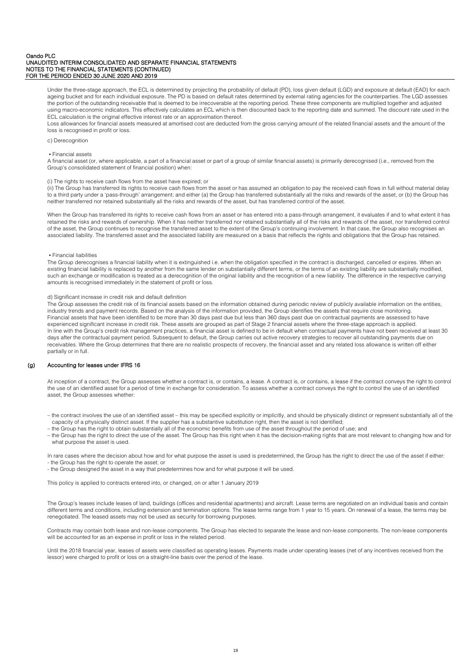Under the three-stage approach, the ECL is determined by projecting the probability of default (PD), loss given default (LGD) and exposure at default (EAD) for each ageing bucket and for each individual exposure. The PD is based on default rates determined by external rating agencies for the counterparties. The LGD assesses the portion of the outstanding receivable that is deemed to be irrecoverable at the reporting period. These three components are multiplied together and adjusted using macro-economic indicators. This effectively calculates an ECL which is then discounted back to the reporting date and summed. The discount rate used in the ECL calculation is the original effective interest rate or an approximation thereof.

Loss allowances for financial assets measured at amortised cost are deducted from the gross carrying amount of the related financial assets and the amount of the loss is recognised in profit or loss.

c) Derecognition

### ▪ Financial assets

A financial asset (or, where applicable, a part of a financial asset or part of a group of similar financial assets) is primarily derecognised (i.e., removed from the Group's consolidated statement of financial position) when:

### (i) The rights to receive cash flows from the asset have expired; or

(ii) The Group has transferred its rights to receive cash flows from the asset or has assumed an obligation to pay the received cash flows in full without material delay to a third party under a 'pass-through' arrangement; and either (a) the Group has transferred substantially all the risks and rewards of the asset, or (b) the Group has neither transferred nor retained substantially all the risks and rewards of the asset, but has transferred control of the asset.

When the Group has transferred its rights to receive cash flows from an asset or has entered into a pass-through arrangement, it evaluates if and to what extent it has retained the risks and rewards of ownership. When it has neither transferred nor retained substantially all of the risks and rewards of the asset, nor transferred control of the asset, the Group continues to recognise the transferred asset to the extent of the Group's continuing involvement. In that case, the Group also recognises an associated liability. The transferred asset and the associated liability are measured on a basis that reflects the rights and obligations that the Group has retained.

### ▪ Financial liabilities

The Group derecognises a financial liability when it is extinguished i.e. when the obligation specified in the contract is discharged, cancelled or expires. When an existing financial liability is replaced by another from the same lender on substantially different terms, or the terms of an existing liability are substantially modified, such an exchange or modification is treated as a derecognition of the original liability and the recognition of a new liability. The difference in the respective carrying amounts is recognised immediately in the statement of profit or loss.

### d) Significant increase in credit risk and default definition

The Group assesses the credit risk of its financial assets based on the information obtained during periodic review of publicly available information on the entities, industry trends and payment records. Based on the analysis of the information provided, the Group identifies the assets that require close monitoring. Financial assets that have been identified to be more than 30 days past due but less than 360 days past due on contractual payments are assessed to have experienced significant increase in credit risk. These assets are grouped as part of Stage 2 financial assets where the three-stage approach is applied. In line with the Group's credit risk management practices, a financial asset is defined to be in default when contractual payments have not been received at least 30 days after the contractual payment period. Subsequent to default, the Group carries out active recovery strategies to recover all outstanding payments due on receivables. Where the Group determines that there are no realistic prospects of recovery, the financial asset and any related loss allowance is written off either partially or in full.

#### $(a)$ Accounting for leases under IFRS 16

At inception of a contract, the Group assesses whether a contract is, or contains, a lease. A contract is, or contains, a lease if the contract conveys the right to control the use of an identified asset for a period of time in exchange for consideration. To assess whether a contract conveys the right to control the use of an identified asset, the Group assesses whether:

- the contract involves the use of an identified asset this may be specified explicitly or implicitly, and should be physically distinct or represent substantially all of the capacity of a physically distinct asset. If the supplier has a substantive substitution right, then the asset is not identified;
- the Group has the right to obtain substantially all of the economic benefits from use of the asset throughout the period of use; and
- the Group has the right to direct the use of the asset. The Group has this right when it has the decision-making rights that are most relevant to changing how and for what purpose the asset is used.

In rare cases where the decision about how and for what purpose the asset is used is predetermined, the Group has the right to direct the use of the asset if either: - the Group has the right to operate the asset; or

- the Group designed the asset in a way that predetermines how and for what purpose it will be used.

This policy is applied to contracts entered into, or changed, on or after 1 January 2019

The Group's leases include leases of land, buildings (offices and residential apartments) and aircraft. Lease terms are negotiated on an individual basis and contain different terms and conditions, including extension and termination options. The lease terms range from 1 year to 15 years. On renewal of a lease, the terms may be renegotiated. The leased assets may not be used as security for borrowing purposes.

Contracts may contain both lease and non-lease components. The Group has elected to separate the lease and non-lease components. The non-lease components will be accounted for as an expense in profit or loss in the related period.

Until the 2018 financial year, leases of assets were classified as operating leases. Payments made under operating leases (net of any incentives received from the lessor) were charged to profit or loss on a straight-line basis over the period of the lease.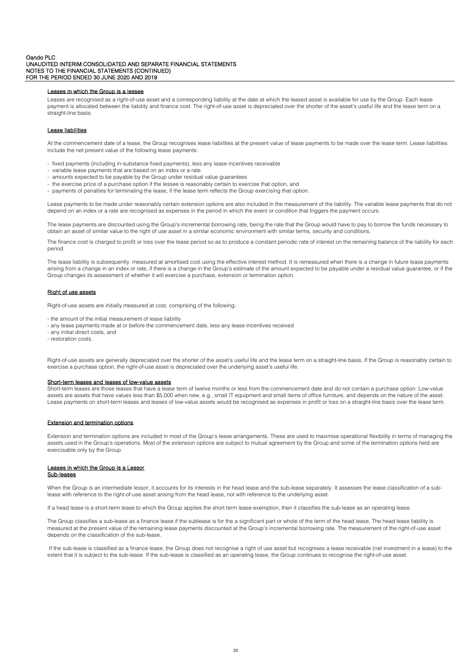# Leases in which the Group is a lessee

Leases are recognised as a right-of-use asset and a corresponding liability at the date at which the leased asset is available for use by the Group. Each lease payment is allocated between the liability and finance cost. The right-of-use asset is depreciated over the shorter of the asset's useful life and the lease term on a straight-line basis.

### Lease liabilities

At the commencement date of a lease, the Group recognises lease liabilities at the present value of lease payments to be made over the lease term. Lease liabilities include the net present value of the following lease payments:

- fixed payments (including in-substance fixed payments), less any lease incentives receivable
- variable lease payments that are based on an index or a rate
- amounts expected to be payable by the Group under residual value guarantees
- the exercise price of a purchase option if the lessee is reasonably certain to exercise that option, and
- payments of penalties for terminating the lease, if the lease term reflects the Group exercising that option.

Lease payments to be made under reasonably certain extension options are also included in the measurement of the liability. The variable lease payments that do not depend on an index or a rate are recognised as expenses in the period in which the event or condition that triggers the payment occurs.

The lease payments are discounted using the Group's incremental borrowing rate, being the rate that the Group would have to pay to borrow the funds necessary to obtain an asset of similar value to the right of use asset in a similar economic environment with similar terms, security and conditions.

The finance cost is charged to profit or loss over the lease period so as to produce a constant periodic rate of interest on the remaining balance of the liability for each period.

The lease liability is subsequently measured at amortised cost using the effective interest method. It is remeasured when there is a change in future lease payments arising from a change in an index or rate, if there is a change in the Group's estimate of the amount expected to be payable under a residual value guarantee, or if the Group changes its assessment of whether it will exercise a purchase, extension or termination option.

# Right of use assets

Right-of-use assets are initially measured at cost, comprising of the following:

- the amount of the initial measurement of lease liability
- any lease payments made at or before the commencement date, less any lease incentives received
- any initial direct costs, and
- restoration costs.

Right-of-use assets are generally depreciated over the shorter of the asset's useful life and the lease term on a straight-line basis. If the Group is reasonably certain to exercise a purchase option, the right-of-use asset is depreciated over the underlying asset's useful life.

### Short-term leases and leases of low-value assets

Short-term leases are those leases that have a lease term of twelve months or less from the commencement date and do not contain a purchase option. Low-value assets are assets that have values less than \$5,000 when new, e.g., small IT equipment and small items of office furniture, and depends on the nature of the asset. Lease payments on short-term leases and leases of low-value assets would be recognised as expenses in profit or loss on a straight-line basis over the lease term.

### Extension and termination options

Extension and termination options are included in most of the Group's lease arrangements. These are used to maximise operational flexibility in terms of managing the assets used in the Group's operations. Most of the extension options are subject to mutual agreement by the Group and some of the termination options held are exercisable only by the Group

### Leases in which the Group is a Lessor Sub-leases

When the Group is an intermediate lessor, it accounts for its interests in the head lease and the sub-lease separately. It assesses the lease classification of a sublease with reference to the right-of-use asset arising from the head lease, not with reference to the underlying asset.

If a head lease is a short-term lease to which the Group applies the short term lease exemption, then it classifies the sub-lease as an operating lease.

The Group classifies a sub-lease as a finance lease if the sublease is for the a significant part or whole of the term of the head lease. The head lease liability is measured at the present value of the remaining lease payments discounted at the Group's incremental borrowing rate. The measurement of the right-of-use asset depends on the classification of the sub-lease.

If the sub-lease is classified as a finance lease, the Group does not recognise a right of use asset but recognises a lease receivable (net investment in a lease) to the extent that it is subject to the sub-lease. If the sub-lease is classified as an operating lease, the Group continues to recognise the right-of-use asset.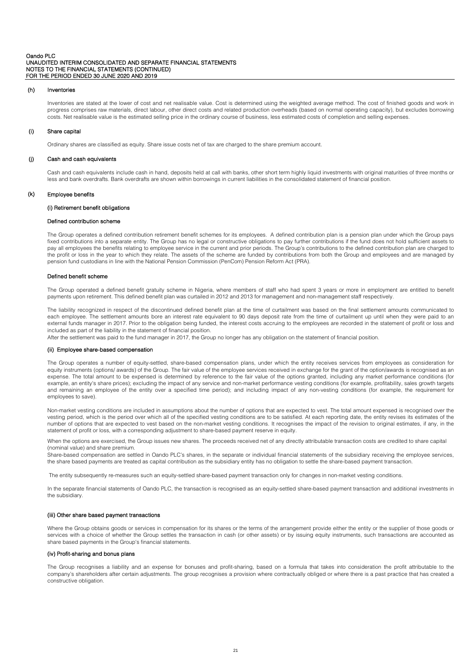#### (h) Inventories

Inventories are stated at the lower of cost and net realisable value. Cost is determined using the weighted average method. The cost of finished goods and work in progress comprises raw materials, direct labour, other direct costs and related production overheads (based on normal operating capacity), but excludes borrowing costs. Net realisable value is the estimated selling price in the ordinary course of business, less estimated costs of completion and selling expenses.

#### (i) Share capital

Ordinary shares are classified as equity. Share issue costs net of tax are charged to the share premium account.

#### (j) Cash and cash equivalents

Cash and cash equivalents include cash in hand, deposits held at call with banks, other short term highly liquid investments with original maturities of three months or less and bank overdrafts. Bank overdrafts are shown within borrowings in current liabilities in the consolidated statement of financial position.

# (k) Employee benefits

# (i) Retirement benefit obligations

### Defined contribution scheme

The Group operates a defined contribution retirement benefit schemes for its employees. A defined contribution plan is a pension plan under which the Group pays fixed contributions into a separate entity. The Group has no legal or constructive obligations to pay further contributions if the fund does not hold sufficient assets to pay all employees the benefits relating to employee service in the current and prior periods. The Group's contributions to the defined contribution plan are charged to the profit or loss in the year to which they relate. The assets of the scheme are funded by contributions from both the Group and employees and are managed by pension fund custodians in line with the National Pension Commission (PenCom) Pension Reform Act (PRA).

### Defined benefit scheme

The Group operated a defined benefit gratuity scheme in Nigeria, where members of staff who had spent 3 years or more in employment are entitled to benefit payments upon retirement. This defined benefit plan was curtailed in 2012 and 2013 for management and non-management staff respectively.

The liability recognized in respect of the discontinued defined benefit plan at the time of curtailment was based on the final settlement amounts communicated to each employee. The settlement amounts bore an interest rate equivalent to 90 days deposit rate from the time of curtailment up until when they were paid to an external funds manager in 2017. Prior to the obligation being funded, the interest costs accruing to the employees are recorded in the statement of profit or loss and included as part of the liability in the statement of financial position.

After the settlement was paid to the fund manager in 2017, the Group no longer has any obligation on the statement of financial position.

# (ii) Employee share-based compensation

The Group operates a number of equity-settled, share-based compensation plans, under which the entity receives services from employees as consideration for equity instruments (options/ awards) of the Group. The fair value of the employee services received in exchange for the grant of the option/awards is recognised as an expense. The total amount to be expensed is determined by reference to the fair value of the options granted, including any market performance conditions (for example, an entity's share prices); excluding the impact of any service and non-market performance vesting conditions (for example, profitability, sales growth targets and remaining an employee of the entity over a specified time period); and including impact of any non-vesting conditions (for example, the requirement for employees to save).

Non-market vesting conditions are included in assumptions about the number of options that are expected to vest. The total amount expensed is recognised over the vesting period, which is the period over which all of the specified vesting conditions are to be satisfied. At each reporting date, the entity revises its estimates of the number of options that are expected to vest based on the non-market vesting conditions. It recognises the impact of the revision to original estimates, if any, in the statement of profit or loss, with a corresponding adjustment to share-based payment reserve in equity.

When the options are exercised, the Group issues new shares. The proceeds received net of any directly attributable transaction costs are credited to share capital (nominal value) and share premium.

Share-based compensation are settled in Oando PLC's shares, in the separate or individual financial statements of the subsidiary receiving the employee services, the share based payments are treated as capital contribution as the subsidiary entity has no obligation to settle the share-based payment transaction.

The entity subsequently re-measures such an equity-settled share-based payment transaction only for changes in non-market vesting conditions.

In the separate financial statements of Oando PLC, the transaction is recognised as an equity-settled share-based payment transaction and additional investments in the subsidiary.

### (iii) Other share based payment transactions

Where the Group obtains goods or services in compensation for its shares or the terms of the arrangement provide either the entity or the supplier of those goods or services with a choice of whether the Group settles the transaction in cash (or other assets) or by issuing equity instruments, such transactions are accounted as share based payments in the Group's financial statements.

### (iv) Profit-sharing and bonus plans

The Group recognises a liability and an expense for bonuses and profit-sharing, based on a formula that takes into consideration the profit attributable to the company's shareholders after certain adjustments. The group recognises a provision where contractually obliged or where there is a past practice that has created a constructive obligation.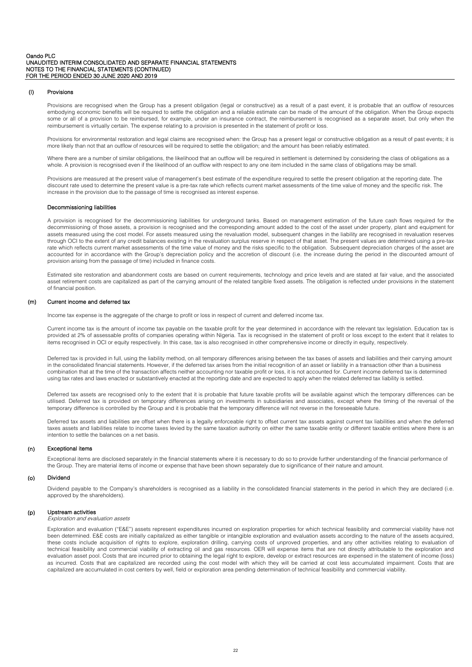#### (l) Provisions

Provisions are recognised when the Group has a present obligation (legal or constructive) as a result of a past event, it is probable that an outflow of resources embodying economic benefits will be required to settle the obligation and a reliable estimate can be made of the amount of the obligation. When the Group expects some or all of a provision to be reimbursed, for example, under an insurance contract, the reimbursement is recognised as a separate asset, but only when the reimbursement is virtually certain. The expense relating to a provision is presented in the statement of profit or loss.

Provisions for environmental restoration and legal claims are recognised when: the Group has a present legal or constructive obligation as a result of past events; it is more likely than not that an outflow of resources will be required to settle the obligation; and the amount has been reliably estimated.

Where there are a number of similar obligations, the likelihood that an outflow will be required in settlement is determined by considering the class of obligations as a whole. A provision is recognised even if the likelihood of an outflow with respect to any one item included in the same class of obligations may be small.

Provisions are measured at the present value of management's best estimate of the expenditure required to settle the present obligation at the reporting date. The discount rate used to determine the present value is a pre-tax rate which reflects current market assessments of the time value of money and the specific risk. The increase in the provision due to the passage of time is recognised as interest expense.

# Decommissioning liabilities

A provision is recognised for the decommissioning liabilities for underground tanks. Based on management estimation of the future cash flows required for the decommissioning of those assets, a provision is recognised and the corresponding amount added to the cost of the asset under property, plant and equipment for assets measured using the cost model. For assets measured using the revaluation model, subsequent changes in the liability are recognised in revaluation reserves through OCI to the extent of any credit balances existing in the revaluation surplus reserve in respect of that asset. The present values are determined using a pre-tax rate which reflects current market assessments of the time value of money and the risks specific to the obligation. Subsequent depreciation charges of the asset are accounted for in accordance with the Group's depreciation policy and the accretion of discount (i.e. the increase during the period in the discounted amount of provision arising from the passage of time) included in finance costs.

Estimated site restoration and abandonment costs are based on current requirements, technology and price levels and are stated at fair value, and the associated asset retirement costs are capitalized as part of the carrying amount of the related tangible fixed assets. The obligation is reflected under provisions in the statement of financial position.

#### (m) Current income and deferred tax

Income tax expense is the aggregate of the charge to profit or loss in respect of current and deferred income tax.

Current income tax is the amount of income tax payable on the taxable profit for the year determined in accordance with the relevant tax legislation. Education tax is provided at 2% of assessable profits of companies operating within Nigeria. Tax is recognised in the statement of profit or loss except to the extent that it relates to items recognised in OCI or equity respectively. In this case, tax is also recognised in other comprehensive income or directly in equity, respectively.

Deferred tax is provided in full, using the liability method, on all temporary differences arising between the tax bases of assets and liabilities and their carrying amount in the consolidated financial statements. However, if the deferred tax arises from the initial recognition of an asset or liability in a transaction other than a business combination that at the time of the transaction affects neither accounting nor taxable profit or loss, it is not accounted for. Current income deferred tax is determined using tax rates and laws enacted or substantively enacted at the reporting date and are expected to apply when the related deferred tax liability is settled.

Deferred tax assets are recognised only to the extent that it is probable that future taxable profits will be available against which the temporary differences can be utilised. Deferred tax is provided on temporary differences arising on investments in subsidiaries and associates, except where the timing of the reversal of the temporary difference is controlled by the Group and it is probable that the temporary difference will not reverse in the foreseeable future.

Deferred tax assets and liabilities are offset when there is a legally enforceable right to offset current tax assets against current tax liabilities and when the deferred taxes assets and liabilities relate to income taxes levied by the same taxation authority on either the same taxable entity or different taxable entities where there is an intention to settle the balances on a net basis.

### (n) Exceptional items

Exceptional items are disclosed separately in the financial statements where it is necessary to do so to provide further understanding of the financial performance of the Group. They are material items of income or expense that have been shown separately due to significance of their nature and amount.

### (o) Dividend

Dividend payable to the Company's shareholders is recognised as a liability in the consolidated financial statements in the period in which they are declared (i.e. approved by the shareholders).

### (p) Upstream activities

### Exploration and evaluation assets

Exploration and evaluation ("E&E") assets represent expenditures incurred on exploration properties for which technical feasibility and commercial viability have not been determined. E&E costs are initially capitalized as either tangible or intangible exploration and evaluation assets according to the nature of the assets acquired, these costs include acquisition of rights to explore, exploration drilling, carrying costs of unproved properties, and any other activities relating to evaluation of technical feasibility and commercial viability of extracting oil and gas resources. OER will expense items that are not directly attributable to the exploration and evaluation asset pool. Costs that are incurred prior to obtaining the legal right to explore, develop or extract resources are expensed in the statement of income (loss) as incurred. Costs that are capitalized are recorded using the cost model with which they will be carried at cost less accumulated impairment. Costs that are capitalized are accumulated in cost centers by well, field or exploration area pending determination of technical feasibility and commercial viability.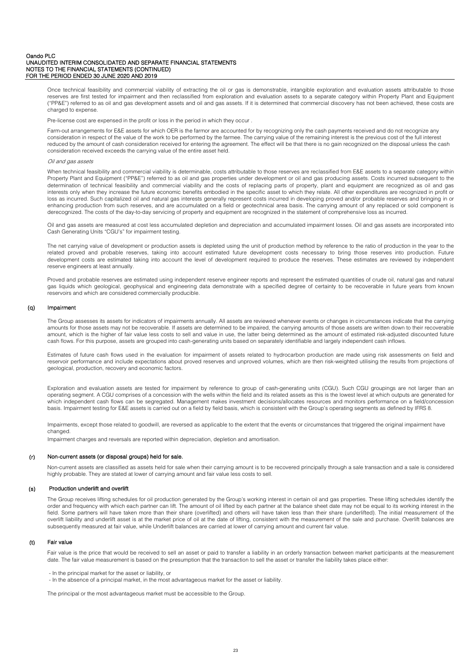Once technical feasibility and commercial viability of extracting the oil or gas is demonstrable, intangible exploration and evaluation assets attributable to those reserves are first tested for impairment and then reclassified from exploration and evaluation assets to a separate category within Property Plant and Equipment ("PP&E") referred to as oil and gas development assets and oil and gas assets. If it is determined that commercial discovery has not been achieved, these costs are charged to expense.

Pre-license cost are expensed in the profit or loss in the period in which they occur

Farm-out arrangements for E&E assets for which OER is the farmor are accounted for by recognizing only the cash payments received and do not recognize any consideration in respect of the value of the work to be performed by the farmee. The carrying value of the remaining interest is the previous cost of the full interest reduced by the amount of cash consideration received for entering the agreement. The effect will be that there is no gain recognized on the disposal unless the cash consideration received exceeds the carrying value of the entire asset held.

### Oil and gas assets

When technical feasibility and commercial viability is determinable, costs attributable to those reserves are reclassified from E&E assets to a separate category within Property Plant and Equipment ("PP&E") referred to as oil and gas properties under development or oil and gas producing assets. Costs incurred subsequent to the determination of technical feasibility and commercial viability and the costs of replacing parts of property, plant and equipment are recognized as oil and gas interests only when they increase the future economic benefits embodied in the specific asset to which they relate. All other expenditures are recognized in profit or loss as incurred. Such capitalized oil and natural gas interests generally represent costs incurred in developing proved and/or probable reserves and bringing in or enhancing production from such reserves, and are accumulated on a field or geotechnical area basis. The carrying amount of any replaced or sold component is derecognized. The costs of the day-to-day servicing of property and equipment are recognized in the statement of comprehensive loss as incurred.

Oil and gas assets are measured at cost less accumulated depletion and depreciation and accumulated impairment losses. Oil and gas assets are incorporated into Cash Generating Units "CGU's" for impairment testing.

The net carrying value of development or production assets is depleted using the unit of production method by reference to the ratio of production in the year to the related proved and probable reserves, taking into account estimated future development costs necessary to bring those reserves into production. Future development costs are estimated taking into account the level of development required to produce the reserves. These estimates are reviewed by independent reserve engineers at least annually.

Proved and probable reserves are estimated using independent reserve engineer reports and represent the estimated quantities of crude oil, natural gas and natural gas liquids which geological, geophysical and engineering data demonstrate with a specified degree of certainty to be recoverable in future years from known reservoirs and which are considered commercially producible.

#### $(a)$ Impairment

The Group assesses its assets for indicators of impairments annually. All assets are reviewed whenever events or changes in circumstances indicate that the carrying amounts for those assets may not be recoverable. If assets are determined to be impaired, the carrying amounts of those assets are written down to their recoverable amount, which is the higher of fair value less costs to sell and value in use, the latter being determined as the amount of estimated risk-adjusted discounted future cash flows. For this purpose, assets are grouped into cash-generating units based on separately identifiable and largely independent cash inflows.

Estimates of future cash flows used in the evaluation for impairment of assets related to hydrocarbon production are made using risk assessments on field and reservoir performance and include expectations about proved reserves and unproved volumes, which are then risk-weighted utilising the results from projections of geological, production, recovery and economic factors.

Exploration and evaluation assets are tested for impairment by reference to group of cash-generating units (CGU). Such CGU groupings are not larger than an operating segment. A CGU comprises of a concession with the wells within the field and its related assets as this is the lowest level at which outputs are generated for which independent cash flows can be segregated. Management makes investment decisions/allocates resources and monitors performance on a field/concession basis. Impairment testing for E&E assets is carried out on a field by field basis, which is consistent with the Group's operating segments as defined by IFRS 8.

Impairments, except those related to goodwill, are reversed as applicable to the extent that the events or circumstances that triggered the original impairment have changed.

Impairment charges and reversals are reported within depreciation, depletion and amortisation.

### (r) Non-current assets (or disposal groups) held for sale.

Non-current assets are classified as assets held for sale when their carrying amount is to be recovered principally through a sale transaction and a sale is considered highly probable. They are stated at lower of carrying amount and fair value less costs to sell.

### (s) Production underlift and overlift

The Group receives lifting schedules for oil production generated by the Group's working interest in certain oil and gas properties. These lifting schedules identify the order and frequency with which each partner can lift. The amount of oil lifted by each partner at the balance sheet date may not be equal to its working interest in the field. Some partners will have taken more than their share (overlifted) and others will have taken less than their share (underlifted). The initial measurement of the overlift liability and underlift asset is at the market price of oil at the date of lifting, consistent with the measurement of the sale and purchase. Overlift balances are subsequently measured at fair value, while Underlift balances are carried at lower of carrying amount and current fair value.

### (t) Fair value

Fair value is the price that would be received to sell an asset or paid to transfer a liability in an orderly transaction between market participants at the measurement date. The fair value measurement is based on the presumption that the transaction to sell the asset or transfer the liability takes place either:

- In the principal market for the asset or liability, or

- In the absence of a principal market, in the most advantageous market for the asset or liability

The principal or the most advantageous market must be accessible to the Group.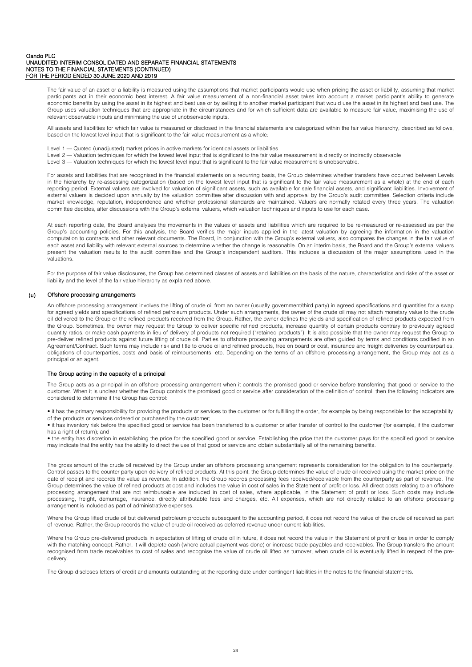The fair value of an asset or a liability is measured using the assumptions that market participants would use when pricing the asset or liability, assuming that market participants act in their economic best interest. A fair value measurement of a non-financial asset takes into account a market participant's ability to generate economic benefits by using the asset in its highest and best use or by selling it to another market participant that would use the asset in its highest and best use. The Group uses valuation techniques that are appropriate in the circumstances and for which sufficient data are available to measure fair value, maximising the use of relevant observable inputs and minimising the use of unobservable inputs.

All assets and liabilities for which fair value is measured or disclosed in the financial statements are categorized within the fair value hierarchy, described as follows, based on the lowest level input that is significant to the fair value measurement as a whole:

Level 1 — Quoted (unadjusted) market prices in active markets for identical assets or liabilities

- Level 2 Valuation techniques for which the lowest level input that is significant to the fair value measurement is directly or indirectly observable
- Level 3 Valuation techniques for which the lowest level input that is significant to the fair value measurement is unobservable.

For assets and liabilities that are recognised in the financial statements on a recurring basis, the Group determines whether transfers have occurred between Levels in the hierarchy by re-assessing categorization (based on the lowest level input that is significant to the fair value measurement as a whole) at the end of each reporting period. External valuers are involved for valuation of significant assets, such as available for sale financial assets, and significant liabilities. Involvement of external valuers is decided upon annually by the valuation committee after discussion with and approval by the Group's audit committee. Selection criteria include market knowledge, reputation, independence and whether professional standards are maintained. Valuers are normally rotated every three years. The valuation committee decides, after discussions with the Group's external valuers, which valuation techniques and inputs to use for each case.

At each reporting date, the Board analyses the movements in the values of assets and liabilities which are required to be re-measured or re-assessed as per the Group's accounting policies. For this analysis, the Board verifies the major inputs applied in the latest valuation by agreeing the information in the valuation computation to contracts and other relevant documents. The Board, in conjunction with the Group's external valuers, also compares the changes in the fair value of each asset and liability with relevant external sources to determine whether the change is reasonable. On an interim basis, the Board and the Group's external valuers present the valuation results to the audit committee and the Group's independent auditors. This includes a discussion of the major assumptions used in the valuations.

For the purpose of fair value disclosures, the Group has determined classes of assets and liabilities on the basis of the nature, characteristics and risks of the asset or liability and the level of the fair value hierarchy as explained above.

### (u) Offshore processing arrangements

An offshore processing arrangement involves the lifting of crude oil from an owner (usually government/third party) in agreed specifications and quantities for a swap for agreed yields and specifications of refined petroleum products. Under such arrangements, the owner of the crude oil may not attach monetary value to the crude oil delivered to the Group or the refined products received from the Group. Rather, the owner defines the yields and specification of refined products expected from the Group. Sometimes, the owner may request the Group to deliver specific refined products, increase quantity of certain products contrary to previously agreed quantity ratios, or make cash payments in lieu of delivery of products not required ("retained products"). It is also possible that the owner may request the Group to pre-deliver refined products against future lifting of crude oil. Parties to offshore processing arrangements are often guided by terms and conditions codified in an Agreement/Contract. Such terms may include risk and title to crude oil and refined products, free on board or cost, insurance and freight deliveries by counterparties, obligations of counterparties, costs and basis of reimbursements, etc. Depending on the terms of an offshore processing arrangement, the Group may act as a principal or an agent.

### The Group acting in the capacity of a principal

The Group acts as a principal in an offshore processing arrangement when it controls the promised good or service before transferring that good or service to the customer. When it is unclear whether the Group controls the promised good or service after consideration of the definition of control, then the following indicators are considered to determine if the Group has control:

• it has the primary responsibility for providing the products or services to the customer or for fulfilling the order, for example by being responsible for the acceptability of the products or services ordered or purchased by the customer;

• it has inventory risk before the specified good or service has been transferred to a customer or after transfer of control to the customer (for example, if the customer has a right of return); and

• the entity has discretion in establishing the price for the specified good or service. Establishing the price that the customer pays for the specified good or service may indicate that the entity has the ability to direct the use of that good or service and obtain substantially all of the remaining benefits.

The gross amount of the crude oil received by the Group under an offshore processing arrangement represents consideration for the obligation to the counterparty. Control passes to the counter party upon delivery of refined products. At this point, the Group determines the value of crude oil received using the market price on the date of receipt and records the value as revenue. In addition, the Group records processing fees received/receivable from the counterparty as part of revenue. The Group determines the value of refined products at cost and includes the value in cost of sales in the Statement of profit or loss. All direct costs relating to an offshore processing arrangement that are not reimbursable are included in cost of sales, where applicable, in the Statement of profit or loss. Such costs may include processing, freight, demurrage, insurance, directly attributable fees and charges, etc. All expenses, which are not directly related to an offshore processing arrangement is included as part of administrative expenses.

Where the Group lifted crude oil but delivered petroleum products subsequent to the accounting period, it does not record the value of the crude oil received as part of revenue. Rather, the Group records the value of crude oil received as deferred revenue under current liabilities.

Where the Group pre-delivered products in expectation of lifting of crude oil in future, it does not record the value in the Statement of profit or loss in order to comply with the matching concept. Rather, it will deplete cash (where actual payment was done) or increase trade payables and receivables. The Group transfers the amount recognised from trade receivables to cost of sales and recognise the value of crude oil lifted as turnover, when crude oil is eventually lifted in respect of the predelivery.

The Group discloses letters of credit and amounts outstanding at the reporting date under contingent liabilities in the notes to the financial statements.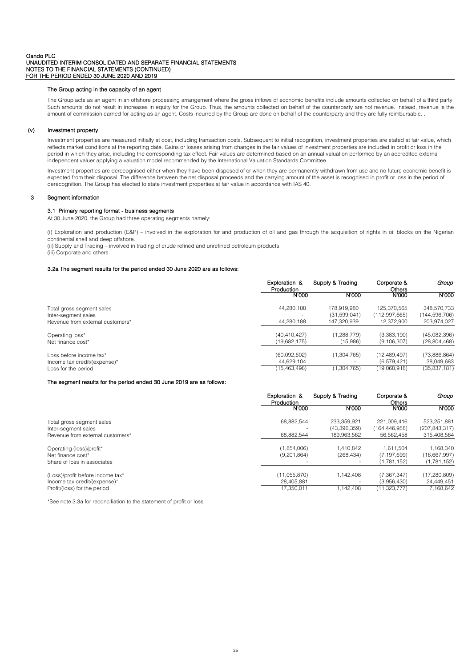# The Group acting in the capacity of an agent

The Group acts as an agent in an offshore processing arrangement where the gross inflows of economic benefits include amounts collected on behalf of a third party. Such amounts do not result in increases in equity for the Group. Thus, the amounts collected on behalf of the counterparty are not revenue. Instead, revenue is the amount of commission earned for acting as an agent. Costs incurred by the Group are done on behalf of the counterparty and they are fully reimbursable. .

### (v) Investment property

Investment properties are measured initially at cost, including transaction costs. Subsequent to initial recognition, investment properties are stated at fair value, which reflects market conditions at the reporting date. Gains or losses arising from changes in the fair values of investment properties are included in profit or loss in the period in which they arise, including the corresponding tax effect. Fair values are determined based on an annual valuation performed by an accredited external independent valuer applying a valuation model recommended by the International Valuation Standards Committee.

Investment properties are derecognised either when they have been disposed of or when they are permanently withdrawn from use and no future economic benefit is expected from their disposal. The difference between the net disposal proceeds and the carrying amount of the asset is recognised in profit or loss in the period of derecognition. The Group has elected to state investment properties at fair value in accordance with IAS 40.

# 3 Segment information

# 3.1 Primary reporting format - business segments

At 30 June 2020, the Group had three operating segments namely:

(i) Exploration and production (E&P) – involved in the exploration for and production of oil and gas through the acquisition of rights in oil blocks on the Nigerian continental shelf and deep offshore.

(ii) Supply and Trading – involved in trading of crude refined and unrefined petroleum products.

(iii) Corporate and others

# 3.2a The segment results for the period ended 30 June 2020 are as follows:

|                                  | Exploration &<br>Production | Supply & Trading | Corporate &<br>Others | Group          |
|----------------------------------|-----------------------------|------------------|-----------------------|----------------|
|                                  | N'000                       | N'000            | N'000                 | N'000          |
| Total gross segment sales        | 44.280.188                  | 178.919.980      | 125.370.565           | 348.570.733    |
| Inter-segment sales              |                             | (31.599.041)     | (112.997.665)         | (144,596,706)  |
| Revenue from external customers* | 44,280,188                  | 147,320,939      | 12.372.900            | 203,974,027    |
| Operating loss*                  | (40, 410, 427)              | (1, 288, 779)    | (3,383,190)           | (45,082,396)   |
| Net finance cost*                | (19.682.175)                | (15.986)         | (9, 106, 307)         | (28, 804, 468) |
| Loss before income tax*          | (60,092,602)                | (1,304,765)      | (12,489,497)          | (73,886,864)   |
| Income tax credit/(expense)*     | 44.629.104                  |                  | (6.579.421)           | 38.049.683     |
| Loss for the period              | (15,463,498)                | (1,304,765)      | (19,068,918)          | (35, 837, 181) |

### The segment results for the period ended 30 June 2019 are as follows:

| Exploration &<br>Production | Supply & Trading | Corporate &<br>Others | Group           |
|-----------------------------|------------------|-----------------------|-----------------|
| N'000                       | N'000            | N'000                 | N'000           |
| 68.882.544                  | 233.359.921      | 221.009.416           | 523.251.881     |
|                             | (43,396,359)     | (164,446,958)         | (207, 843, 317) |
| 68.882.544                  | 189.963.562      | 56.562.458            | 315.408.564     |
| (1,854,006)                 | 1.410.842        | 1.611.504             | 1.168.340       |
| (9,201,864)                 | (268, 434)       | (7, 197, 699)         | (16,667,997)    |
|                             |                  | (1,781,152)           | (1,781,152)     |
| (11,055,870)                | 1.142.408        | (7, 367, 347)         | (17, 280, 809)  |
| 28,405,881                  |                  | (3,956,430)           | 24,449,451      |
| 17.350.011                  | 1.142.408        | (11, 323, 777)        | 7.168.642       |
|                             |                  |                       |                 |

\*See note 3.3a for reconciliation to the statement of profit or loss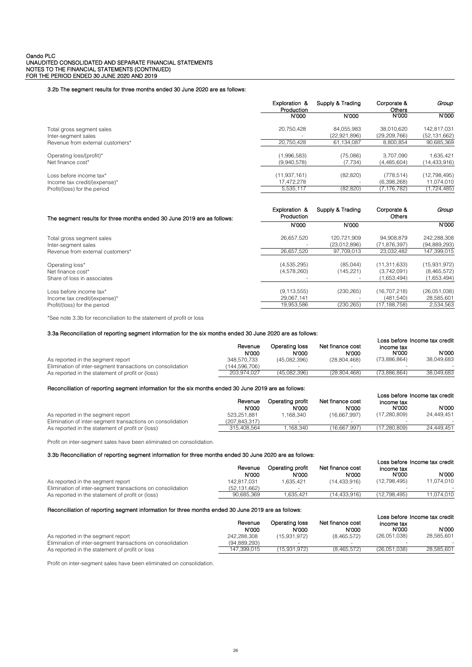# 3.2b The segment results for three months ended 30 June 2020 are as follows:

|                                  | Exploration &<br>Production | Supply & Trading | Corporate &<br><b>Others</b> | Group          |
|----------------------------------|-----------------------------|------------------|------------------------------|----------------|
|                                  | N'000                       | N'000            | N 000                        | N'000          |
| Total gross segment sales        | 20,750,428                  | 84.055.983       | 38.010.620                   | 142,817,031    |
| Inter-segment sales              |                             | (22,921,896)     | (29, 209, 766)               | (52, 131, 662) |
| Revenue from external customers* | 20.750.428                  | 61.134.087       | 8.800.854                    | 90.685.369     |
| Operating loss/(profit)*         | (1,996,583)                 | (75,086)         | 3.707.090                    | 1,635,421      |
| Net finance cost*                | (9.940.578)                 | (7, 734)         | (4.485.604)                  | (14, 433, 916) |
| Loss before income tax*          | (11, 937, 161)              | (82, 820)        | (778, 514)                   | (12, 798, 495) |
| Income tax credit/(expense)*     | 17.472.278                  |                  | (6,398,268)                  | 11.074.010     |
| Profit/(loss) for the period     | 5.535.117                   | (82, 820)        | (7, 176, 782)                | (1,724,485)    |

| The segment results for three months ended 30 June 2019 are as follows: | Exploration &<br>Production | Supply & Trading | Corporate &<br><b>Others</b> | Group          |
|-------------------------------------------------------------------------|-----------------------------|------------------|------------------------------|----------------|
|                                                                         | N'000                       | N'000            |                              | N'000          |
| Total gross segment sales                                               | 26.657.520                  | 120.721.909      | 94.908.879                   | 242.288.308    |
| Inter-segment sales                                                     |                             | (23.012.896)     | (71.876.397)                 | (94, 889, 293) |
| Revenue from external customers*                                        | 26.657.520                  | 97.709.013       | 23.032.482                   | 147,399,015    |
| Operating loss*                                                         | (4,535,295)                 | (85,044)         | (11, 311, 633)               | (15,931,972)   |
| Net finance cost*                                                       | (4,578,260)                 | (145,221)        | (3,742,091)                  | (8,465,572)    |
| Share of loss in associates                                             |                             |                  | (1,653,494)                  | (1,653,494)    |
| Loss before income tax*                                                 | (9, 113, 555)               | (230.265)        | (16.707.218)                 | (26,051,038)   |
| Income tax credit/(expense)*                                            | 29,067,141                  |                  | (481, 540)                   | 28,585,601     |
| Profit/(loss) for the period                                            | 19.953.586                  | (230, 265)       | (17,188,758)                 | 2,534,563      |

\*See note 3.3b for reconciliation to the statement of profit or loss

# 3.3a Reconciliation of reporting segment information for the six months ended 30 June 2020 are as follows:

|                                                            | Revenue       | Operating loss | Net finance cost | income tax   | Loss before Income tax credit |
|------------------------------------------------------------|---------------|----------------|------------------|--------------|-------------------------------|
|                                                            | N'000         | N'000          | N'000            | <b>N'000</b> | N'000                         |
| As reported in the segment report                          | 348.570.733   | (45.082.396)   | (28.804.468)     | (73.886.864) | 38,049,683                    |
| Elimination of inter-segment transactions on consolidation | (144.596.706) |                |                  |              |                               |
| As reported in the statement of profit or (loss)           | 203.974.027   | (45.082.396)   | (28.804.468)     | (73.886.864) | 38.049.683                    |

# Reconciliation of reporting segment information for the six months ended 30 June 2019 are as follows:

|                                                            |                  |                                  |                           |                            | Loss before Income tax credit |
|------------------------------------------------------------|------------------|----------------------------------|---------------------------|----------------------------|-------------------------------|
|                                                            | Revenue<br>N'000 | Operating profit<br><b>N'000</b> | Net finance cost<br>N'000 | income tax<br><b>N'000</b> | N'000                         |
| As reported in the segment report                          | 523.251.881      | .168.340                         | (16.667.997)              | (17.280.809)               | 24.449.451                    |
| Elimination of inter-segment transactions on consolidation | (207.843.317)    |                                  |                           |                            |                               |
| As reported in the statement of profit or (loss)           | 315,408,564      | 168.340                          | (16.667.997)              | (17.280.809)               | 24.449.451                    |

Profit on inter-segment sales have been eliminated on consolidation.

# 3.3b Reconciliation of reporting segment information for three months ended 30 June 2020 are as follows:

|                                                            |                  |                                  |                           |                     | Loss before Income tax credit |
|------------------------------------------------------------|------------------|----------------------------------|---------------------------|---------------------|-------------------------------|
|                                                            | Revenue<br>N'000 | Operating profit<br><b>N'000</b> | Net finance cost<br>N'000 | income tax<br>N'000 | N'000                         |
| As reported in the segment report                          | 142.817.031      | .635.421                         | (14.433.916)              | (12.798.495)        | 11,074,010                    |
| Elimination of inter-segment transactions on consolidation | (52.131.662)     |                                  |                           |                     |                               |
| As reported in the statement of profit or (loss)           | 90.685.369       | .635.421                         | (14.433.916)              | (12.798.495)        | 11.074.010                    |

# Reconciliation of reporting segment information for three months ended 30 June 2019 are as follows:

|                                                            | Revenue<br>N'000 | Operating loss<br>N'000 | Net finance cost<br>N'000 | income tax<br>N'000 | Loss before Income tax credit<br>N'000 |
|------------------------------------------------------------|------------------|-------------------------|---------------------------|---------------------|----------------------------------------|
| As reported in the segment report                          | 242.288.308      | (15.931.972)            | (8.465.572)               | (26.051.038)        | 28.585.601                             |
| Elimination of inter-segment transactions on consolidation | (94.889.293)     |                         |                           |                     |                                        |
| As reported in the statement of profit or loss             | 147.399.015      | (15.931.972)            | (8.465.572)               | (26.051.038)        | 28.585.601                             |

Profit on inter-segment sales have been eliminated on consolidation.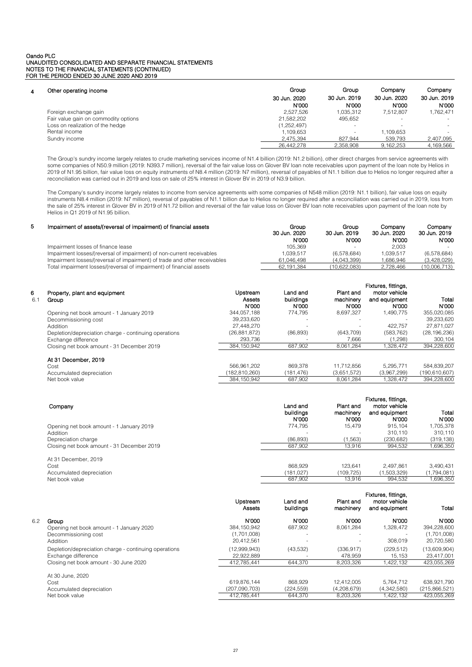| Other operating income               | Group        | Group        | Company      | Company      |
|--------------------------------------|--------------|--------------|--------------|--------------|
|                                      | 30 Jun. 2020 | 30 Jun. 2019 | 30 Jun. 2020 | 30 Jun. 2019 |
|                                      | N'000        | <b>N'000</b> | N'000        | N'000        |
| Foreign exchange gain                | 2.527.526    | 1.035.312    | 7.512.807    | 1.762.471    |
| Fair value gain on commodity options | 21,582,202   | 495.652      |              |              |
| Loss on realization of the hedge     | (1.252.497)  |              |              | $\sim$       |
| Rental income                        | .109.653     |              | 1.109.653    |              |
| Sundry income                        | 2.475.394    | 827.944      | 539.793      | 2.407.095    |
|                                      | 26.442.278   | 2.358.908    | 9.162.253    | 4.169.566    |

The Group's sundry income largely relates to crude marketing services income of N1.4 billion (2019: N1.2 billion), other direct charges from service agreements with some companies of N50.9 million (2019: N393.7 million), reversal of the fair value loss on Glover BV loan note receivables upon payment of the loan note by Helios in 2019 of N1.95 billion, fair value loss on equity instruments of N8.4 million (2019: N7 million), reversal of payables of N1.1 billion due to Helios no longer required after a reconciliation was carried out in 2019 and loss on sale of 25% interest in Glover BV in 2019 of N3.9 billion.

The Company's sundry income largely relates to income from service agreements with some companies of N548 million (2019: N1.1 billion), fair value loss on equity instruments N8.4 million (2019: N7 million), reversal of payables of N1.1 billion due to Helios no longer required after a reconciliation was carried out in 2019, loss from the sale of 25% interest in Glover BV in 2019 of N1.72 billion and reversal of the fair value loss on Glover BV loan note receivables upon payment of the loan note by Helios in Q1 2019 of N1.95 billion.

| Impairment of assets/(reversal of impairment) of financial assets         | Group<br>30 Jun. 2020<br>N'000 | Group<br>30 Jun. 2019<br><b>N'000</b> | Company<br>30 Jun. 2020<br>N'000 | Company<br>30 Jun. 2019<br>N'000 |
|---------------------------------------------------------------------------|--------------------------------|---------------------------------------|----------------------------------|----------------------------------|
| Impairment losses of finance lease                                        | 105.369                        |                                       | 2.003                            |                                  |
| Impairment losses/(reversal of impairment) of non-current receivables     | 1.039.517                      | (6.578.684)                           | 1.039.517                        | (6.578.684)                      |
| Impairment losses/(reversal of impairment) of trade and other receivables | 61.046.498                     | (4.043.399)                           | 1.686.946                        | (3,428,029)                      |
| Total impairment losses/(reversal of impairment) of financial assets      | 62.191.384                     | (10.622.083)                          | 2.728.466                        | (10.006.713)                     |

| 6<br>6.1 | Property, plant and equipment<br>Group                | Upstream<br>Assets<br>N'000 | Land and<br>buildings<br><b>N'000</b> | Plant and<br>machinery<br>N'000 | Fixtures, fittings,<br>motor vehicle<br>and equipment<br>N'000 | Total<br>N'000  |
|----------|-------------------------------------------------------|-----------------------------|---------------------------------------|---------------------------------|----------------------------------------------------------------|-----------------|
|          | Opening net book amount - 1 January 2019              | 344.057.188                 | 774.795                               | 8.697.327                       | .490.775                                                       | 355,020,085     |
|          | Decommissioning cost                                  | 39.233.620                  |                                       |                                 |                                                                | 39.233.620      |
|          | Addition                                              | 27.448.270                  |                                       |                                 | 422.757                                                        | 27.871.027      |
|          | Depletion/depreciation charge - continuing operations | (26, 881, 872)              | (86, 893)                             | (643.709)                       | (583.762)                                                      | (28, 196, 236)  |
|          | Exchange difference                                   | 293.736                     |                                       | 7.666                           | (1,298)                                                        | 300,104         |
|          | Closing net book amount - 31 December 2019            | 384.150.942                 | 687.902                               | 8.061.284                       | .328.472                                                       | 394,228,600     |
|          | At 31 December, 2019                                  |                             |                                       |                                 |                                                                |                 |
|          | Cost                                                  | 566.961.202                 | 869.378                               | 11.712.856                      | 5.295.771                                                      | 584.839.207     |
|          | Accumulated depreciation                              | (182.810.260)               | (181.476)                             | (3,651,572)                     | (3.967.299)                                                    | (190, 610, 607) |
|          | Net book value                                        | 384.150.942                 | 687.902                               | 8.061.284                       | ,328,472                                                       | 394.228.600     |

| Company                                    | Land and           | Plant and          | Fixtures, fittings,<br>motor vehicle |                |
|--------------------------------------------|--------------------|--------------------|--------------------------------------|----------------|
|                                            | buildings<br>N'000 | machinery<br>N'000 | and equipment<br>N'000               | Total<br>N'000 |
| Opening net book amount - 1 January 2019   | 774.795            | 15.479             | 915.104                              | 1.705.378      |
| Addition                                   |                    |                    | 310.110                              | 310.110        |
| Depreciation charge                        | (86, 893)          | 1,563)             | (230, 682)                           | (319, 138)     |
| Closing net book amount - 31 December 2019 | 687.902            | 13.916             | 994,532                              | ,696,350       |
| At 31 December, 2019                       |                    |                    |                                      |                |
| Cost                                       | 868,929            | 123.641            | 2.497.861                            | 3.490.431      |
| Accumulated depreciation                   | (181.027)          | (109.725)          | (1,503,329)                          | (1,794,081)    |
| Net book value                             | 687.902            | 13,916             | 994.532                              | .696.350       |

|     |                                                       | Upstream<br>Assets | Land and<br>buildings | Plant and<br>machinery | Fixtures, fittings,<br>motor vehicle<br>and equipment | Total         |
|-----|-------------------------------------------------------|--------------------|-----------------------|------------------------|-------------------------------------------------------|---------------|
| 6.2 | Group                                                 | N'000              | N'000                 | N'000                  | N'000                                                 | N'000         |
|     | Opening net book amount - 1 January 2020              | 384.150.942        | 687.902               | 8.061.284              | 1.328.472                                             | 394,228,600   |
|     | Decommissioning cost                                  | (1,701,008)        |                       |                        |                                                       | (1,701,008)   |
|     | Addition                                              | 20,412,561         |                       |                        | 308,019                                               | 20,720,580    |
|     | Depletion/depreciation charge - continuing operations | (12,999,943)       | (43, 532)             | (336.917)              | (229, 512)                                            | (13,609,904)  |
|     | Exchange difference                                   | 22,922,889         |                       | 478.959                | 15,153                                                | 23,417,001    |
|     | Closing net book amount - 30 June 2020                | 412.785.441        | 644.370               | 8.203.326              | 1.422.132                                             | 423.055.269   |
|     | At 30 June, 2020                                      |                    |                       |                        |                                                       |               |
|     | Cost                                                  | 619.876.144        | 868,929               | 12.412.005             | 5.764.712                                             | 638,921,790   |
|     | Accumulated depreciation                              | (207.090.703)      | (224, 559)            | (4,208,679)            | (4,342,580)                                           | (215,866,521) |
|     | Net book value                                        | 412.785.441        | 644,370               | 8.203.326              | 1.422.132                                             | 423.055.269   |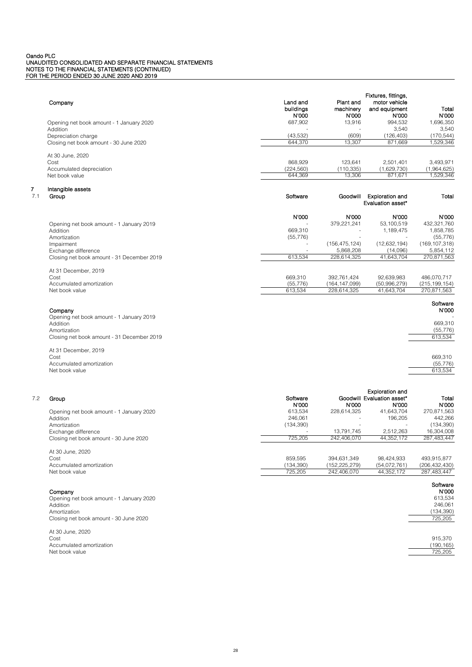| Company                                  | Land and<br>buildings<br><b>N'000</b> | Plant and<br>machinery<br>N'000 | Fixtures, fittings,<br>motor vehicle<br>and equipment<br>N 000 | Total<br>N'000 |
|------------------------------------------|---------------------------------------|---------------------------------|----------------------------------------------------------------|----------------|
| Opening net book amount - 1 January 2020 | 687,902                               | 13.916                          | 994.532                                                        | .696,350       |
| Addition                                 |                                       |                                 | 3.540                                                          | 3.540          |
| Depreciation charge                      | (43, 532)                             | (609)                           | (126,403)                                                      | (170, 544)     |
| Closing net book amount - 30 June 2020   | 644,370                               | 13,307                          | 871,669                                                        | ,529,346       |
| At 30 June, 2020                         |                                       |                                 |                                                                |                |
| Cost                                     | 868,929                               | 123.641                         | 2.501.401                                                      | 3.493.971      |
| Accumulated depreciation                 | (224, 560)                            | (110,335)                       | (1,629,730)                                                    | (1,964,625)    |
| Net book value                           | 644,369                               | 13,306                          | 871.671                                                        | ,529,346       |

# 7 Intangible assets

7.1

| Group                                      | Software                 | Goodwill        | <b>Exploration and</b><br>Evaluation asset* | Total           |
|--------------------------------------------|--------------------------|-----------------|---------------------------------------------|-----------------|
|                                            | N'000                    | N'000           | N'000                                       | N'000           |
| Opening net book amount - 1 January 2019   |                          | 379.221.241     | 53.100.519                                  | 432,321,760     |
| Addition                                   | 669,310                  |                 | 1.189.475                                   | 1,858,785       |
| Amortization                               | (55, 776)                |                 |                                             | (55, 776)       |
| Impairment                                 | $\,$                     | (156, 475, 124) | (12,632,194)                                | (169, 107, 318) |
| Exchange difference                        | $\overline{\phantom{a}}$ | 5.868.208       | (14,096)                                    | 5,854,112       |
| Closing net book amount - 31 December 2019 | 613.534                  | 228.614.325     | 41.643.704                                  | 270.871.563     |
| At 31 December, 2019                       |                          |                 |                                             |                 |
| Cost                                       | 669,310                  | 392.761.424     | 92.639.983                                  | 486.070.717     |
| Accumulated amortization                   | (55.776)                 | (164.147.099)   | (50.996.279)                                | (215, 199, 154) |
| Net book value                             | 613.534                  | 228.614.325     | 41.643.704                                  | 270.871.563     |

### Company N'000

| Opening net book amount - 1 January 2019   |           |
|--------------------------------------------|-----------|
| Addition                                   | 669,310   |
| Amortization                               | (55, 776) |
| Closing net book amount - 31 December 2019 | 613.534   |

At 31 December, 2019 Cost 669,310 Accumulated amortization<br>Net book value Net book value 613,534

| 013,034        |
|----------------|
|                |
|                |
|                |
| 669,310        |
| $\epsilon = -$ |

Software<br>N'000

| 55.7<br>(6)     |
|-----------------|
| 52<br>613.<br>4 |
|                 |

|     |                                          |            |                 | <b>Exploration and</b>     |                 |
|-----|------------------------------------------|------------|-----------------|----------------------------|-----------------|
| 7.2 | Group                                    | Software   |                 | Goodwill Evaluation asset* | Total           |
|     |                                          | N'000      | N'000           | N'000                      | N'000           |
|     | Opening net book amount - 1 January 2020 | 613.534    | 228.614.325     | 41,643,704                 | 270,871,563     |
|     | Addition                                 | 246.061    |                 | 196.205                    | 442.266         |
|     | Amortization                             | (134, 390) |                 |                            | (134, 390)      |
|     | Exchange difference                      |            | 13.791.745      | 2.512.263                  | 16,304,008      |
|     | Closing net book amount - 30 June 2020   | 725.205    | 242.406.070     | 44.352.172                 | 287,483,447     |
|     | At 30 June, 2020                         |            |                 |                            |                 |
|     | Cost                                     | 859.595    | 394.631.349     | 98.424.933                 | 493.915.877     |
|     | Accumulated amortization                 | (134.390)  | (152, 225, 279) | (54,072,761)               | (206, 432, 430) |
|     | Net book value                           | 725.205    | 242,406,070     | 44,352,172                 | 287.483.447     |

Opening net book amount - 1 January 2020 613,534 Addition 246,061 Amortization (134,390) Closing net book amount - 30 June 2020

At 30 June, 2020 Cost 915,370 ----<br>Accumulated amortization<br>Net book value Net book value 725,205

Software

| Company                                           | N'000     |
|---------------------------------------------------|-----------|
| Opening net book amount - 1 January 2020          | 613.534   |
| Addition                                          | 246.061   |
| Amortization                                      | (134,390) |
| .<br>$\sim$ $\sim$ $\sim$<br>$\sim$ $\sim$ $\sim$ | $n = 0$   |

| 915.370   |  |
|-----------|--|
| (190,165) |  |
| 795 905   |  |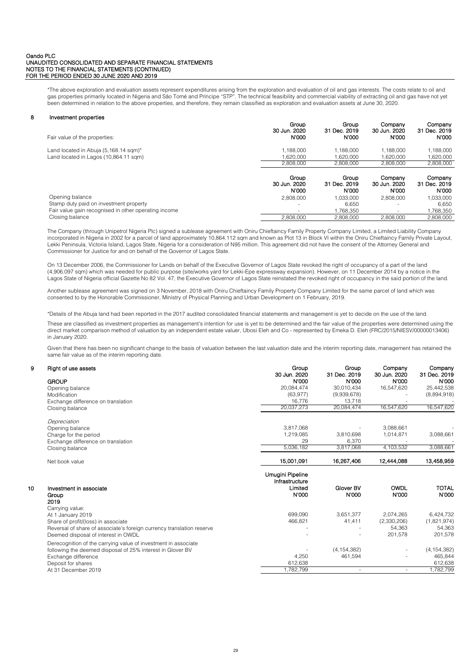\*The above exploration and evaluation assets represent expenditures arising from the exploration and evaluation of oil and gas interests. The costs relate to oil and gas properties primarily located in Nigeria and São Tomé and Príncipe "STP". The technical feasibility and commercial viability of extracting oil and gas have not yet gas properties primarily located in Nigeria and São Tom been determined in relation to the above properties, and therefore, they remain classified as exploration and evaluation assets at June 30, 2020.

# 8 Investment properties

| Fair value of the properties:                                                  | Group                               | Group                               | Company                             | Company                             |
|--------------------------------------------------------------------------------|-------------------------------------|-------------------------------------|-------------------------------------|-------------------------------------|
|                                                                                | 30 Jun. 2020                        | 31 Dec. 2019                        | 30 Jun. 2020                        | 31 Dec. 2019                        |
|                                                                                | N'000                               | N'000                               | N'000                               | N'000                               |
| Land located in Abuja (5,168.14 sqm)*<br>Land located in Lagos (10,864.11 sqm) | 1.188.000<br>1.620.000<br>2.808.000 | 1.188.000<br>1.620.000<br>2.808.000 | 1.188.000<br>1.620.000<br>2,808,000 | 1,188,000<br>1.620.000<br>2.808.000 |
|                                                                                | Group                               | Group                               | Company                             | Company                             |
|                                                                                | 30 Jun. 2020                        | 31 Dec. 2019                        | 30 Jun. 2020                        | 31 Dec. 2019                        |
|                                                                                | N'000                               | N'000                               | N'000                               | N'000                               |
| Opening balance                                                                | 2.808.000                           | 1.033.000                           | 2.808.000                           | 1,033,000                           |
| Stamp duty paid on investment property                                         | $\overline{\phantom{a}}$            | 6.650                               | $\overline{\phantom{a}}$            | 6.650                               |
| Fair value gain recognised in other operating income                           |                                     | 1.768.350                           |                                     | 1.768.350                           |

The Company (through Unipetrol Nigeria Plc) signed a sublease agreement with Oniru Chieftaincy Family Property Company Limited, a Limited Liability Company incorporated in Nigeria in 2002 for a parcel of land approximately 10,864.112 sqm and known as Plot 13 in Block VI within the Oniru Chieftaincy Family Private Layout, Lekki Peninsula, Victoria Island, Lagos State, Nigeria for a consideration of N95 million. This agreement did not have the consent of the Attorney General and Commissioner for Justice for and on behalf of the Governor of Lagos State.

On 13 December 2006, the Commissioner for Lands on behalf of the Executive Governor of Lagos State revoked the right of occupancy of a part of the land (4,906.097 sqm) which was needed for public purpose (site/works yard for Lekki-Epe expressway expansion). However, on 11 December 2014 by a notice in the Lagos State of Nigeria official Gazette No 82 Vol. 47, the Executive Governor of Lagos State reinstated the revoked right of occupancy in the said portion of the land.

Another sublease agreement was signed on 3 November, 2018 with Oniru Chieftaincy Family Property Company Limited for the same parcel of land which was consented to by the Honorable Commissioner, Ministry of Physical Planning and Urban Development on 1 February, 2019.

\*Details of the Abuja land had been reported in the 2017 audited consolidated financial statements and management is yet to decide on the use of the land.

These are classified as investment properties as management's intention for use is yet to be determined and the fair value of the properties were determined using the direct market comparison method of valuation by an independent estate valuer, Ubosi Eleh and Co - represented by Emeka D. Eleh (FRC/2015/NIESV/00000013406) in January 2020.

Given that there has been no significant change to the basis of valuation between the last valuation date and the interim reporting date, management has retained the same fair value as of the interim reporting date.

| 9 | Right of use assets                | Group<br>30 Jun. 2020 | Group<br>31 Dec. 2019 | Company<br>30 Jun. 2020 | Company<br>31 Dec. 2019 |
|---|------------------------------------|-----------------------|-----------------------|-------------------------|-------------------------|
|   | <b>GROUP</b>                       | N'000                 | N'000                 | N'000                   | N'000                   |
|   | Opening balance                    | 20,084,474            | 30.010.434            | 16.547.620              | 25.442.538              |
|   | Modification                       | (63.977)              | (9,939,678)           | ۰                       | (8,894,918)             |
|   | Exchange difference on translation | 16.776                | 13.718                |                         |                         |
|   | Closing balance                    | 20.037.273            | 20.084.474            | 16.547.620              | 16.547.620              |
|   | Depreciation                       |                       |                       |                         |                         |
|   | Opening balance                    | 3.817.068             |                       | 3.088.661               |                         |
|   | Charge for the period              | 1.219.085             | 3.810.698             | 1.014.871               | 3.088.661               |
|   | Exchange difference on translation | 29                    | 6,370                 |                         |                         |
|   | Closing balance                    | 5,036,182             | 3,817,068             | 4,103,532               | 3,088,661               |
|   | Net book value                     | 15,001.091            | 16,267,406            | 12,444,088              | 13,458,959              |
|   |                                    | I Imugini Pineline.   |                       |                         |                         |

|                                                                       | Umugini Pipeline<br>Infrastructure |               |             |               |
|-----------------------------------------------------------------------|------------------------------------|---------------|-------------|---------------|
| Investment in associate                                               | Limited                            | Glover BV     | OWDL        | <b>TOTAL</b>  |
| Group                                                                 |                                    |               |             | <b>N'000</b>  |
| 2019                                                                  |                                    |               |             |               |
| Carrying value:                                                       |                                    |               |             |               |
| At 1 January 2019                                                     | 699.090                            | 3.651.377     | 2.074.265   | 6.424.732     |
| Share of profit/(loss) in associate                                   | 466.821                            | 41.411        | (2.330.206) | (1,821,974)   |
| Reversal of share of associate's foreign currency translation reserve |                                    |               | 54.363      | 54.363        |
| Deemed disposal of interest in OWDL                                   |                                    |               | 201.578     | 201.578       |
| Derecognition of the carrying value of investment in associate        |                                    |               |             |               |
| following the deemed disposal of 25% interest in Glover BV            |                                    | (4, 154, 382) |             | (4, 154, 382) |
| Exchange difference                                                   | 4.250                              | 461.594       | $\sim$      | 465.844       |
| Deposit for shares                                                    | 612.638                            |               |             | 612,638       |
| At 31 December 2019                                                   | 1,782,799                          |               |             | 1,782,799     |
|                                                                       |                                    | N'000         | N'000       | N'000         |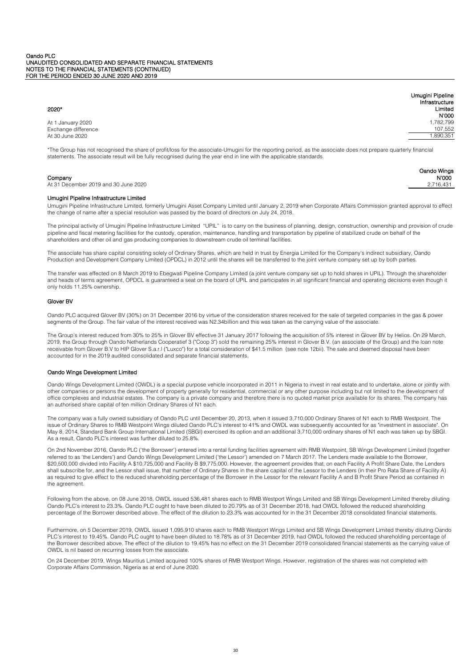| 2020*               | Umugini Pipeline<br>Infrastructure<br>Limited<br>N'000 |
|---------------------|--------------------------------------------------------|
| At 1 January 2020   | 1,782,799                                              |
| Exchange difference | 107,552                                                |
| At 30 June 2020     | 1,890,351                                              |

\*The Group has not recognised the share of profit/loss for the associate-Umugini for the reporting period, as the associate does not prepare quarterly financial statements. The associate result will be fully recognised during the year end in line with the applicable standards.

### Company N'000

At 31 December 2019 and 30 June 2020 2,716,431

# Umugini Pipeline Infrastructure Limited

Umugini Pipeline Infrastructure Limited, formerly Umugini Asset Company Limited until January 2, 2019 when Corporate Affairs Commission granted approval to effect the change of name after a special resolution was passed by the board of directors on July 24, 2018.

Oando Wings

The principal activity of Umugini Pipeline Infrastructure Limited "UPIL" is to carry on the business of planning, design, construction, ownership and provision of crude pipeline and fiscal metering facilities for the custody, operation, maintenance, handling and transportation by pipeline of stabilized crude on behalf of the shareholders and other oil and gas producing companies to downstream crude oil terminal facilities.

The associate has share capital consisting solely of Ordinary Shares, which are held in trust by Energia Limited for the Company's indirect subsidiary, Oando Production and Development Company Limited (OPDCL) in 2012 until the shares will be transferred to the joint venture company set up by both parties.

The transfer was effected on 8 March 2019 to Ebegwati Pipeline Company Limited (a joint venture company set up to hold shares in UPIL). Through the shareholder and heads of terms agreement, OPDCL is guaranteed a seat on the board of UPIL and participates in all significant financial and operating decisions even though it only holds 11.25% ownership.

### Glover BV

Oando PLC acquired Glover BV (30%) on 31 December 2016 by virtue of the consideration shares received for the sale of targeted companies in the gas & power segments of the Group. The fair value of the interest received was N2.34billion and this was taken as the carrying value of the associate.

The Group's interest reduced from 30% to 25% in Glover BV effective 31 January 2017 following the acquisition of 5% interest in Glover BV by Helios. On 29 March, 2019, the Group through Oando Netherlands Cooperatief 3 ("Coop 3") sold the remaining 25% interest in Glover B.V. (an associate of the Group) and the loan note receivable from Glover B.V to HIP Glover S.a.r.l ("Luxco") for a total consideration of \$41.5 million (see note 12bii). The sale and deemed disposal have been accounted for in the 2019 audited consolidated and separate financial statements.

### Oando Wings Development Limited

Oando Wings Development Limited (OWDL) is a special purpose vehicle incorporated in 2011 in Nigeria to invest in real estate and to undertake, alone or jointly with other companies or persons the development of property generally for residential, commercial or any other purpose including but not limited to the development of office complexes and industrial estates. The company is a private company and therefore there is no quoted market price available for its shares. The company has an authorised share capital of ten million Ordinary Shares of N1 each.

The company was a fully owned subsidiary of Oando PLC until December 20, 2013, when it issued 3,710,000 Ordinary Shares of N1 each to RMB Westpoint. The issue of Ordinary Shares to RMB Westpoint Wings diluted Oando PLC's interest to 41% and OWDL was subsequently accounted for as "investment in associate". On May 8, 2014, Standard Bank Group International Limited (SBGI) exercised its option and an additional 3,710,000 ordinary shares of N1 each was taken up by SBGI. As a result, Oando PLC's interest was further diluted to 25.8%.

On 2nd November 2016, Oando PLC ('the Borrower') entered into a rental funding facilities agreement with RMB Westpoint, SB Wings Development Limited (together referred to as 'the Lenders') and Oando Wings Development Limited ('the Lessor') amended on 7 March 2017. The Lenders made available to the Borrower, \$20,500,000 divided into Facility A \$10,725,000 and Facility B \$9,775,000. However, the agreement provides that, on each Facility A Profit Share Date, the Lenders shall subscribe for, and the Lessor shall issue, that number of Ordinary Shares in the share capital of the Lessor to the Lenders (in their Pro Rata Share of Facility A) as required to give effect to the reduced shareholding percentage of the Borrower in the Lessor for the relevant Facility A and B Profit Share Period as contained in the agreement.

Following from the above, on 08 June 2018, OWDL issued 536,481 shares each to RMB Westport Wings Limited and SB Wings Development Limited thereby diluting Oando PLC's interest to 23.3%. Oando PLC ought to have been diluted to 20.79% as of 31 December 2018, had OWDL followed the reduced shareholding percentage of the Borrower described above. The effect of the dilution to 23.3% was accounted for in the 31 December 2018 consolidated financial statements.

Furthermore, on 5 December 2019, OWDL issued 1,095,910 shares each to RMB Westport Wings Limited and SB Wings Development Limited thereby diluting Oando PLC's interest to 19.45%. Oando PLC ought to have been diluted to 18.78% as of 31 December 2019, had OWDL followed the reduced shareholding percentage of the Borrower described above. The effect of the dilution to 19.45% has no effect on the 31 December 2019 consolidated financial statements as the carrying value of OWDL is nil based on recurring losses from the associate.

On 24 December 2019, Wings Mauritius Limited acquired 100% shares of RMB Westport Wings. However, registration of the shares was not completed with Corporate Affairs Commission, Nigeria as at end of June 2020.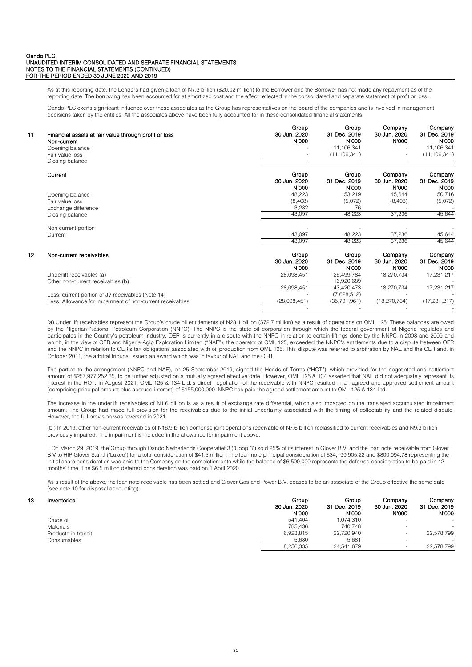As at this reporting date, the Lenders had given a loan of N7.3 billion (\$20.02 million) to the Borrower and the Borrower has not made any repayment as of the reporting date. The borrowing has been accounted for at amortized cost and the effect reflected in the consolidated and separate statement of profit or loss.

Oando PLC exerts significant influence over these associates as the Group has representatives on the board of the companies and is involved in management decisions taken by the entities. All the associates above have been fully accounted for in these consolidated financial statements.

| 11              | Financial assets at fair value through profit or loss     | Group<br>30 Jun. 2020 | Group<br>31 Dec. 2019                                                                                                                                                                                                                                                  | Company<br>30 Jun. 2020 | Company<br>31 Dec. 2019 |
|-----------------|-----------------------------------------------------------|-----------------------|------------------------------------------------------------------------------------------------------------------------------------------------------------------------------------------------------------------------------------------------------------------------|-------------------------|-------------------------|
|                 | Non-current                                               | N'000                 | N'000                                                                                                                                                                                                                                                                  | N'000                   | N'000                   |
|                 | Opening balance                                           |                       | 11,106,341                                                                                                                                                                                                                                                             |                         | 11,106,341              |
|                 | Fair value loss                                           |                       | (11, 106, 341)                                                                                                                                                                                                                                                         | ٠                       | (11, 106, 341)          |
|                 | Closing balance                                           |                       |                                                                                                                                                                                                                                                                        | $\sim$                  |                         |
|                 | Current                                                   | Group                 | Group                                                                                                                                                                                                                                                                  | Company                 | Company                 |
|                 |                                                           | 30 Jun. 2020          | 31 Dec. 2019                                                                                                                                                                                                                                                           | 30 Jun. 2020            | 31 Dec. 2019            |
|                 |                                                           | N'000                 | N'000<br>N 000<br>53,219<br>45,644<br>(5,072)<br>(8,408)<br>76<br>48,223<br>37,236<br>37,236<br>48,223<br>37,236<br>48,223<br>Group<br>Company<br>31 Dec. 2019<br>30 Jun. 2020<br>N'000<br>N'000<br>26,499,784<br>18,270,734<br>16,920,689<br>18,270,734<br>43,420,473 | N'000                   |                         |
|                 | Opening balance                                           | 48,223                |                                                                                                                                                                                                                                                                        |                         | 50,716                  |
|                 | Fair value loss                                           | (8,408)               |                                                                                                                                                                                                                                                                        |                         | (5,072)                 |
|                 | Exchange difference                                       | 3,282                 |                                                                                                                                                                                                                                                                        |                         |                         |
|                 | Closing balance                                           | 43,097                |                                                                                                                                                                                                                                                                        |                         | 45,644                  |
|                 | Non current portion                                       |                       |                                                                                                                                                                                                                                                                        |                         |                         |
|                 | Current                                                   | 43,097                |                                                                                                                                                                                                                                                                        |                         | 45,644                  |
|                 |                                                           | 43,097                |                                                                                                                                                                                                                                                                        |                         | 45,644                  |
| 12 <sup>2</sup> | Non-current receivables                                   | Group                 |                                                                                                                                                                                                                                                                        |                         | Company                 |
|                 |                                                           | 30 Jun. 2020          |                                                                                                                                                                                                                                                                        |                         | 31 Dec. 2019            |
|                 |                                                           | N'000                 |                                                                                                                                                                                                                                                                        |                         | N'000                   |
|                 | Underlift receivables (a)                                 | 28,098,451            |                                                                                                                                                                                                                                                                        |                         | 17,231,217              |
|                 | Other non-current receivables (b)                         |                       |                                                                                                                                                                                                                                                                        |                         |                         |
|                 |                                                           | 28,098,451            |                                                                                                                                                                                                                                                                        |                         | 17,231,217              |
|                 | Less: current portion of JV receivables (Note 14)         |                       | (7,628,512)                                                                                                                                                                                                                                                            |                         |                         |
|                 | Less: Allowance for impairment of non-current receivables | (28,098,451)          | (35, 791, 961)                                                                                                                                                                                                                                                         | (18, 270, 734)          | (17, 231, 217)          |
|                 |                                                           |                       |                                                                                                                                                                                                                                                                        |                         |                         |

(a) Under lift receivables represent the Group's crude oil entitlements of N28.1 billion (\$72.7 million) as a result of operations on OML 125. These balances are owed by the Nigerian National Petroleum Corporation (NNPC). The NNPC is the state oil corporation through which the federal government of Nigeria regulates and participates in the Country's petroleum industry. OER is currently in a dispute with the NNPC in relation to certain liftings done by the NNPC in 2008 and 2009 and which, in the view of OER and Nigeria Agip Exploration Limited ("NAE"), the operator of OML 125, exceeded the NNPC's entitlements due to a dispute between OER and the NNPC in relation to OER's tax obligations associated with oil production from OML 125. This dispute was referred to arbitration by NAE and the OER and, in October 2011, the arbitral tribunal issued an award which was in favour of NAE and the OER.

The parties to the arrangement (NNPC and NAE), on 25 September 2019, signed the Heads of Terms ("HOT"), which provided for the negotiated and settlement amount of \$257,977,252.35, to be further adjusted on a mutually agreed effective date. However, OML 125 & 134 asserted that NAE did not adequately represent its interest in the HOT. In August 2021, OML 125 & 134 Ltd.'s direct negotiation of the receivable with NNPC resulted in an agreed and approved settlement amount (comprising principal amount plus accrued interest) of \$155,000,000. NNPC has paid the agreed settlement amount to OML 125 & 134 Ltd.

The increase in the underlift receivables of N1.6 billion is as a result of exchange rate differential, which also impacted on the translated accumulated impairment amount. The Group had made full provision for the receivables due to the initial uncertainty associated with the timing of collectability and the related dispute. However, the full provision was reversed in 2021.

(bi) In 2019, other non-current receivables of N16.9 billion comprise joint operations receivable of N7.6 billion reclassified to current receivables and N9.3 billion previously impaired. The impairment is included in the allowance for impairment above.

ii On March 29, 2019, the Group through Oando Netherlands Cooperatief 3 ("Coop 3") sold 25% of its interest in Glover B.V. and the loan note receivable from Glover B.V to HIP Glover S.a.r.l ("Luxco") for a total consideration of \$41.5 million. The loan note principal consideration of \$34,199,905.22 and \$800,094.78 representing the initial share consideration was paid to the Company on the completion date while the balance of \$6,500,000 represents the deferred consideration to be paid in 12 months' time. The \$6.5 million deferred consideration was paid on 1 April 2020.

As a result of the above, the loan note receivable has been settled and Glover Gas and Power B.V. ceases to be an associate of the Group effective the same date (see note 10 for disposal accounting).

### 13 Inventories Group Group Company Company

|                     | 30 Jun. 2020<br>N'000 | 31 Dec. 2019<br>N'000 | 30 Jun. 2020<br>N'000    | 31 Dec. 2019<br>N'000 |
|---------------------|-----------------------|-----------------------|--------------------------|-----------------------|
| Crude oil           | 541.404               | 1.074.310             |                          |                       |
| Materials           | 785.436               | 740.748               |                          |                       |
| Products-in-transit | 6.923.815             | 22.720.940            | $\overline{\phantom{0}}$ | 22.578.799            |
| Consumables         | 5.680                 | 5.681                 |                          |                       |
|                     | 8.256.335             | 24.541.679            |                          | 22.578.799            |
|                     |                       |                       |                          |                       |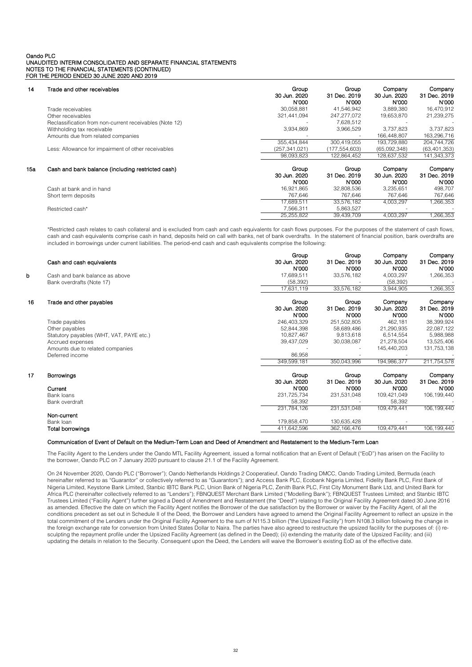| 14  | Trade and other receivables                             | Group<br>30 Jun. 2020<br>N'000 | Group<br>31 Dec. 2019<br>N'000 | Company<br>30 Jun. 2020<br>N'000 | Company<br>31 Dec. 2019<br>N'000 |
|-----|---------------------------------------------------------|--------------------------------|--------------------------------|----------------------------------|----------------------------------|
|     | Trade receivables                                       | 30.058.881                     | 41.546.942                     | 3.889.380                        | 16,470,912                       |
|     | Other receivables                                       | 321,441,094                    | 247.277.072                    | 19,653,870                       | 21,239,275                       |
|     | Reclassification from non-current receivables (Note 12) |                                | 7,628,512                      |                                  |                                  |
|     | Withholding tax receivable                              | 3.934.869                      | 3.966.529                      | 3.737.823                        | 3,737,823                        |
|     | Amounts due from related companies                      |                                |                                | 166,448,807                      | 163,296,716                      |
|     |                                                         | 355,434,844                    | 300.419.055                    | 193,729,880                      | 204,744,726                      |
|     | Less: Allowance for impairment of other receivables     | (257,341,021)                  | (177,554,603)                  | (65,092,348)                     | (63, 401, 353)                   |
|     |                                                         | 98.093.823                     | 122,864,452                    | 128,637,532                      | 141,343,373                      |
| 15a | Cash and bank balance (including restricted cash)       | Group<br>30 Jun. 2020<br>N'000 | Group<br>31 Dec. 2019<br>N'000 | Company<br>30 Jun. 2020<br>N'000 | Company<br>31 Dec. 2019<br>N'000 |
|     | Cash at bank and in hand                                | 16.921.865                     | 32.808.536                     | 3,235,651                        | 498,707                          |
|     | Short term deposits                                     | 767.646                        | 767.646                        | 767.646                          | 767,646                          |
|     |                                                         | 17.689.511                     | 33,576,182                     | 4,003,297                        | 1,266,353                        |
|     | Restricted cash*                                        | 7,566,311                      | 5,863,527                      |                                  |                                  |
|     |                                                         | 25, 255, 822                   | 39,439,709                     | 4,003,297                        | ,266,353                         |

\*Restricted cash relates to cash collateral and is excluded from cash and cash equivalents for cash flows purposes. For the purposes of the statement of cash flows, cash and cash equivalents comprise cash in hand, deposits held on call with banks, net of bank overdrafts. In the statement of financial position, bank overdrafts are included in borrowings under current liabilities. The period-end cash and cash equivalents comprise the following:

|    | Cash and cash equivalents                | Group<br>30 Jun. 2020<br>N'000 | Group<br>31 Dec. 2019<br>N'000 | Company<br>30 Jun. 2020<br>N'000 | Company<br>31 Dec. 2019<br>N'000 |
|----|------------------------------------------|--------------------------------|--------------------------------|----------------------------------|----------------------------------|
| b  | Cash and bank balance as above           | 17.689.511                     | 33,576,182                     | 4,003,297                        | 1,266,353                        |
|    | Bank overdrafts (Note 17)                | (58, 392)                      |                                | (58, 392)                        |                                  |
|    |                                          | 17,631,119                     | 33,576,182                     | 3,944,905                        | 1,266,353                        |
| 16 | Trade and other payables                 | Group                          | Group                          | Company                          | Company                          |
|    |                                          | 30 Jun. 2020                   | 31 Dec. 2019                   | 30 Jun. 2020                     | 31 Dec. 2019                     |
|    |                                          | N'000                          | N'000                          | N'000                            | N'000                            |
|    | Trade payables                           | 246,403,329                    | 251,502,805                    | 462,181                          | 38,399,924                       |
|    | Other payables                           | 52.844.398                     | 58.689.486                     | 21,290,935                       | 22,087,122                       |
|    | Statutory payables (WHT, VAT, PAYE etc.) | 10,827,467                     | 9,813,618                      | 6,514,554                        | 5,988,988                        |
|    | Accrued expenses                         | 39,437,029                     | 30,038,087                     | 21,278,504                       | 13,525,406                       |
|    | Amounts due to related companies         |                                |                                | 145.440.203                      | 131,753,138                      |
|    | Deferred income                          | 86,958                         |                                |                                  |                                  |
|    |                                          | 349,599,181                    | 350,043,996                    | 194,986,377                      | 211,754,578                      |
| 17 | Borrowings                               | Group                          | Group                          | Company                          | Company                          |
|    |                                          | 30 Jun. 2020                   | 31 Dec. 2019                   | 30 Jun. 2020                     | 31 Dec. 2019                     |
|    | Current                                  | N'000                          | N'000                          | N'000                            | N'000                            |
|    | Bank loans                               | 231,725,734                    | 231,531,048                    | 109,421,049                      | 106, 199, 440                    |
|    | Bank overdraft                           | 58,392                         |                                | 58,392                           |                                  |
|    |                                          | 231,784,126                    | 231.531.048                    | 109,479,441                      | 106, 199, 440                    |
|    | Non-current                              |                                |                                |                                  |                                  |
|    | Bank loan                                | 179,858,470                    | 130,635,428                    |                                  |                                  |
|    | Total borrowings                         | 411,642,596                    | 362,166,476                    | 109,479,441                      | 106, 199, 440                    |
|    |                                          |                                |                                |                                  |                                  |

### Communication of Event of Default on the Medium-Term Loan and Deed of Amendment and Restatement to the Medium-Term Loan

The Facility Agent to the Lenders under the Oando MTL Facility Agreement, issued a formal notification that an Event of Default ("EoD") has arisen on the Facility to the borrower, Oando PLC on 7 January 2020 pursuant to clause 21.1 of the Facility Agreement.

On 24 November 2020, Oando PLC ("Borrower"); Oando Netherlands Holdings 2 Cooperatieuf, Oando Trading DMCC, Oando Trading Limited, Bermuda (each hereinafter referred to as "Guarantor<sup>"</sup> or collectively referred to as "Guarantors"); and Access Bank PLC, Ecobank Nigeria Limited, Fidelity Bank PLC, First Bank of Nigeria Limited, Keystone Bank Limited, Stanbic IBTC Bank PLC, Union Bank of Nigeria PLC, Zenith Bank PLC, First City Monument Bank Ltd, and United Bank for Africa PLC (hereinafter collectively referred to as "Lenders"); FBNQUEST Merchant Bank Limited ("Modelling Bank"); FBNQUEST Trustees Limited; and Stanbic IBTC Trustees Limited ("Facility Agent") further signed a Deed of Amendment and Restatement (the "Deed") relating to the Original Facility Agreement dated 30 June 2016 as amended. Effective the date on which the Facility Agent notifies the Borrower of the due satisfaction by the Borrower or waiver by the Facility Agent, of all the conditions precedent as set out in Schedule II of the Deed, the Borrower and Lenders have agreed to amend the Original Facility Agreement to reflect an upsize in the total commitment of the Lenders under the Original Facility Agreement to the sum of N115.3 billion ("the Upsized Facility") from N108.3 billion following the change in the foreign exchange rate for conversion from United States Dollar to Naira. The parties have also agreed to restructure the upsized facility for the purposes of: (i) resculpting the repayment profile under the Upsized Facility Agreement (as defined in the Deed); (ii) extending the maturity date of the Upsized Facility; and (iii) updating the details in relation to the Security. Consequent upon the Deed, the Lenders will waive the Borrower's existing EoD as of the effective date.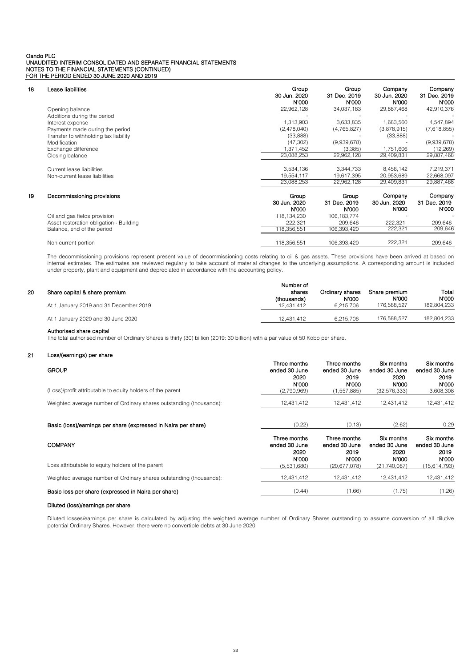| 18 | Lease liabilities                       | Group<br>30 Jun. 2020<br>N'000 | Group<br>31 Dec. 2019<br>N'000 | Company<br>30 Jun. 2020<br>N'000 | Company<br>31 Dec. 2019<br>N'000 |
|----|-----------------------------------------|--------------------------------|--------------------------------|----------------------------------|----------------------------------|
|    | Opening balance                         | 22,962,128                     | 34,037,183                     | 29,887,468                       | 42,910,376                       |
|    | Additions during the period             |                                |                                |                                  |                                  |
|    | Interest expense                        | 1,313,903                      | 3,633,835                      | 1,683,560                        | 4,547,894                        |
|    | Payments made during the period         | (2,478,040)                    | (4,765,827)                    | (3,878,915)                      | (7,618,855)                      |
|    | Transfer to withholding tax liability   | (33,888)                       |                                | (33, 888)                        |                                  |
|    | Modification                            | (47, 302)                      | (9,939,678)                    |                                  | (9,939,678)                      |
|    | Exchange difference                     | 1,371,452                      | (3,385)                        | 1,751,606                        | (12, 269)                        |
|    | Closing balance                         | 23,088,253                     | 22,962,128                     | 29,409,831                       | 29,887,468                       |
|    | Current lease liabilities               | 3,534,136                      | 3,344,733                      | 8,456,142                        | 7,219,371                        |
|    | Non-current lease liabilities           | 19,554,117                     | 19,617,395                     | 20,953,689                       | 22,668,097                       |
|    |                                         | 23,088,253                     | 22,962,128                     | 29,409,831                       | 29,887,468                       |
| 19 | Decommissioning provisions              | Group                          | Group                          | Company                          | Company                          |
|    |                                         | 30 Jun. 2020                   | 31 Dec. 2019                   | 30 Jun. 2020                     | 31 Dec. 2019                     |
|    |                                         | N'000                          | N'000                          | N'000                            | N'000                            |
|    | Oil and gas fields provision            | 118,134,230                    | 106, 183, 774                  |                                  |                                  |
|    | Asset restoration obligation - Building | 222,321                        | 209,646                        | 222,321                          | 209,646                          |
|    | Balance, end of the period              | 118,356,551                    | 106,393,420                    | 222,321                          | 209,646                          |
|    | Non current portion                     | 118,356,551                    | 106,393,420                    | 222,321                          | 209.646                          |

The decommissioning provisions represent present value of decommissioning costs relating to oil & gas assets. These provisions have been arrived at based on internal estimates. The estimates are reviewed regularly to take account of material changes to the underlying assumptions. A corresponding amount is included under property, plant and equipment and depreciated in accordance with the accounting policy.

| 20. | Share capital & share premium          | Number of<br>shares<br>(thousands) |                    | Share premium<br>N'000 | Total<br><b>N'000</b> |
|-----|----------------------------------------|------------------------------------|--------------------|------------------------|-----------------------|
|     | At 1 January 2019 and 31 December 2019 | 12.431.412                         | N'000<br>6.215.706 | 176.588.527            | 182,804,233           |
|     | At 1 January 2020 and 30 June 2020     | 12.431.412                         | 6.215.706          | 176.588.527            | 182.804.233           |

# Authorised share capital

The total authorised number of Ordinary Shares is thirty (30) billion (2019: 30 billion) with a par value of 50 Kobo per share.

#### 21 Loss/(earnings) per share

| <b>GROUP</b>                                                        | Three months<br>ended 30 June<br>2020<br>N'000 | Three months<br>ended 30 June<br>2019<br>N'000 | Six months<br>ended 30 June<br>2020<br>N'000 | Six months<br>ended 30 June<br>2019<br>N'000 |
|---------------------------------------------------------------------|------------------------------------------------|------------------------------------------------|----------------------------------------------|----------------------------------------------|
| (Loss)/profit attributable to equity holders of the parent          | (2.790.969)                                    | (1,557,885)                                    | (32,576,333)                                 | 3,608,308                                    |
| Weighted average number of Ordinary shares outstanding (thousands): | 12,431,412                                     | 12,431,412                                     | 12,431,412                                   | 12,431,412                                   |
| Basic (loss)/earnings per share (expressed in Naira per share)      | (0.22)                                         | (0.13)                                         | (2.62)                                       | 0.29                                         |
| <b>COMPANY</b>                                                      | Three months<br>ended 30 June                  | Three months<br>ended 30 June                  | Six months<br>ended 30 June                  | Six months<br>ended 30 June                  |
|                                                                     | 2020                                           | 2019                                           | 2020                                         | 2019                                         |
| Loss attributable to equity holders of the parent                   | N'000<br>(5,531,680)                           | N'000<br>(20, 677, 078)                        | N'000<br>(21,740,087)                        | N'000<br>(15,614,793)                        |
| Weighted average number of Ordinary shares outstanding (thousands): | 12,431,412                                     | 12,431,412                                     | 12,431,412                                   | 12,431,412                                   |

# Diluted (loss)/earnings per share

Diluted losses/earnings per share is calculated by adjusting the weighted average number of Ordinary Shares outstanding to assume conversion of all dilutive potential Ordinary Shares. However, there were no convertible debts at 30 June 2020.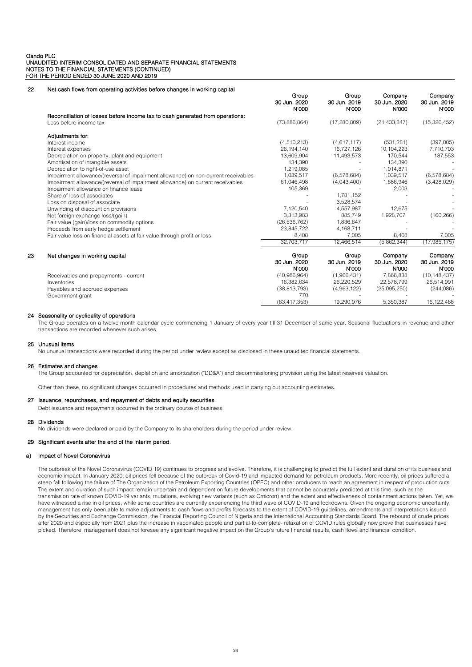### 22 Net cash flows from operating activities before changes in working capital

|                                                                                    | Group<br>30 Jun. 2020<br>N'000 | Group<br>30 Jun. 2019<br>N'000 | Company<br>30 Jun. 2020<br>N'000 | Company<br>30 Jun. 2019<br>N'000 |
|------------------------------------------------------------------------------------|--------------------------------|--------------------------------|----------------------------------|----------------------------------|
| Reconciliation of losses before income tax to cash generated from operations:      |                                |                                |                                  |                                  |
| Loss before income tax                                                             | (73,886,864)                   | (17, 280, 809)                 | (21, 433, 347)                   | (15,326,452)                     |
| Adjustments for:                                                                   |                                |                                |                                  |                                  |
| Interest income                                                                    | (4,510,213)                    | (4,617,117)                    | (531, 281)                       | (397,005)                        |
| Interest expenses                                                                  | 26,194,140                     | 16.727.126                     | 10.104.223                       | 7,710,703                        |
| Depreciation on property, plant and equipment                                      | 13,609,904                     | 11,493,573                     | 170,544                          | 187,553                          |
| Amortisation of intangible assets                                                  | 134,390                        |                                | 134.390                          |                                  |
| Depreciation to right-of-use asset                                                 | 1,219,085                      |                                | 1,014,871                        |                                  |
| Impairment allowance/(reversal of impairment allowance) on non-current receivables | 1,039,517                      | (6,578,684)                    | 1,039,517                        | (6,578,684)                      |
| Impairment allowance/(reversal of impairment allowance) on current receivables     | 61,046,498                     | (4,043,400)                    | 1.686.946                        | (3,428,029)                      |
| Impairment allowance on finance lease                                              | 105,369                        |                                | 2,003                            |                                  |
| Share of loss of associates                                                        |                                | 1.781.152                      |                                  |                                  |
| Loss on disposal of associate                                                      |                                | 3.528.574                      |                                  |                                  |
| Unwinding of discount on provisions                                                | 7,120,540                      | 4,557,987                      | 12,675                           |                                  |
| Net foreign exchange loss/(gain)                                                   | 3,313,983                      | 885.749                        | 1,928,707                        | (160, 266)                       |
| Fair value (gain)/loss on commodity options                                        | (26, 536, 762)                 | 1,836,647                      |                                  |                                  |
| Proceeds from early hedge settlement                                               | 23,845,722                     | 4,168,711                      |                                  |                                  |
| Fair value loss on financial assets at fair value through profit or loss           | 8,408                          | 7,005                          | 8,408                            | 7,005                            |
|                                                                                    | 32,703,717                     | 12,466,514                     | (5,862,344)                      | (17, 985, 175)                   |
| Net changes in working capital                                                     | Group                          | Group                          | Company                          | Company                          |
|                                                                                    | 30 Jun. 2020                   | 30 Jun. 2019                   | 30 Jun. 2020                     | 30 Jun. 2019                     |
|                                                                                    | N'000                          | N'000                          | N'000                            | N'000                            |
| Receivables and prepayments - current                                              | (40,986,964)                   | (1,966,431)                    | 7.866.838                        | (10, 148, 437)                   |
| Inventories                                                                        | 16,382,634                     | 26,220,529                     | 22,578,799                       | 26,514,991                       |
| Payables and accrued expenses                                                      | (38, 813, 793)                 | (4,963,122)                    | (25,095,250)                     | (244, 086)                       |
| Government grant                                                                   | 770                            |                                |                                  |                                  |

# 24 Seasonality or cyclicality of operations

The Group operates on a twelve month calendar cycle commencing 1 January of every year till 31 December of same year. Seasonal fluctuations in revenue and other transactions are recorded whenever such arises.

(63,417,353) 19,290,976 5,350,387 16,122,468

### 25 Unusual items

No unusual transactions were recorded during the period under review except as disclosed in these unaudited financial statements.

### 26 Estimates and changes

The Group accounted for depreciation, depletion and amortization ("DD&A") and decommissioning provision using the latest reserves valuation.

Other than these, no significant changes occurred in procedures and methods used in carrying out accounting estimates.

### 27 Issuance, repurchases, and repayment of debts and equity securities

Debt issuance and repayments occurred in the ordinary course of business.

### 28 Dividends

No dividends were declared or paid by the Company to its shareholders during the period under review.

### 29 Significant events after the end of the interim period.

#### a) Impact of Novel Coronavirus

The outbreak of the Novel Coronavirus (COVID 19) continues to progress and evolve. Therefore, it is challenging to predict the full extent and duration of its business and economic impact. In January 2020, oil prices fell because of the outbreak of Covid-19 and impacted demand for petroleum products. More recently, oil prices suffered a steep fall following the failure of The Organization of the Petroleum Exporting Countries (OPEC) and other producers to reach an agreement in respect of production cuts. The extent and duration of such impact remain uncertain and dependent on future developments that cannot be accurately predicted at this time, such as the transmission rate of known COVID-19 variants, mutations, evolving new variants (such as Omicron) and the extent and effectiveness of containment actions taken. Yet, we have witnessed a rise in oil prices, while some countries are currently experiencing the third wave of COVID-19 and lockdowns. Given the ongoing economic uncertainty, management has only been able to make adjustments to cash flows and profits forecasts to the extent of COVID-19 guidelines, amendments and interpretations issued by the Securities and Exchange Commission, the Financial Reporting Council of Nigeria and the International Accounting Standards Board. The rebound of crude prices after 2020 and especially from 2021 plus the increase in vaccinated people and partial-to-complete- relaxation of COVID rules globally now prove that businesses have picked. Therefore, management does not foresee any significant negative impact on the Group's future financial results, cash flows and financial condition.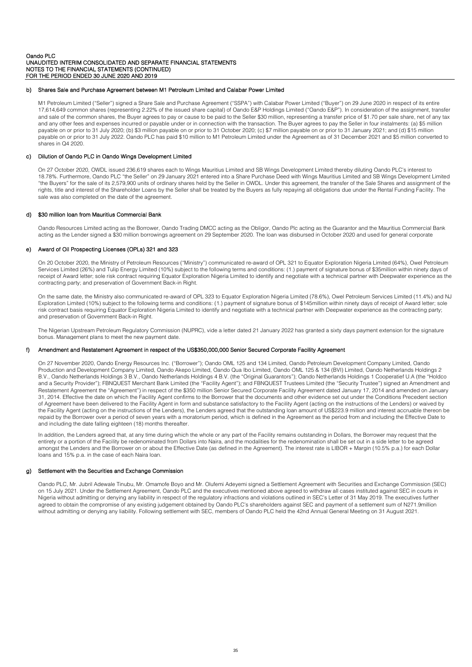### b) Shares Sale and Purchase Agreement between M1 Petroleum Limited and Calabar Power Limited

M1 Petroleum Limited ("Seller") signed a Share Sale and Purchase Agreement ("SSPA") with Calabar Power Limited ("Buyer") on 29 June 2020 in respect of its entire 17,614,649 common shares (representing 2.22% of the issued share capital) of Oando E&P Holdings Limited ("Oando E&P"). In consideration of the assignment, transfer and sale of the common shares, the Buyer agrees to pay or cause to be paid to the Seller \$30 million, representing a transfer price of \$1.70 per sale share, net of any tax and any other fees and expenses incurred or payable under or in connection with the transaction. The Buyer agrees to pay the Seller in four instalments: (a) \$5 million payable on or prior to 31 July 2020; (b) \$3 million payable on or prior to 31 October 2020; (c) \$7 million payable on or prior to 31 January 2021; and (d) \$15 million payable on or prior to 31 July 2022. Oando PLC has paid \$10 million to M1 Petroleum Limited under the Agreement as of 31 December 2021 and \$5 million converted to shares in Q4 2020.

# c) Dilution of Oando PLC in Oando Wings Development Limited

On 27 October 2020, OWDL issued 236,619 shares each to Wings Mauritius Limited and SB Wings Development Limited thereby diluting Oando PLC's interest to 18.78%. Furthermore, Oando PLC "the Seller" on 29 January 2021 entered into a Share Purchase Deed with Wings Mauritius Limited and SB Wings Development Limited "the Buyers" for the sale of its 2,579,900 units of ordinary shares held by the Seller in OWDL. Under this agreement, the transfer of the Sale Shares and assignment of the rights, title and interest of the Shareholder Loans by the Seller shall be treated by the Buyers as fully repaying all obligations due under the Rental Funding Facility. The sale was also completed on the date of the agreement.

# d) \$30 million loan from Mauritius Commercial Bank

Oando Resources Limited acting as the Borrower, Oando Trading DMCC acting as the Obligor, Oando Plc acting as the Guarantor and the Mauritius Commercial Bank acting as the Lender signed a \$30 million borrowings agreement on 29 September 2020. The loan was disbursed in October 2020 and used for general corporate

# e) Award of Oil Prospecting Licenses (OPLs) 321 and 323

On 20 October 2020, the Ministry of Petroleum Resources ("Ministry") communicated re-award of OPL 321 to Equator Exploration Nigeria Limited (64%), Owel Petroleum Services Limited (26%) and Tulip Energy Limited (10%) subject to the following terms and conditions: (1.) payment of signature bonus of \$35million within ninety days of receipt of Award letter; sole risk contract requiring Equator Exploration Nigeria Limited to identify and negotiate with a technical partner with Deepwater experience as the contracting party; and preservation of Government Back-in Right.

On the same date, the Ministry also communicated re-award of OPL 323 to Equator Exploration Nigeria Limited (78.6%), Owel Petroleum Services Limited (11.4%) and NJ Exploration Limited (10%) subject to the following terms and conditions: (1.) payment of signature bonus of \$145million within ninety days of receipt of Award letter; sole risk contract basis requiring Equator Exploration Nigeria Limited to identify and negotiate with a technical partner with Deepwater experience as the contracting party; and preservation of Government Back-in Right.

The Nigerian Upstream Petroleum Regulatory Commission (NUPRC), vide a letter dated 21 January 2022 has granted a sixty days payment extension for the signature bonus. Management plans to meet the new payment date.

#### f) Amendment and Restatement Agreement in respect of the US\$350,000,000 Senior Secured Corporate Facility Agreement

On 27 November 2020, Oando Energy Resources Inc. ("Borrower"); Oando OML 125 and 134 Limited, Oando Petroleum Development Company Limited, Oando Production and Development Company Limited, Oando Akepo Limited, Oando Qua Ibo Limited, Oando OML 125 & 134 (BVI) Limited, Oando Netherlands Holdings 2 B.V., Oando Netherlands Holdings 3 B.V., Oando Netherlands Holdings 4 B.V. (the "Original Guarantors"); Oando Netherlands Holdings 1 Cooperatief U.A (the "Holdco and a Security Provider"); FBNQUEST Merchant Bank Limited (the "Facility Agent"); and FBNQUEST Trustees Limited (the "Security Trustee") signed an Amendment and Restatement Agreement the "Agreement") in respect of the \$350 million Senior Secured Corporate Facility Agreement dated January 17, 2014 and amended on January 31, 2014. Effective the date on which the Facility Agent confirms to the Borrower that the documents and other evidence set out under the Conditions Precedent section of Agreement have been delivered to the Facility Agent in form and substance satisfactory to the Facility Agent (acting on the instructions of the Lenders) or waived by the Facility Agent (acting on the instructions of the Lenders), the Lenders agreed that the outstanding loan amount of US\$223.9 million and interest accruable thereon be repaid by the Borrower over a period of seven years with a moratorium period, which is defined in the Agreement as the period from and including the Effective Date to and including the date falling eighteen (18) months thereafter.

In addition, the Lenders agreed that, at any time during which the whole or any part of the Facility remains outstanding in Dollars, the Borrower may request that the entirety or a portion of the Facility be redenominated from Dollars into Naira, and the modalities for the redenomination shall be set out in a side letter to be agreed amongst the Lenders and the Borrower on or about the Effective Date (as defined in the Agreement). The interest rate is LIBOR + Margin (10.5% p.a.) for each Dollar loans and 15% p.a. in the case of each Naira loan.

#### g) Settlement with the Securities and Exchange Commission

Oando PLC, Mr. Jubril Adewale Tinubu, Mr. Omamofe Boyo and Mr. Olufemi Adeyemi signed a Settlement Agreement with Securities and Exchange Commission (SEC) on 15 July 2021. Under the Settlement Agreement, Oando PLC and the executives mentioned above agreed to withdraw all cases instituted against SEC in courts in Nigeria without admitting or denying any liability in respect of the regulatory infractions and violations outlined in SEC's Letter of 31 May 2019. The executives further agreed to obtain the compromise of any existing judgement obtained by Oando PLC's shareholders against SEC and payment of a settlement sum of N271.9million without admitting or denying any liability. Following settlement with SEC, members of Oando PLC held the 42nd Annual General Meeting on 31 August 2021.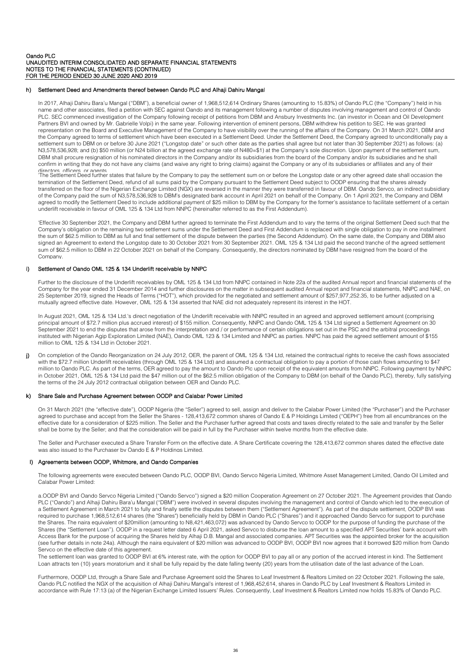# h) Settlement Deed and Amendments thereof between Oando PLC and Alhaji Dahiru Mangal

In 2017, Alhaji Dahiru Bara'u Mangal ("DBM"), a beneficial owner of 1,968,512,614 Ordinary Shares (amounting to 15.83%) of Oando PLC (the "Company") held in his name and other associates, filed a petition with SEC against Oando and its management following a number of disputes involving management and control of Oando PLC. SEC commenced investigation of the Company following receipt of petitions from DBM and Ansbury Investments Inc. (an investor in Ocean and Oil Development Partners BVI and owned by Mr. Gabrielle Volpi) in the same year. Following intervention of eminent persons, DBM withdrew his petition to SEC. He was granted representation on the Board and Executive Management of the Company to have visibility over the running of the affairs of the Company. On 31 March 2021, DBM and the Company agreed to terms of settlement which have been executed in a Settlement Deed. Under the Settlement Deed, the Company agreed to unconditionally pay a settlement sum to DBM on or before 30 June 2021 ("Longstop date" or such other date as the parties shall agree but not later than 30 September 2021) as follows: (a) N3,578,536,928; and (b) \$50 million (or N24 billion at the agreed exchange rate of N480=\$1) at the Company's sole discretion. Upon payment of the settlement sum, DBM shall procure resignation of his nominated directors in the Company and/or its subsidiaries from the board of the Company and/or its subsidiaries and he shall confirm in writing that they do not have any claims (and waive any right to bring claims) against the Company or any of its subsidiaries or affiliates and any of their

directors, officers, or agents.<br>'The Settlement Deed further states that failure by the Company to pay the settlement sum on or before the Longstop date or any other agreed date shall occasion the termination of the Settlement Deed, refund of all sums paid by the Company pursuant to the Settlement Deed subject to OODP ensuring that the shares already transferred on the floor of the Nigerian Exchange Limited (NGX) are reversed in the manner they were transferred in favour of DBM. Oando Servco, an indirect subsidiary of the Company paid the sum of N3,578,536,928 to DBM's designated bank account in April 2021 on behalf of the Company. On 1 April 2021, the Company and DBM agreed to modify the Settlement Deed to include additional payment of \$25 million to DBM by the Company for the former's assistance to facilitate settlement of a certain underlift receivable in favour of OML 125 & 134 Ltd from NNPC (hereinafter referred to as the First Addendum).

'Effective 30 September 2021, the Company and DBM further agreed to terminate the First Addendum and to vary the terms of the original Settlement Deed such that the Company's obligation on the remaining two settlement sums under the Settlement Deed and First Addendum is replaced with single obligation to pay in one installment the sum of \$62.5 million to DBM as full and final settlement of the dispute between the parties (the Second Addendum). On the same date, the Company and DBM also signed an Agreement to extend the Longstop date to 30 October 2021 from 30 September 2021. OML 125 & 134 Ltd paid the second tranche of the agreed settlement sum of \$62.5 million to DBM in 22 October 2021 on behalf of the Company. Consequently, the directors nominated by DBM have resigned from the board of the Company.

#### i) Settlement of Oando OML 125 & 134 Underlift receivable by NNPC

Further to the disclosure of the Underlift receivables by OML 125 & 134 Ltd from NNPC contained in Note 22a of the audited Annual report and financial statements of the Company for the year ended 31 December 2014 and further disclosures on the matter in subsequent audited Annual report and financial statements, NNPC and NAE, on 25 September 2019, signed the Heads of Terms ("HOT"), which provided for the negotiated and settlement amount of \$257,977,252.35, to be further adjusted on a mutually agreed effective date. However, OML 125 & 134 asserted that NAE did not adequately represent its interest in the HOT.

In August 2021, OML 125 & 134 Ltd.'s direct negotiation of the Underlift receivable with NNPC resulted in an agreed and approved settlement amount (comprising principal amount of \$72.7 million plus accrued interest) of \$155 million. Consequently, NNPC and Oando OML 125 & 134 Ltd signed a Settlement Agreement on 30 September 2021 to end the disputes that arose from the interpretation and / or performance of certain obligations set out in the PSC and the arbitral proceedings instituted with Nigerian Agip Exploration Limited (NAE), Oando OML 123 & 134 Limited and NNPC as parties. NNPC has paid the agreed settlement amount of \$155 million to OML 125 & 134 Ltd in October 2021.

j) On completion of the Oando Reorganization on 24 July 2012, OER, the parent of OML 125 & 134 Ltd, retained the contractual rights to receive the cash flows associated with the \$72.7 million Underlift receivables (through OML 125 & 134 Ltd) and assumed a contractual obligation to pay a portion of those cash flows amounting to \$47 million to Oando PLC. As part of the terms, OER agreed to pay the amount to Oando Plc upon receipt of the equivalent amounts from NNPC. Following payment by NNPC in October 2021, OML 125 & 134 Ltd paid the \$47 million out of the \$62.5 million obligation of the Company to DBM (on behalf of the Oando PLC), thereby, fully satisfying the terms of the 24 July 2012 contractual obligation between OER and Oando PLC.

### k) Share Sale and Purchase Agreement between OODP and Calabar Power Limited

On 31 March 2021 (the "effective date"), OODP Nigeria (the "Seller") agreed to sell, assign and deliver to the Calabar Power Limited (the "Purchaser") and the Purchaser agreed to purchase and accept from the Seller the Shares - 128,413,672 common shares of Oando E & P Holdings Limited ("OEPH") free from all encumbrances on the effective date for a consideration of \$225 million. The Seller and the Purchaser further agreed that costs and taxes directly related to the sale and transfer by the Seller shall be borne by the Seller; and that the consideration will be paid in full by the Purchaser within twelve months from the effective date.

The Seller and Purchaser executed a Share Transfer Form on the effective date. A Share Certificate covering the 128,413,672 common shares dated the effective date was also issued to the Purchaser by Oando E & P Holdings Limited.

### l) Agreements between OODP, Whitmore, and Oando Companies

The following agreements were executed between Oando PLC, OODP BVI, Oando Servco Nigeria Limited, Whitmore Asset Management Limited, Oando Oil Limited and Calabar Power Limited:

a.OODP BVI and Oando Servco Nigeria Limited ("Oando Servco") signed a \$20 million Cooperation Agreement on 27 October 2021. The Agreement provides that Oando PLC ("Oando") and Alhaji Dahiru Bara'u Mangal ("DBM") were involved in several disputes involving the management and control of Oando which led to the execution of a Settlement Agreement in March 2021 to fully and finally settle the disputes between them ("Settlement Agreement"). As part of the dispute settlement, OODP BVI was required to purchase 1,968,512,614 shares (the "Shares") beneficially held by DBM in Oando PLC ("Shares") and it approached Oando Servco for support to purchase the Shares. The naira equivalent of \$20million (amounting to N8,421,463,072) was advanced by Oando Servco to OODP for the purpose of funding the purchase of the Shares (the "Settlement Loan"). OODP in a request letter dated 6 April 2021, asked Servco to disburse the loan amount to a specified APT Securities' bank account with Access Bank for the purpose of acquiring the Shares held by Alhaji D.B. Mangal and associated companies. APT Securities was the appointed broker for the acquisition (see further details in note 24a). Although the naira equivalent of \$20 million was advanced to OODP BVI, OODP BVI now agrees that it borrowed \$20 million from Oando Servco on the effective date of this agreement.

The settlement loan was granted to OODP BVI at 6% interest rate, with the option for OODP BVI to pay all or any portion of the accrued interest in kind. The Settlement Loan attracts ten (10) years moratorium and it shall be fully repaid by the date falling twenty (20) years from the utilisation date of the last advance of the Loan.

Furthermore, OODP Ltd, through a Share Sale and Purchase Agreement sold the Shares to Leaf Investment & Realtors Limited on 22 October 2021. Following the sale, Oando PLC notified the NGX of the acquisition of Alhaji Dahiru Mangal's interest of 1,968,452,614, shares in Oando PLC by Leaf Investment & Realtors Limited in accordance with Rule 17:13 (a) of the Nigerian Exchange Limited Issuers' Rules. Consequently, Leaf Investment & Realtors Limited now holds 15.83% of Oando PLC.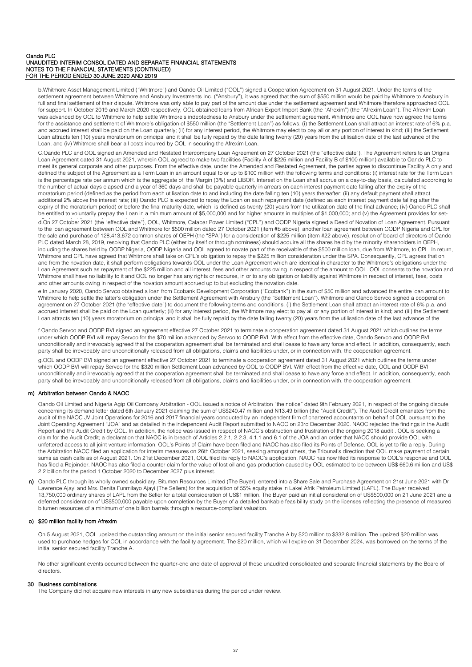b. Whitmore Asset Management Limited ("Whitmore") and Oando Oil Limited ("OOL") signed a Cooperation Agreement on 31 August 2021. Under the terms of the settlement agreement between Whitmore and Ansbury Investments Inc. ("Ansbury"), it was agreed that the sum of \$550 million would be paid by Whitmore to Ansbury in full and final settlement of their dispute. Whitmore was only able to pay part of the amount due under the settlement agreement and Whitmore therefore approached OOL for support. In October 2019 and March 2020 respectively, OOL obtained loans from African Export Import Bank (the "Afrexim") (the "Afrexim Loan"). The Afrexim Loan was advanced by OOL to Whitmore to help settle Whitmore's indebtedness to Ansbury under the settlement agreement. Whitmore and OOL have now agreed the terms for the assistance and settlement of Whitmore's obligation of \$550 million (the "Settlement Loan") as follows: (i) the Settlement Loan shall attract an interest rate of 6% p.a. and accrued interest shall be paid on the Loan quarterly; (ii) for any interest period, the Whitmore may elect to pay all or any portion of interest in kind; (iii) the Settlement Loan attracts ten (10) years moratorium on principal and it shall be fully repaid by the date falling twenty (20) years from the utilisation date of the last advance of the Loan; and (iv) Whitmore shall bear all costs incurred by OOL in securing the Afrexim Loan.

C. Oando PLC and OOL signed an Amended and Restated Intercompany Loan Agreement on 27 October 2021 (the "effective date"). The Agreement refers to an Original Loan Agreement dated 31 August 2021, wherein OOL agreed to make two facilities (Facility A of \$225 million and Facility B of \$100 million) available to Oando PLC to meet its general corporate and other purposes. From the effective date, under the Amended and Restated Agreement, the parties agree to discontinue Facility A only and defined the subject of the Agreement as a Term Loan in an amount equal to or up to \$100 million with the following terms and conditions: (i) interest rate for the Term Loan is the percentage rate per annum which is the aggregate of: the Margin (3%) and LIBOR. Interest on the Loan shall accrue on a day-to-day basis, calculated according to the number of actual days elapsed and a year of 360 days and shall be payable quarterly in arrears on each interest payment date falling after the expiry of the moratorium period (defined as the period from each utilisation date to and including the date falling ten (10) years thereafter; (ii) any default payment shall attract additional 2% above the interest rate; (iii) Oando PLC is expected to repay the Loan on each repayment date (defined as each interest payment date falling after the expiry of the moratorium period) or before the final maturity date, which is defined as twenty (20) years from the utilization date of the final advance; (iv) Oando PLC shall be entitled to voluntarily prepay the Loan in a minimum amount of \$5,000,000 and for higher amounts in multiples of \$1,000,000; and (v) the Agreement provides for set-

d.On 27 October 2021 (the "effective date"), OOL, Whitmore, Calabar Power Limited ("CPL") and OODP Nigeria signed a Deed of Novation of Loan Agreement. Pursuant to the loan agreement between OOL and Whitmore for \$500 million dated 27 October 2021 (item #b above), another loan agreement between OODP Nigeria and CPL for the sale and purchase of 128,413,672 common shares of OEPH (the "SPA") for a consideration of \$225 million (item #22 above), resolution of board of directors of Oando PLC dated March 28, 2019, resolving that Oando PLC (either by itself or through nominees) should acquire all the shares held by the minority shareholders in OEPH, including the shares held by OODP Nigeria, OODP Nigeria and OOL agreed to novate part of the receivable of the \$500 million loan, due from Whitmore, to CPL. In return, Whitmore and CPL have agreed that Whitmore shall take on CPL's obligation to repay the \$225 million consideration under the SPA. Consequently, CPL agrees that on and from the novation date, it shall perform obligations towards OOL under the Loan Agreement which are identical in character to the Whitmore's obligations under the Loan Agreement such as repayment of the \$225 million and all interest, fees and other amounts owing in respect of the amount to OOL. OOL consents to the novation and Whitmore shall have no liability to it and OOL no longer has any rights or recourse, in or to any obligation or liability against Whitmore in respect of interest, fees, costs and other amounts owing in respect of the novation amount accrued up to but excluding the novation date.

e. In January 2020, Oando Servco obtained a loan from Ecobank Development Corporation ("Ecobank") in the sum of \$50 million and advanced the entire loan amount to Whitmore to help settle the latter's obligation under the Settlement Agreement with Ansbury (the "Settlement Loan"). Whitmore and Oando Servco signed a cooperation agreement on 27 October 2021 (the "effective date") to document the following terms and conditions: (i) the Settlement Loan shall attract an interest rate of 6% p.a. and accrued interest shall be paid on the Loan quarterly; (ii) for any interest period, the Whitmore may elect to pay all or any portion of interest in kind; and (iii) the Settlement Loan attracts ten (10) years moratorium on principal and it shall be fully repaid by the date falling twenty (20) years from the utilisation date of the last advance of the

.<br>f.Oando Servco and OODP BVI signed an agreement effective 27 October 2021 to terminate a cooperation agreement dated 31 August 2021 which outlines the terms under which OODP BVI will repay Servco for the \$70 million advanced by Servco to OODP BVI. With effect from the effective date, Oando Servco and OODP BVI unconditionally and irrevocably agreed that the cooperation agreement shall be terminated and shall cease to have any force and effect. In addition, consequently, each party shall be irrevocably and unconditionally released from all obligations, claims and liabilities under, or in connection with, the cooperation agreement.

g.OOL and OODP BVI signed an agreement effective 27 October 2021 to terminate a cooperation agreement dated 31 August 2021 which outlines the terms under which OODP BVI will repay Servco for the \$320 million Settlement Loan advanced by OOL to OODP BVI. With effect from the effective date, OOL and OODP BVI unconditionally and irrevocably agreed that the cooperation agreement shall be terminated and shall cease to have any force and effect. In addition, consequently, each party shall be irrevocably and unconditionally released from all obligations, claims and liabilities under, or in connection with, the cooperation agreement.

# m) Arbitration between Oando & NAOC

Oando Oil Limited and Nigeria Agip Oil Company Arbitration - OOL issued a notice of Arbitration "the notice" dated 9th February 2021, in respect of the ongoing dispute concerning its demand letter dated 6th January 2021 claiming the sum of US\$240.47 million and N13.49 billion (the "Audit Credit"). The Audit Credit emanates from the audit of the NAOC JV Joint Operations for 2016 and 2017 financial years conducted by an independent firm of chartered accountants on behalf of OOL pursuant to the Joint Operating Agreement "JOA" and as detailed in the independent Audit Report submitted to NAOC on 23rd December 2020. NAOC rejected the findings in the Audit Report and the Audit Credit by OOL. In addition, the notice was issued in respect of NAOC's obstruction and frustration of the ongoing 2018 audit . OOL is seeking a claim for the Audit Credit; a declaration that NAOC is in breach of Articles 2.2.1, 2.2.3, 4.1.1 and 6.1 of the JOA and an order that NAOC should provide OOL with unfettered access to all joint venture information. OOL's Points of Claim have been filed and NAOC has also filed its Points of Defense. OOL is yet to file a reply. During the Arbitration NAOC filed an application for interim measures on 26th October 2021, seeking amongst others, the Tribunal's direction that OOL make payment of certain sums as cash calls as of August 2021. On 21st December 2021, OOL filed its reply to NAOC's application. NAOC has now filed its response to OOL's response and OOL has filed a Rejoinder. NAOC has also filed a counter claim for the value of lost oil and gas production caused by OOL estimated to be between US\$ 660.6 million and US\$ 2.2 billion for the period 1 October 2020 to December 2027 plus interest.

n) Oando PLC through its wholly owned subsidiary, Bitumen Resources Limited (The Buyer), entered into a Share Sale and Purchase Agreement on 21st June 2021 with Dr Lawrence Ajayi and Mrs. Benita Funmilayo Ajayi (The Sellers) for the acquisition of 55% equity stake in Lakel Afrik Petroleum Limited (LAPL). The Buyer received 13,750,000 ordinary shares of LAPL from the Seller for a total consideration of US\$1 million. The Buyer paid an initial consideration of US\$500,000 on 21 June 2021 and a deferred consideration of US\$500,000 payable upon completion by the Buyer of a detailed bankable feasibility study on the licenses reflecting the presence of measured bitumen resources of a minimum of one billion barrels through a resource-compliant valuation.

### o) \$20 million facility from Afrexim

 On 5 August 2021, OOL upsized the outstanding amount on the initial senior secured facility Tranche A by \$20 million to \$332.8 million. The upsized \$20 million was used to purchase hedges for OOL in accordance with the facility agreement. The \$20 million, which will expire on 31 December 2024, was borrowed on the terms of the initial senior secured facility Tranche A.

No other significant events occurred between the quarter-end and date of approval of these unaudited consolidated and separate financial statements by the Board of directors.

### 30 Business combinations

The Company did not acquire new interests in any new subsidiaries during the period under review.